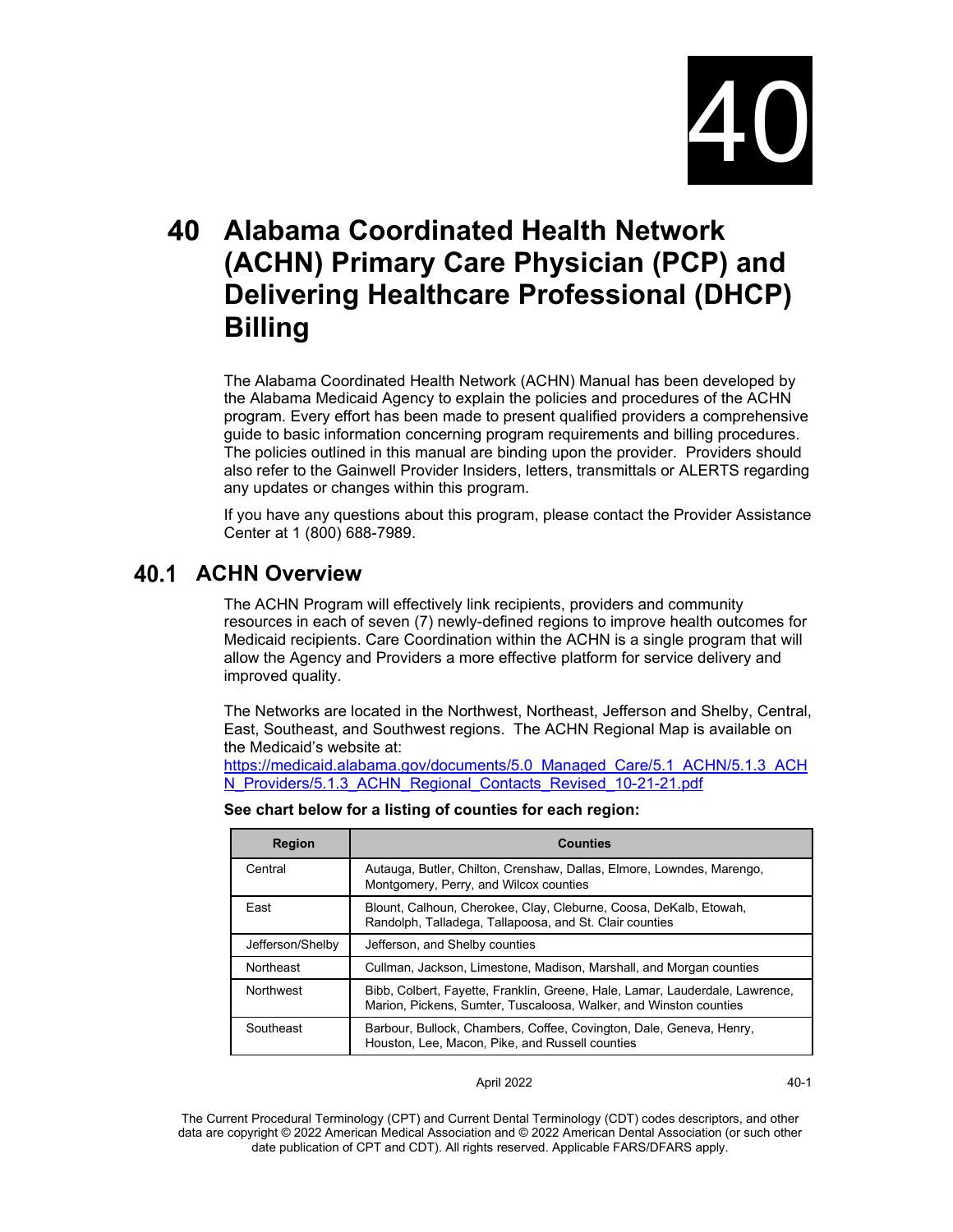

# **Alabama Coordinated Health Network (ACHN) Primary Care Physician (PCP) and Delivering Healthcare Professional (DHCP) Billing**

The Alabama Coordinated Health Network (ACHN) Manual has been developed by the Alabama Medicaid Agency to explain the policies and procedures of the ACHN program. Every effort has been made to present qualified providers a comprehensive guide to basic information concerning program requirements and billing procedures. The policies outlined in this manual are binding upon the provider. Providers should also refer to the Gainwell Provider Insiders, letters, transmittals or ALERTS regarding any updates or changes within this program.

If you have any questions about this program, please contact the Provider Assistance Center at 1 (800) 688-7989.

# **ACHN Overview**

The ACHN Program will effectively link recipients, providers and community resources in each of seven (7) newly-defined regions to improve health outcomes for Medicaid recipients. Care Coordination within the ACHN is a single program that will allow the Agency and Providers a more effective platform for service delivery and improved quality.

The Networks are located in the Northwest, Northeast, Jefferson and Shelby, Central, East, Southeast, and Southwest regions. The ACHN Regional Map is available on the Medicaid's website at:

[https://medicaid.alabama.gov/documents/5.0\\_Managed\\_Care/5.1\\_ACHN/5.1.3\\_ACH](https://medicaid.alabama.gov/documents/5.0_Managed_Care/5.1_ACHN/5.1.3_ACHN_Providers/5.1.3_ACHN_Regional_Contacts_Revised_10-21-21.pdf) [N\\_Providers/5.1.3\\_ACHN\\_Regional\\_Contacts\\_Revised\\_10-21-21.pdf](https://medicaid.alabama.gov/documents/5.0_Managed_Care/5.1_ACHN/5.1.3_ACHN_Providers/5.1.3_ACHN_Regional_Contacts_Revised_10-21-21.pdf)

| <b>Region</b>    | <b>Counties</b>                                                                                                                                   |
|------------------|---------------------------------------------------------------------------------------------------------------------------------------------------|
| Central          | Autauga, Butler, Chilton, Crenshaw, Dallas, Elmore, Lowndes, Marengo,<br>Montgomery, Perry, and Wilcox counties                                   |
| East             | Blount, Calhoun, Cherokee, Clay, Cleburne, Coosa, DeKalb, Etowah,<br>Randolph, Talladega, Tallapoosa, and St. Clair counties                      |
| Jefferson/Shelby | Jefferson, and Shelby counties                                                                                                                    |
| Northeast        | Cullman, Jackson, Limestone, Madison, Marshall, and Morgan counties                                                                               |
| <b>Northwest</b> | Bibb, Colbert, Fayette, Franklin, Greene, Hale, Lamar, Lauderdale, Lawrence,<br>Marion, Pickens, Sumter, Tuscaloosa, Walker, and Winston counties |
| Southeast        | Barbour, Bullock, Chambers, Coffee, Covington, Dale, Geneva, Henry,<br>Houston, Lee, Macon, Pike, and Russell counties                            |

**See chart below for a listing of counties for each region:** 

#### April 2022 40-1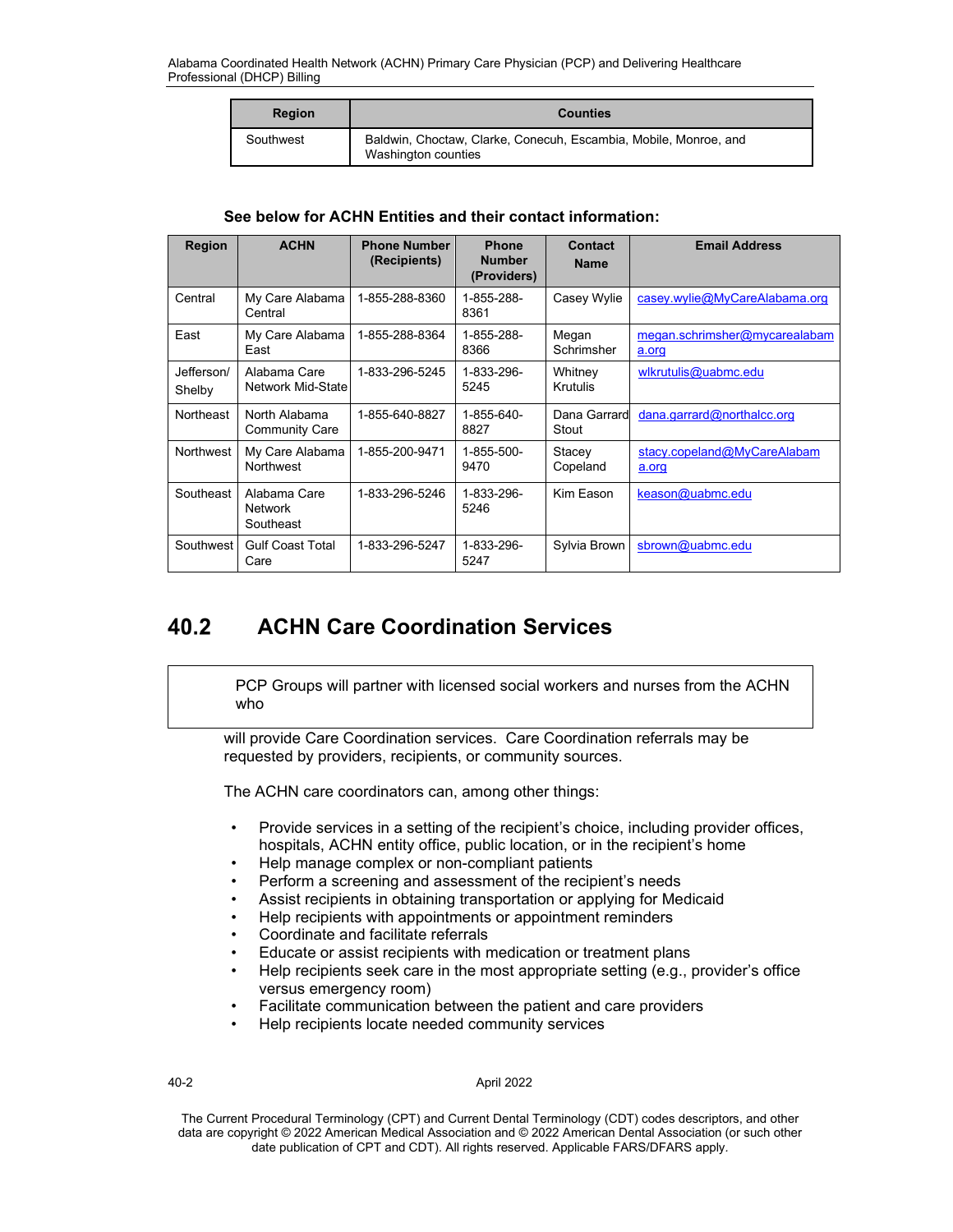| <b>Region</b> | <b>Counties</b>                                                                         |
|---------------|-----------------------------------------------------------------------------------------|
| Southwest     | Baldwin, Choctaw, Clarke, Conecuh, Escambia, Mobile, Monroe, and<br>Washington counties |

## **See below for ACHN Entities and their contact information:**

| <b>Region</b>        | <b>ACHN</b>                                 | <b>Phone Number</b><br>(Recipients) | <b>Phone</b><br><b>Number</b><br>(Providers) | Contact<br><b>Name</b>     | <b>Email Address</b>                   |
|----------------------|---------------------------------------------|-------------------------------------|----------------------------------------------|----------------------------|----------------------------------------|
| Central              | My Care Alabama<br>Central                  | 1-855-288-8360                      | 1-855-288-<br>8361                           | Casey Wylie                | casey.wylie@MyCareAlabama.org          |
| East                 | My Care Alabama<br>East                     | 1-855-288-8364                      | 1-855-288-<br>8366                           | Megan<br>Schrimsher        | megan.schrimsher@mycarealabam<br>a.org |
| Jefferson/<br>Shelby | Alabama Care<br>Network Mid-State           | 1-833-296-5245                      | 1-833-296-<br>5245                           | Whitney<br><b>Krutulis</b> | wlkrutulis@uabmc.edu                   |
| <b>Northeast</b>     | North Alabama<br><b>Community Care</b>      | 1-855-640-8827                      | 1-855-640-<br>8827                           | Dana Garrard<br>Stout      | dana.garrad@northalcc.org              |
| <b>Northwest</b>     | My Care Alabama<br><b>Northwest</b>         | 1-855-200-9471                      | 1-855-500-<br>9470                           | Stacey<br>Copeland         | stacy.copeland@MyCareAlabam<br>a.org   |
| Southeast            | Alabama Care<br><b>Network</b><br>Southeast | 1-833-296-5246                      | 1-833-296-<br>5246                           | Kim Eason                  | keason@uabmc.edu                       |
| Southwest            | <b>Gulf Coast Total</b><br>Care             | 1-833-296-5247                      | 1-833-296-<br>5247                           | Sylvia Brown               | sbrown@uabmc.edu                       |

#### 40.2 **ACHN Care Coordination Services**

PCP Groups will partner with licensed social workers and nurses from the ACHN who

will provide Care Coordination services. Care Coordination referrals may be requested by providers, recipients, or community sources.

The ACHN care coordinators can, among other things:

- Provide services in a setting of the recipient's choice, including provider offices, hospitals, ACHN entity office, public location, or in the recipient's home
- Help manage complex or non-compliant patients
- Perform a screening and assessment of the recipient's needs
- Assist recipients in obtaining transportation or applying for Medicaid
- Help recipients with appointments or appointment reminders
- Coordinate and facilitate referrals
- Educate or assist recipients with medication or treatment plans
- Help recipients seek care in the most appropriate setting (e.g., provider's office versus emergency room)
- Facilitate communication between the patient and care providers
- Help recipients locate needed community services

April 2022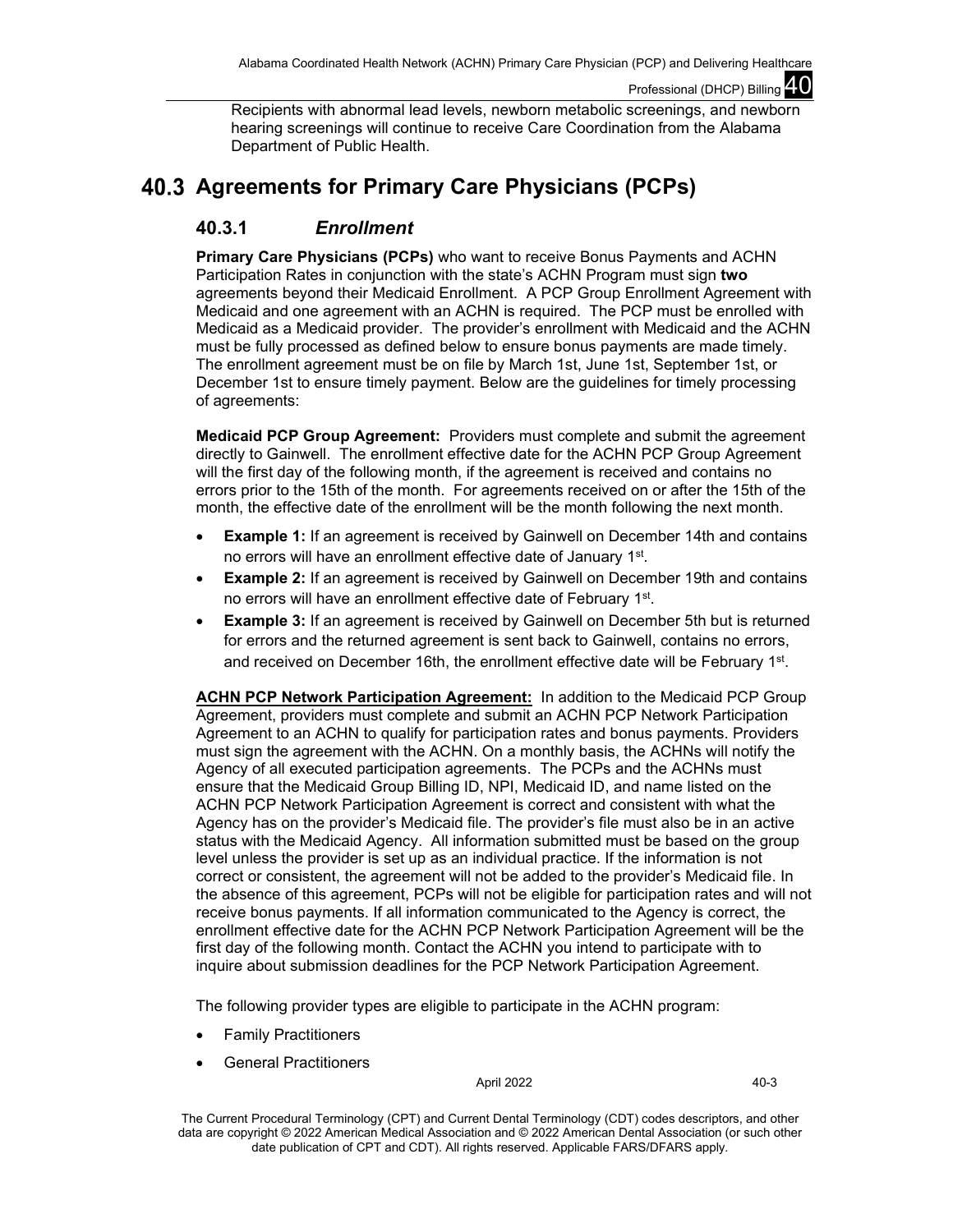Recipients with abnormal lead levels, newborn metabolic screenings, and newborn hearing screenings will continue to receive Care Coordination from the Alabama Department of Public Health.

# **Agreements for Primary Care Physicians (PCPs)**

# **40.3.1** *Enrollment*

**Primary Care Physicians (PCPs)** who want to receive Bonus Payments and ACHN Participation Rates in conjunction with the state's ACHN Program must sign **two** agreements beyond their Medicaid Enrollment. A PCP Group Enrollment Agreement with Medicaid and one agreement with an ACHN is required. The PCP must be enrolled with Medicaid as a Medicaid provider. The provider's enrollment with Medicaid and the ACHN must be fully processed as defined below to ensure bonus payments are made timely. The enrollment agreement must be on file by March 1st, June 1st, September 1st, or December 1st to ensure timely payment. Below are the guidelines for timely processing of agreements:

**Medicaid PCP Group Agreement:** Providers must complete and submit the agreement directly to Gainwell. The enrollment effective date for the ACHN PCP Group Agreement will the first day of the following month, if the agreement is received and contains no errors prior to the 15th of the month. For agreements received on or after the 15th of the month, the effective date of the enrollment will be the month following the next month.

- **Example 1:** If an agreement is received by Gainwell on December 14th and contains no errors will have an enrollment effective date of January 1st.
- **Example 2:** If an agreement is received by Gainwell on December 19th and contains no errors will have an enrollment effective date of February 1st.
- **Example 3:** If an agreement is received by Gainwell on December 5th but is returned for errors and the returned agreement is sent back to Gainwell, contains no errors, and received on December 16th, the enrollment effective date will be February 1st.

**ACHN PCP Network Participation Agreement:** In addition to the Medicaid PCP Group Agreement, providers must complete and submit an ACHN PCP Network Participation Agreement to an ACHN to qualify for participation rates and bonus payments. Providers must sign the agreement with the ACHN. On a monthly basis, the ACHNs will notify the Agency of all executed participation agreements. The PCPs and the ACHNs must ensure that the Medicaid Group Billing ID, NPI, Medicaid ID, and name listed on the ACHN PCP Network Participation Agreement is correct and consistent with what the Agency has on the provider's Medicaid file. The provider's file must also be in an active status with the Medicaid Agency. All information submitted must be based on the group level unless the provider is set up as an individual practice. If the information is not correct or consistent, the agreement will not be added to the provider's Medicaid file. In the absence of this agreement, PCPs will not be eligible for participation rates and will not receive bonus payments. If all information communicated to the Agency is correct, the enrollment effective date for the ACHN PCP Network Participation Agreement will be the first day of the following month. Contact the ACHN you intend to participate with to inquire about submission deadlines for the PCP Network Participation Agreement.

The following provider types are eligible to participate in the ACHN program:

- Family Practitioners
- General Practitioners

April 2022 40-3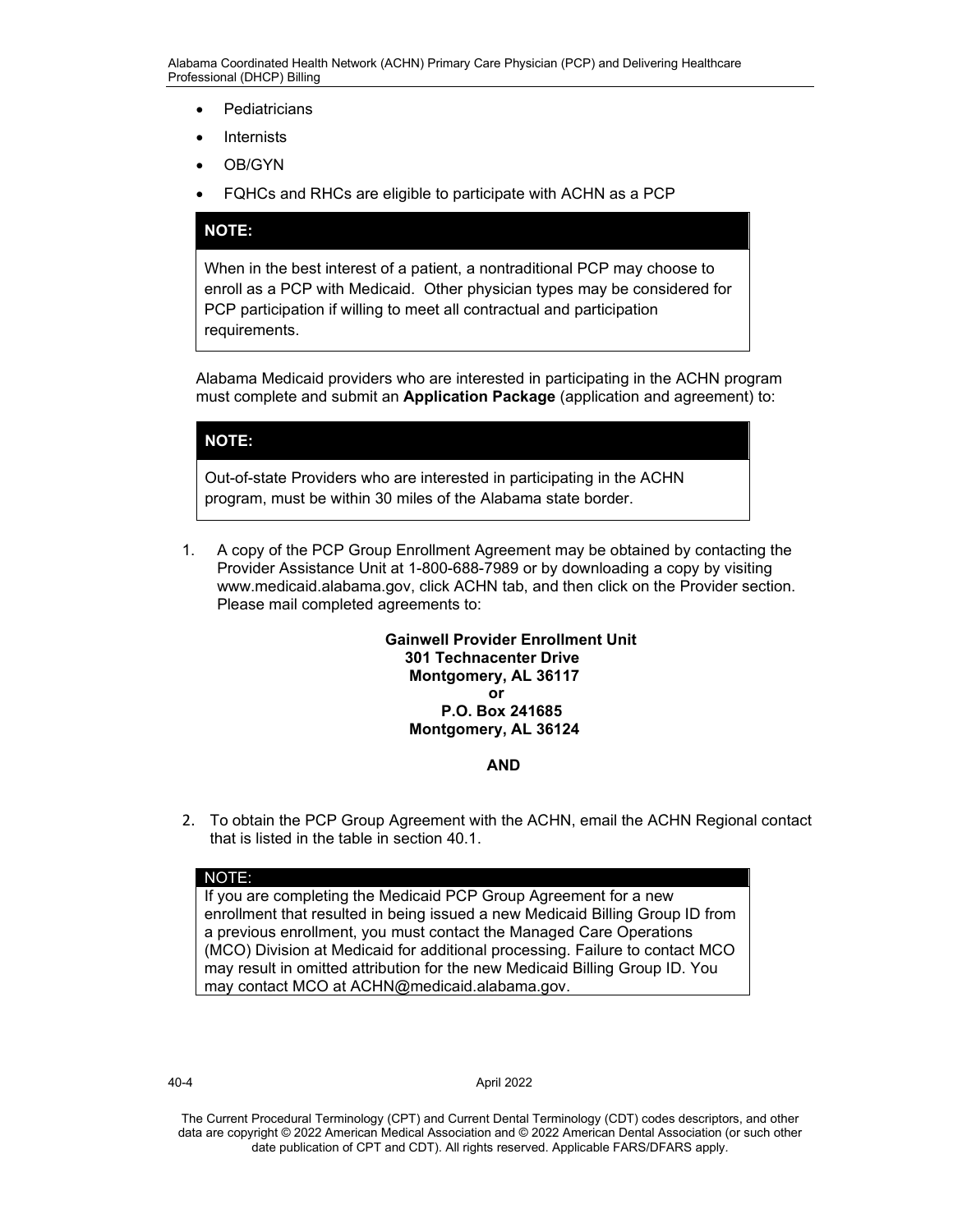- Pediatricians
- Internists
- OB/GYN
- FQHCs and RHCs are eligible to participate with ACHN as a PCP

## **NOTE:**

When in the best interest of a patient, a nontraditional PCP may choose to enroll as a PCP with Medicaid. Other physician types may be considered for PCP participation if willing to meet all contractual and participation requirements.

Alabama Medicaid providers who are interested in participating in the ACHN program must complete and submit an **Application Package** (application and agreement) to:

## **NOTE:**

Out-of-state Providers who are interested in participating in the ACHN program, must be within 30 miles of the Alabama state border.

1. A copy of the PCP Group Enrollment Agreement may be obtained by contacting the Provider Assistance Unit at 1-800-688-7989 or by downloading a copy by visiting www.medicaid.alabama.gov, click ACHN tab, and then click on the Provider section. Please mail completed agreements to:

> **Gainwell Provider Enrollment Unit 301 Technacenter Drive Montgomery, AL 36117 or**

## **P.O. Box 241685 Montgomery, AL 36124**

### **AND**

2. To obtain the PCP Group Agreement with the ACHN, email the ACHN Regional contact that is listed in the table in section 40.1.

### NOTE:

If you are completing the Medicaid PCP Group Agreement for a new enrollment that resulted in being issued a new Medicaid Billing Group ID from a previous enrollment, you must contact the Managed Care Operations (MCO) Division at Medicaid for additional processing. Failure to contact MCO may result in omitted attribution for the new Medicaid Billing Group ID. You may contact MCO at ACHN@medicaid.alabama.gov.

40-4 April 2022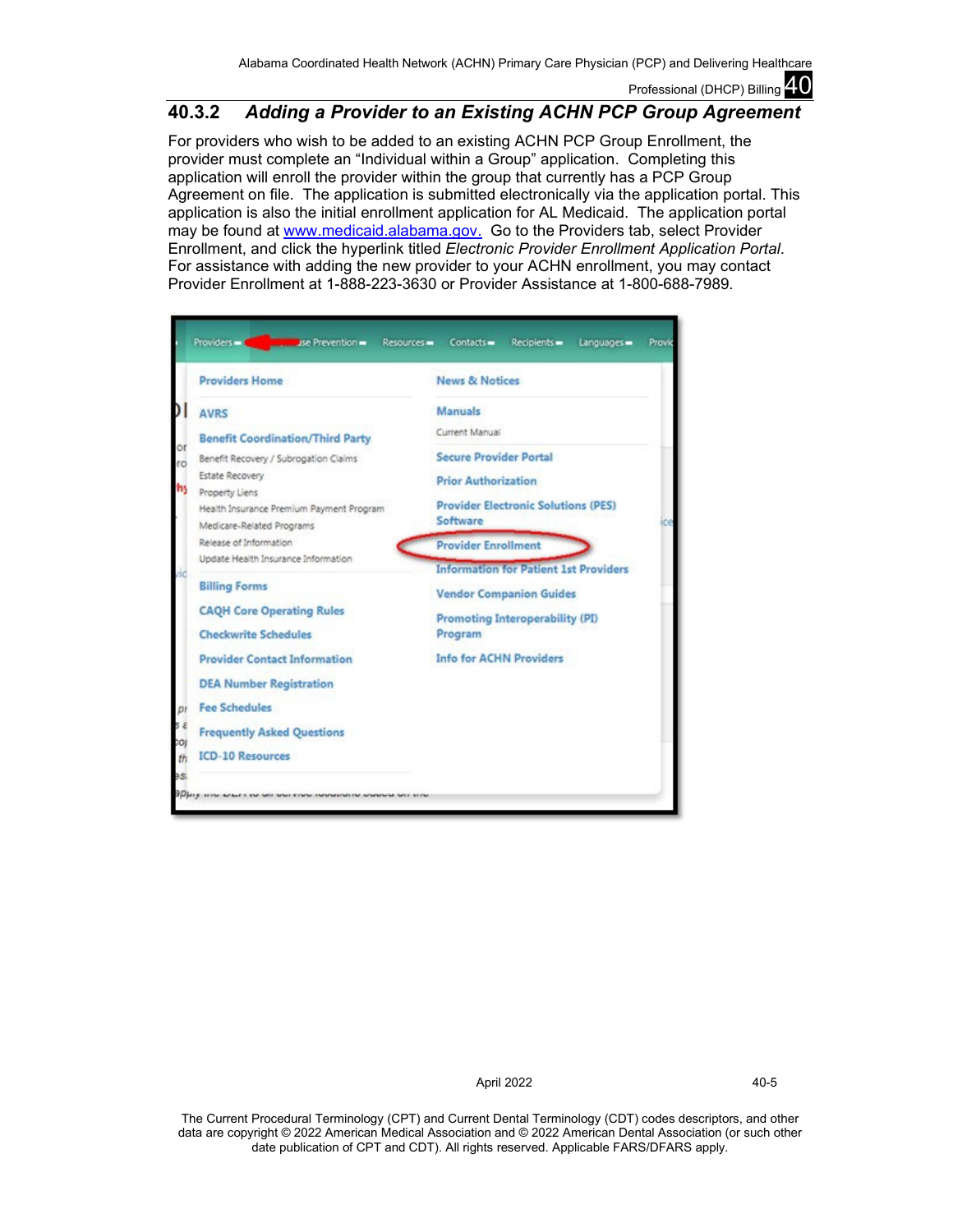# **40.3.2** *Adding a Provider to an Existing ACHN PCP Group Agreement*

For providers who wish to be added to an existing ACHN PCP Group Enrollment, the provider must complete an "Individual within a Group" application. Completing this application will enroll the provider within the group that currently has a PCP Group Agreement on file. The application is submitted electronically via the application portal. This application is also the initial enrollment application for AL Medicaid. The application portal may be found at [www.medicaid.alabama.gov.](http://www.medicaid.alabama.gov./) Go to the Providers tab, select Provider Enrollment, and click the hyperlink titled *Electronic Provider Enrollment Application Portal*. For assistance with adding the new provider to your ACHN enrollment, you may contact Provider Enrollment at 1-888-223-3630 or Provider Assistance at 1-800-688-7989.

| <b>Providers Home</b>                                                 | <b>News &amp; Notices</b>                    |
|-----------------------------------------------------------------------|----------------------------------------------|
| <b>AVRS</b>                                                           | <b>Manuals</b>                               |
| <b>Benefit Coordination/Third Party</b>                               | Current Manual                               |
| Benefit Recovery / Subrogation Claims                                 | <b>Secure Provider Portal</b>                |
| Estate Recovery                                                       | <b>Prior Authorization</b>                   |
| Property Liens                                                        | <b>Provider Electronic Solutions (PES)</b>   |
| Health Insurance Premium Payment Program<br>Medicare-Related Programs | Software                                     |
| Release of Information                                                | <b>Provider Enrollment</b>                   |
| Update Health Insurance Information                                   | <b>Information for Patient 1st Providers</b> |
| <b>Billing Forms</b>                                                  | <b>Vendor Companion Guides</b>               |
| <b>CAQH Core Operating Rules</b>                                      |                                              |
| <b>Checkwrite Schedules</b>                                           | Promoting Interoperability (PI)<br>Program   |
| <b>Provider Contact Information</b>                                   | <b>Info for ACHN Providers</b>               |
| <b>DEA Number Registration</b>                                        |                                              |
| <b>Fee Schedules</b>                                                  |                                              |
| <b>Frequently Asked Questions</b>                                     |                                              |
| <b>ICD-10 Resources</b>                                               |                                              |

April 2022 40-5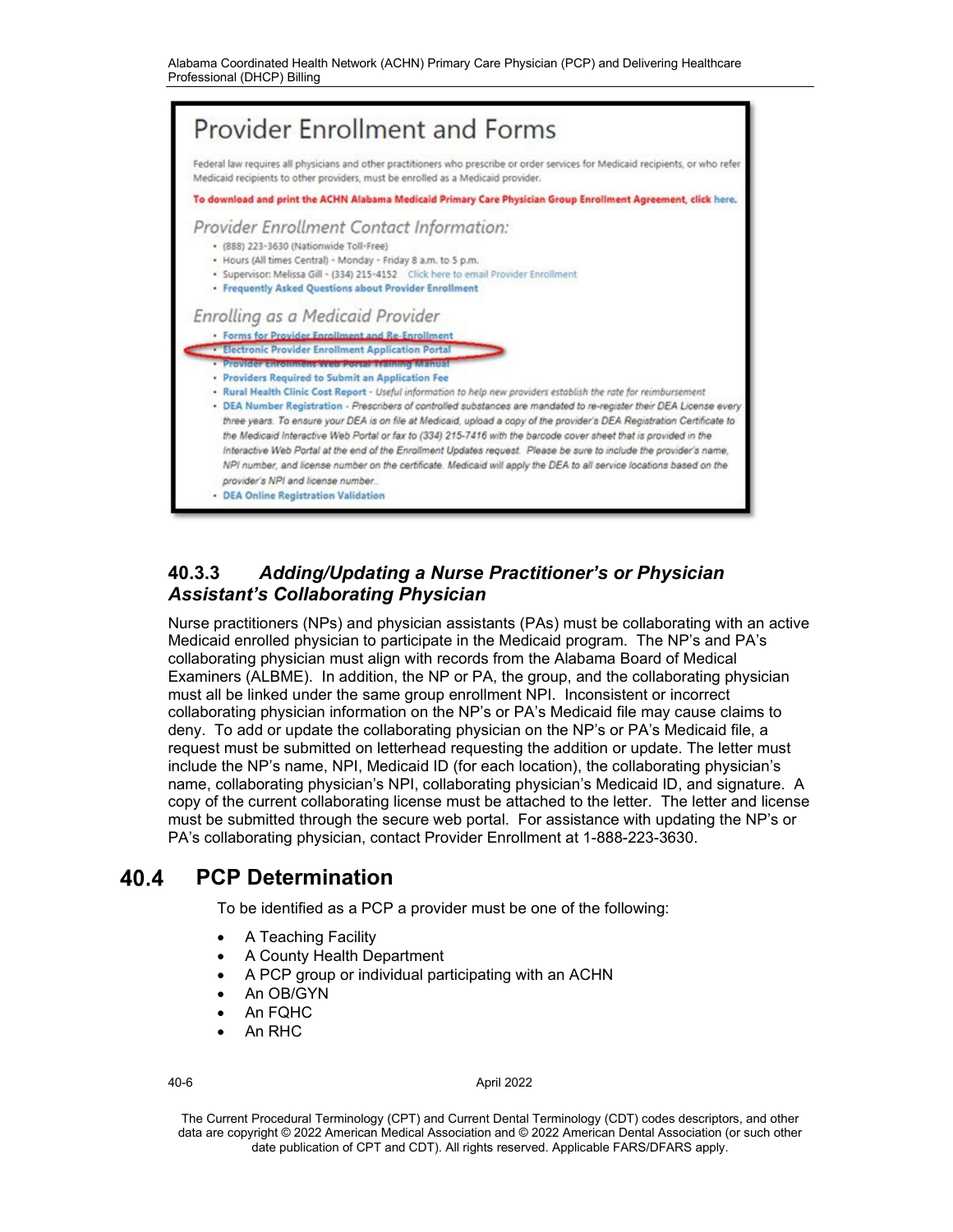

# **40.3.3** *Adding/Updating a Nurse Practitioner's or Physician Assistant's Collaborating Physician*

Nurse practitioners (NPs) and physician assistants (PAs) must be collaborating with an active Medicaid enrolled physician to participate in the Medicaid program. The NP's and PA's collaborating physician must align with records from the Alabama Board of Medical Examiners (ALBME). In addition, the NP or PA, the group, and the collaborating physician must all be linked under the same group enrollment NPI. Inconsistent or incorrect collaborating physician information on the NP's or PA's Medicaid file may cause claims to deny. To add or update the collaborating physician on the NP's or PA's Medicaid file, a request must be submitted on letterhead requesting the addition or update. The letter must include the NP's name, NPI, Medicaid ID (for each location), the collaborating physician's name, collaborating physician's NPI, collaborating physician's Medicaid ID, and signature. A copy of the current collaborating license must be attached to the letter. The letter and license must be submitted through the secure web portal. For assistance with updating the NP's or PA's collaborating physician, contact Provider Enrollment at 1-888-223-3630.

#### 40.4 **PCP Determination**

To be identified as a PCP a provider must be one of the following:

- A Teaching Facility
- A County Health Department
- A PCP group or individual participating with an ACHN
- An OB/GYN
- An FQHC
- An RHC

### 40-6 April 2022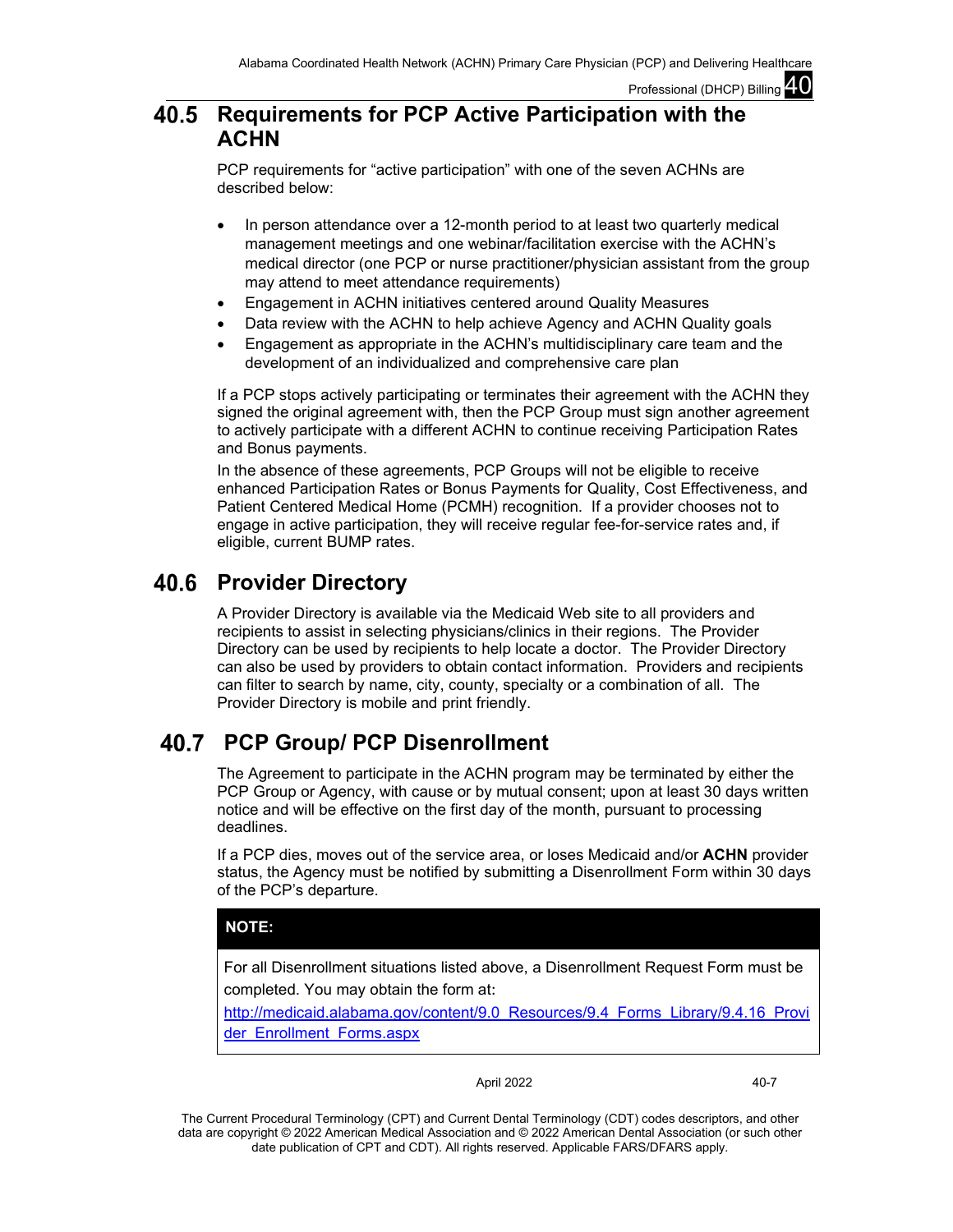### **Requirements for PCP Active Participation with the**  40.5 **ACHN**

PCP requirements for "active participation" with one of the seven ACHNs are described below:

- In person attendance over a 12-month period to at least two quarterly medical management meetings and one webinar/facilitation exercise with the ACHN's medical director (one PCP or nurse practitioner/physician assistant from the group may attend to meet attendance requirements)
- Engagement in ACHN initiatives centered around Quality Measures
- Data review with the ACHN to help achieve Agency and ACHN Quality goals
- Engagement as appropriate in the ACHN's multidisciplinary care team and the development of an individualized and comprehensive care plan

If a PCP stops actively participating or terminates their agreement with the ACHN they signed the original agreement with, then the PCP Group must sign another agreement to actively participate with a different ACHN to continue receiving Participation Rates and Bonus payments.

In the absence of these agreements, PCP Groups will not be eligible to receive enhanced Participation Rates or Bonus Payments for Quality, Cost Effectiveness, and Patient Centered Medical Home (PCMH) recognition. If a provider chooses not to engage in active participation, they will receive regular fee-for-service rates and, if eligible, current BUMP rates.

# **40.6 Provider Directory**

A Provider Directory is available via the Medicaid Web site to all providers and recipients to assist in selecting physicians/clinics in their regions. The Provider Directory can be used by recipients to help locate a doctor. The Provider Directory can also be used by providers to obtain contact information. Providers and recipients can filter to search by name, city, county, specialty or a combination of all. The Provider Directory is mobile and print friendly.

# **PCP Group/ PCP Disenrollment**

The Agreement to participate in the ACHN program may be terminated by either the PCP Group or Agency, with cause or by mutual consent; upon at least 30 days written notice and will be effective on the first day of the month, pursuant to processing deadlines.

If a PCP dies, moves out of the service area, or loses Medicaid and/or **ACHN** provider status, the Agency must be notified by submitting a Disenrollment Form within 30 days of the PCP's departure.

# **NOTE:**

For all Disenrollment situations listed above, a Disenrollment Request Form must be completed. You may obtain the form at:

[http://medicaid.alabama.gov/content/9.0\\_Resources/9.4\\_Forms\\_Library/9.4.16\\_Provi](http://medicaid.alabama.gov/content/9.0_Resources/9.4_Forms_Library/9.4.16_Provider_Enrollment_Forms.aspx) [der\\_Enrollment\\_Forms.aspx](http://medicaid.alabama.gov/content/9.0_Resources/9.4_Forms_Library/9.4.16_Provider_Enrollment_Forms.aspx)

April 2022 40-7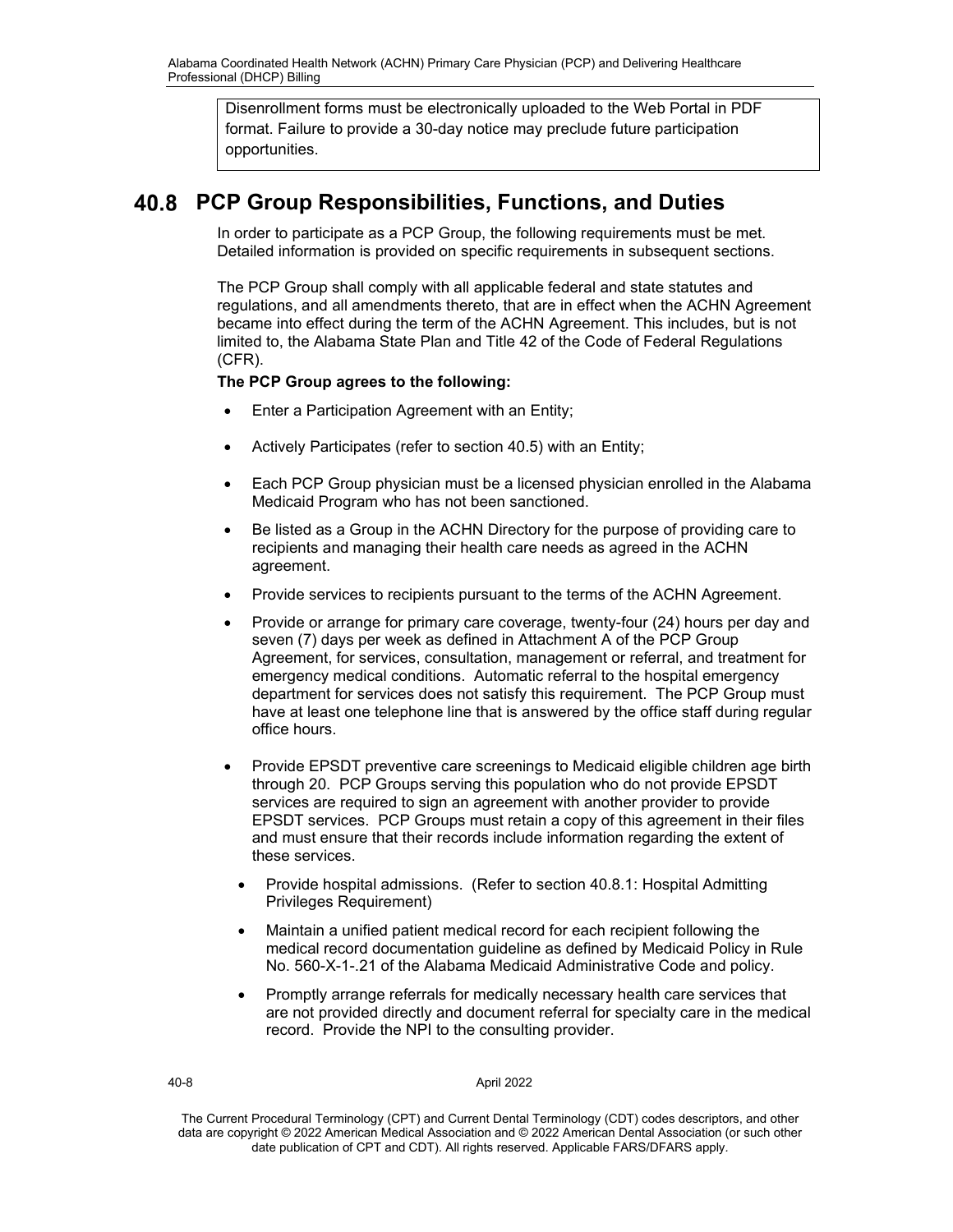Disenrollment forms must be electronically uploaded to the Web Portal in PDF format. Failure to provide a 30-day notice may preclude future participation opportunities.

# **PCP Group Responsibilities, Functions, and Duties**

In order to participate as a PCP Group, the following requirements must be met. Detailed information is provided on specific requirements in subsequent sections.

The PCP Group shall comply with all applicable federal and state statutes and regulations, and all amendments thereto, that are in effect when the ACHN Agreement became into effect during the term of the ACHN Agreement. This includes, but is not limited to, the Alabama State Plan and Title 42 of the Code of Federal Regulations (CFR).

## **The PCP Group agrees to the following:**

- Enter a Participation Agreement with an Entity;
- Actively Participates (refer to section 40.5) with an Entity;
- Each PCP Group physician must be a licensed physician enrolled in the Alabama Medicaid Program who has not been sanctioned.
- Be listed as a Group in the ACHN Directory for the purpose of providing care to recipients and managing their health care needs as agreed in the ACHN agreement.
- Provide services to recipients pursuant to the terms of the ACHN Agreement.
- Provide or arrange for primary care coverage, twenty-four (24) hours per day and seven (7) days per week as defined in Attachment A of the PCP Group Agreement, for services, consultation, management or referral, and treatment for emergency medical conditions. Automatic referral to the hospital emergency department for services does not satisfy this requirement. The PCP Group must have at least one telephone line that is answered by the office staff during regular office hours.
- Provide EPSDT preventive care screenings to Medicaid eligible children age birth through 20. PCP Groups serving this population who do not provide EPSDT services are required to sign an agreement with another provider to provide EPSDT services. PCP Groups must retain a copy of this agreement in their files and must ensure that their records include information regarding the extent of these services.
	- Provide hospital admissions. (Refer to section 40.8.1: Hospital Admitting Privileges Requirement)
	- Maintain a unified patient medical record for each recipient following the medical record documentation guideline as defined by Medicaid Policy in Rule No. 560-X-1-.21 of the Alabama Medicaid Administrative Code and policy.
	- Promptly arrange referrals for medically necessary health care services that are not provided directly and document referral for specialty care in the medical record. Provide the NPI to the consulting provider.

40-8 April 2022

The Current Procedural Terminology (CPT) and Current Dental Terminology (CDT) codes descriptors, and other data are copyright © 2022 American Medical Association and © 2022 American Dental Association (or such other date publication of CPT and CDT). All rights reserved. Applicable FARS/DFARS apply*.*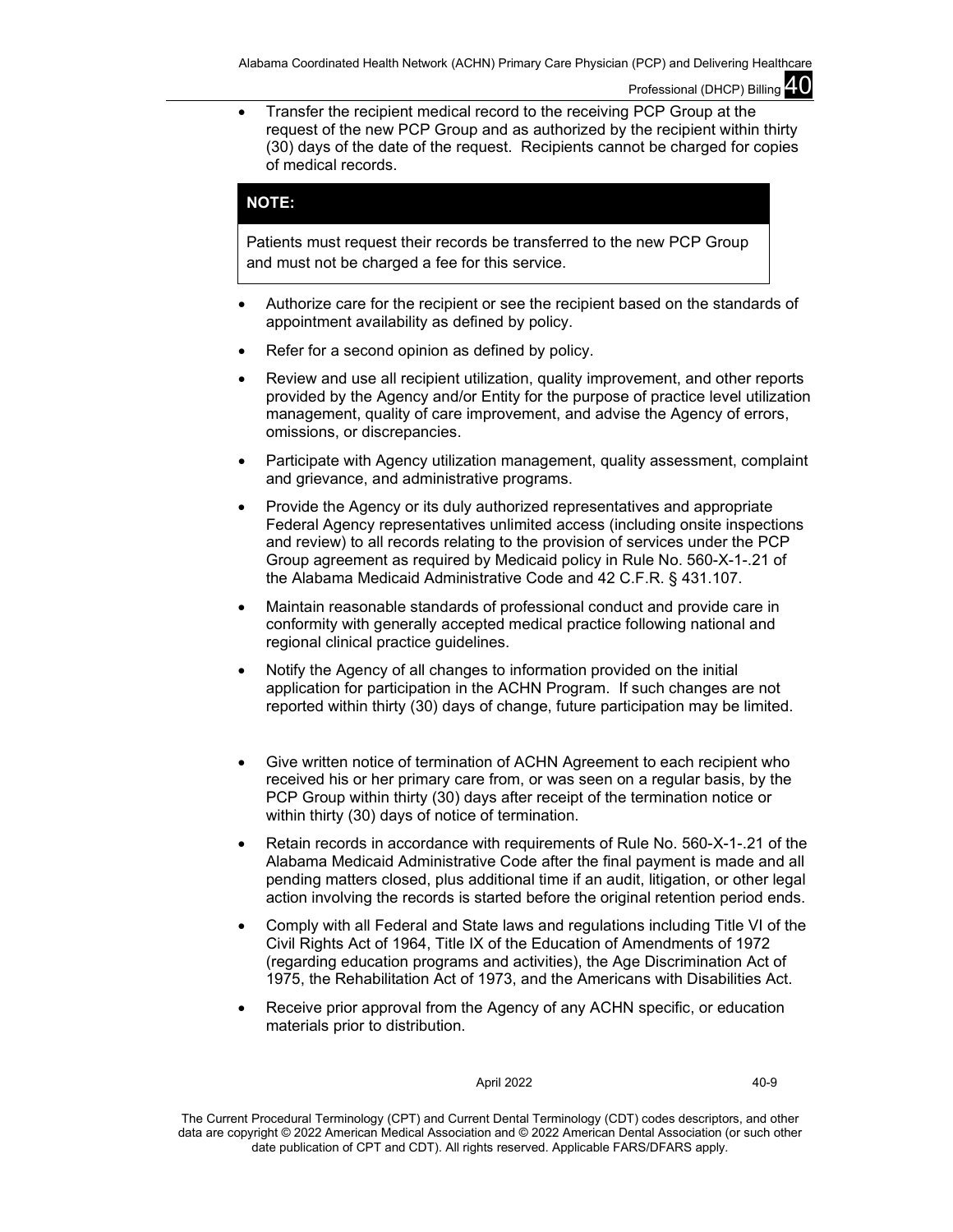• Transfer the recipient medical record to the receiving PCP Group at the request of the new PCP Group and as authorized by the recipient within thirty (30) days of the date of the request. Recipients cannot be charged for copies of medical records.

## **NOTE:**

Patients must request their records be transferred to the new PCP Group and must not be charged a fee for this service.

- Authorize care for the recipient or see the recipient based on the standards of appointment availability as defined by policy.
- Refer for a second opinion as defined by policy.
- Review and use all recipient utilization, quality improvement, and other reports provided by the Agency and/or Entity for the purpose of practice level utilization management, quality of care improvement, and advise the Agency of errors, omissions, or discrepancies.
- Participate with Agency utilization management, quality assessment, complaint and grievance, and administrative programs.
- Provide the Agency or its duly authorized representatives and appropriate Federal Agency representatives unlimited access (including onsite inspections and review) to all records relating to the provision of services under the PCP Group agreement as required by Medicaid policy in Rule No. 560-X-1-.21 of the Alabama Medicaid Administrative Code and 42 C.F.R. § 431.107.
- Maintain reasonable standards of professional conduct and provide care in conformity with generally accepted medical practice following national and regional clinical practice guidelines.
- Notify the Agency of all changes to information provided on the initial application for participation in the ACHN Program. If such changes are not reported within thirty (30) days of change, future participation may be limited.
- Give written notice of termination of ACHN Agreement to each recipient who received his or her primary care from, or was seen on a regular basis, by the PCP Group within thirty (30) days after receipt of the termination notice or within thirty (30) days of notice of termination.
- Retain records in accordance with requirements of Rule No. 560-X-1-.21 of the Alabama Medicaid Administrative Code after the final payment is made and all pending matters closed, plus additional time if an audit, litigation, or other legal action involving the records is started before the original retention period ends.
- Comply with all Federal and State laws and regulations including Title VI of the Civil Rights Act of 1964, Title IX of the Education of Amendments of 1972 (regarding education programs and activities), the Age Discrimination Act of 1975, the Rehabilitation Act of 1973, and the Americans with Disabilities Act.
- Receive prior approval from the Agency of any ACHN specific, or education materials prior to distribution.

### April 2022 40-9

The Current Procedural Terminology (CPT) and Current Dental Terminology (CDT) codes descriptors, and other data are copyright © 2022 American Medical Association and © 2022 American Dental Association (or such other date publication of CPT and CDT). All rights reserved. Applicable FARS/DFARS apply*.*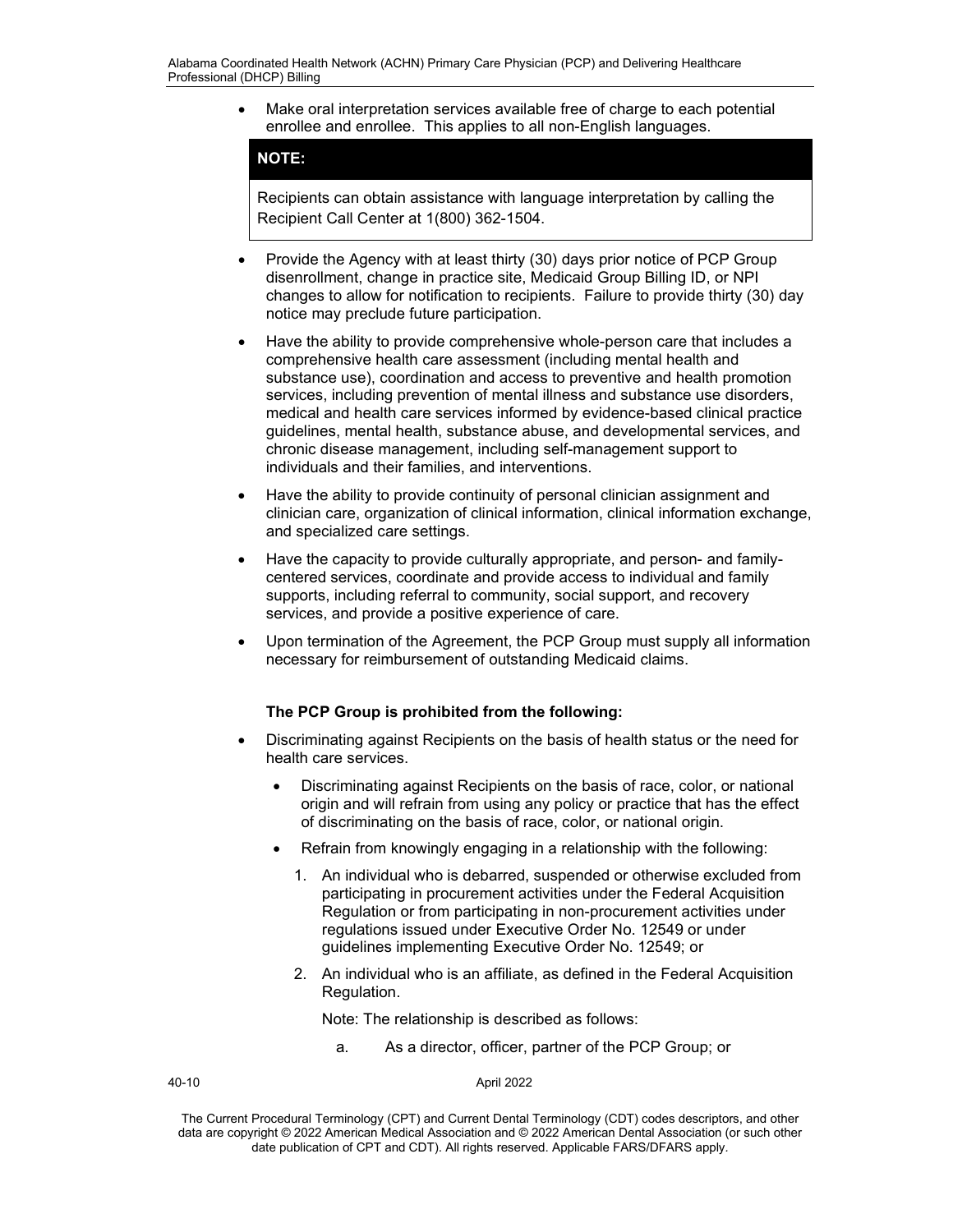• Make oral interpretation services available free of charge to each potential enrollee and enrollee. This applies to all non-English languages.

## **NOTE:**

Recipients can obtain assistance with language interpretation by calling the Recipient Call Center at 1(800) 362-1504.

- Provide the Agency with at least thirty (30) days prior notice of PCP Group disenrollment, change in practice site, Medicaid Group Billing ID, or NPI changes to allow for notification to recipients. Failure to provide thirty (30) day notice may preclude future participation.
- Have the ability to provide comprehensive whole-person care that includes a comprehensive health care assessment (including mental health and substance use), coordination and access to preventive and health promotion services, including prevention of mental illness and substance use disorders, medical and health care services informed by evidence-based clinical practice guidelines, mental health, substance abuse, and developmental services, and chronic disease management, including self-management support to individuals and their families, and interventions.
- Have the ability to provide continuity of personal clinician assignment and clinician care, organization of clinical information, clinical information exchange, and specialized care settings.
- Have the capacity to provide culturally appropriate, and person- and familycentered services, coordinate and provide access to individual and family supports, including referral to community, social support, and recovery services, and provide a positive experience of care.
- Upon termination of the Agreement, the PCP Group must supply all information necessary for reimbursement of outstanding Medicaid claims.

## **The PCP Group is prohibited from the following:**

- Discriminating against Recipients on the basis of health status or the need for health care services.
	- Discriminating against Recipients on the basis of race, color, or national origin and will refrain from using any policy or practice that has the effect of discriminating on the basis of race, color, or national origin.
	- Refrain from knowingly engaging in a relationship with the following:
		- 1. An individual who is debarred, suspended or otherwise excluded from participating in procurement activities under the Federal Acquisition Regulation or from participating in non-procurement activities under regulations issued under Executive Order No. 12549 or under guidelines implementing Executive Order No. 12549; or
		- 2. An individual who is an affiliate, as defined in the Federal Acquisition Regulation.

Note: The relationship is described as follows:

a. As a director, officer, partner of the PCP Group; or

40-10 April 2022

The Current Procedural Terminology (CPT) and Current Dental Terminology (CDT) codes descriptors, and other data are copyright © 2022 American Medical Association and © 2022 American Dental Association (or such other date publication of CPT and CDT). All rights reserved. Applicable FARS/DFARS apply*.*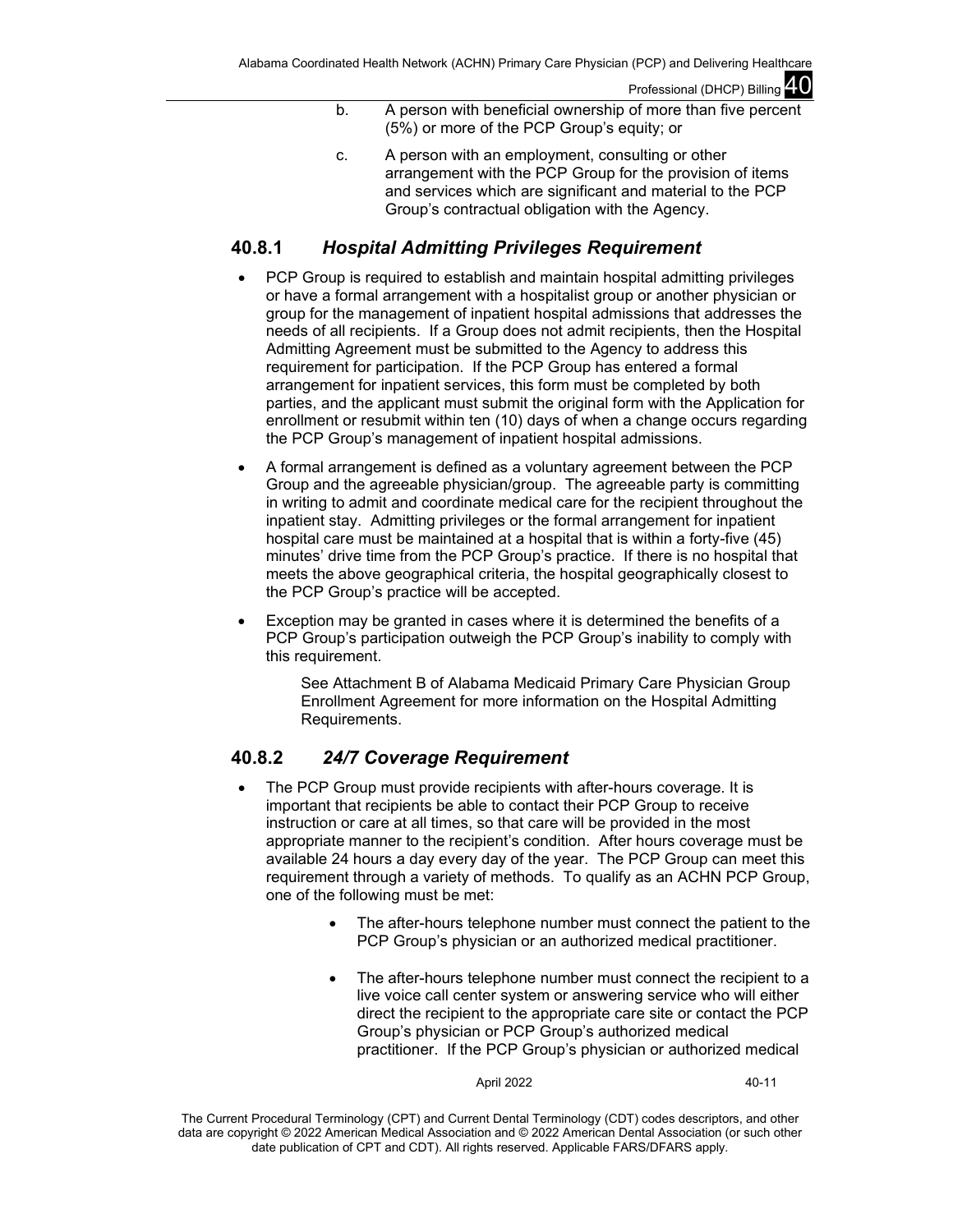- b. A person with beneficial ownership of more than five percent (5%) or more of the PCP Group's equity; or
- c. A person with an employment, consulting or other arrangement with the PCP Group for the provision of items and services which are significant and material to the PCP Group's contractual obligation with the Agency.

# **40.8.1** *Hospital Admitting Privileges Requirement*

- PCP Group is required to establish and maintain hospital admitting privileges or have a formal arrangement with a hospitalist group or another physician or group for the management of inpatient hospital admissions that addresses the needs of all recipients. If a Group does not admit recipients, then the Hospital Admitting Agreement must be submitted to the Agency to address this requirement for participation. If the PCP Group has entered a formal arrangement for inpatient services, this form must be completed by both parties, and the applicant must submit the original form with the Application for enrollment or resubmit within ten (10) days of when a change occurs regarding the PCP Group's management of inpatient hospital admissions.
- A formal arrangement is defined as a voluntary agreement between the PCP Group and the agreeable physician/group. The agreeable party is committing in writing to admit and coordinate medical care for the recipient throughout the inpatient stay. Admitting privileges or the formal arrangement for inpatient hospital care must be maintained at a hospital that is within a forty-five (45) minutes' drive time from the PCP Group's practice. If there is no hospital that meets the above geographical criteria, the hospital geographically closest to the PCP Group's practice will be accepted.
- Exception may be granted in cases where it is determined the benefits of a PCP Group's participation outweigh the PCP Group's inability to comply with this requirement.

See Attachment B of Alabama Medicaid Primary Care Physician Group Enrollment Agreement for more information on the Hospital Admitting Requirements.

# **40.8.2** *24/7 Coverage Requirement*

- The PCP Group must provide recipients with after-hours coverage. It is important that recipients be able to contact their PCP Group to receive instruction or care at all times, so that care will be provided in the most appropriate manner to the recipient's condition. After hours coverage must be available 24 hours a day every day of the year. The PCP Group can meet this requirement through a variety of methods. To qualify as an ACHN PCP Group, one of the following must be met:
	- The after-hours telephone number must connect the patient to the PCP Group's physician or an authorized medical practitioner.
	- The after-hours telephone number must connect the recipient to a live voice call center system or answering service who will either direct the recipient to the appropriate care site or contact the PCP Group's physician or PCP Group's authorized medical practitioner. If the PCP Group's physician or authorized medical

April 2022 40-11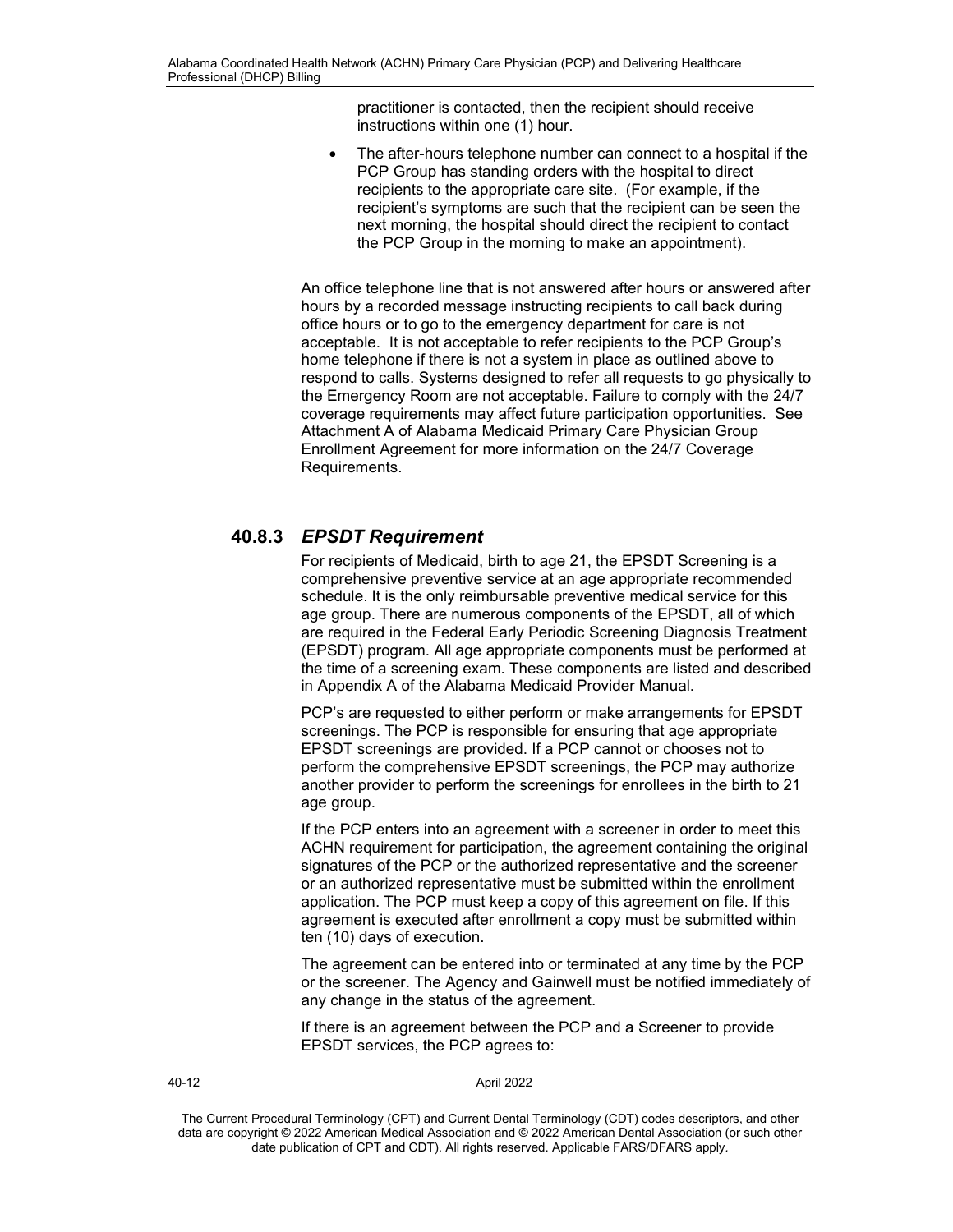practitioner is contacted, then the recipient should receive instructions within one (1) hour.

The after-hours telephone number can connect to a hospital if the PCP Group has standing orders with the hospital to direct recipients to the appropriate care site. (For example, if the recipient's symptoms are such that the recipient can be seen the next morning, the hospital should direct the recipient to contact the PCP Group in the morning to make an appointment).

An office telephone line that is not answered after hours or answered after hours by a recorded message instructing recipients to call back during office hours or to go to the emergency department for care is not acceptable. It is not acceptable to refer recipients to the PCP Group's home telephone if there is not a system in place as outlined above to respond to calls. Systems designed to refer all requests to go physically to the Emergency Room are not acceptable. Failure to comply with the 24/7 coverage requirements may affect future participation opportunities. See Attachment A of Alabama Medicaid Primary Care Physician Group Enrollment Agreement for more information on the 24/7 Coverage Requirements.

# **40.8.3** *EPSDT Requirement*

For recipients of Medicaid, birth to age 21, the EPSDT Screening is a comprehensive preventive service at an age appropriate recommended schedule. It is the only reimbursable preventive medical service for this age group. There are numerous components of the EPSDT, all of which are required in the Federal Early Periodic Screening Diagnosis Treatment (EPSDT) program. All age appropriate components must be performed at the time of a screening exam. These components are listed and described in Appendix A of the Alabama Medicaid Provider Manual.

PCP's are requested to either perform or make arrangements for EPSDT screenings. The PCP is responsible for ensuring that age appropriate EPSDT screenings are provided. If a PCP cannot or chooses not to perform the comprehensive EPSDT screenings, the PCP may authorize another provider to perform the screenings for enrollees in the birth to 21 age group.

If the PCP enters into an agreement with a screener in order to meet this ACHN requirement for participation, the agreement containing the original signatures of the PCP or the authorized representative and the screener or an authorized representative must be submitted within the enrollment application. The PCP must keep a copy of this agreement on file. If this agreement is executed after enrollment a copy must be submitted within ten (10) days of execution.

The agreement can be entered into or terminated at any time by the PCP or the screener. The Agency and Gainwell must be notified immediately of any change in the status of the agreement.

If there is an agreement between the PCP and a Screener to provide EPSDT services, the PCP agrees to:

40-12 April 2022

The Current Procedural Terminology (CPT) and Current Dental Terminology (CDT) codes descriptors, and other data are copyright © 2022 American Medical Association and © 2022 American Dental Association (or such other date publication of CPT and CDT). All rights reserved. Applicable FARS/DFARS apply*.*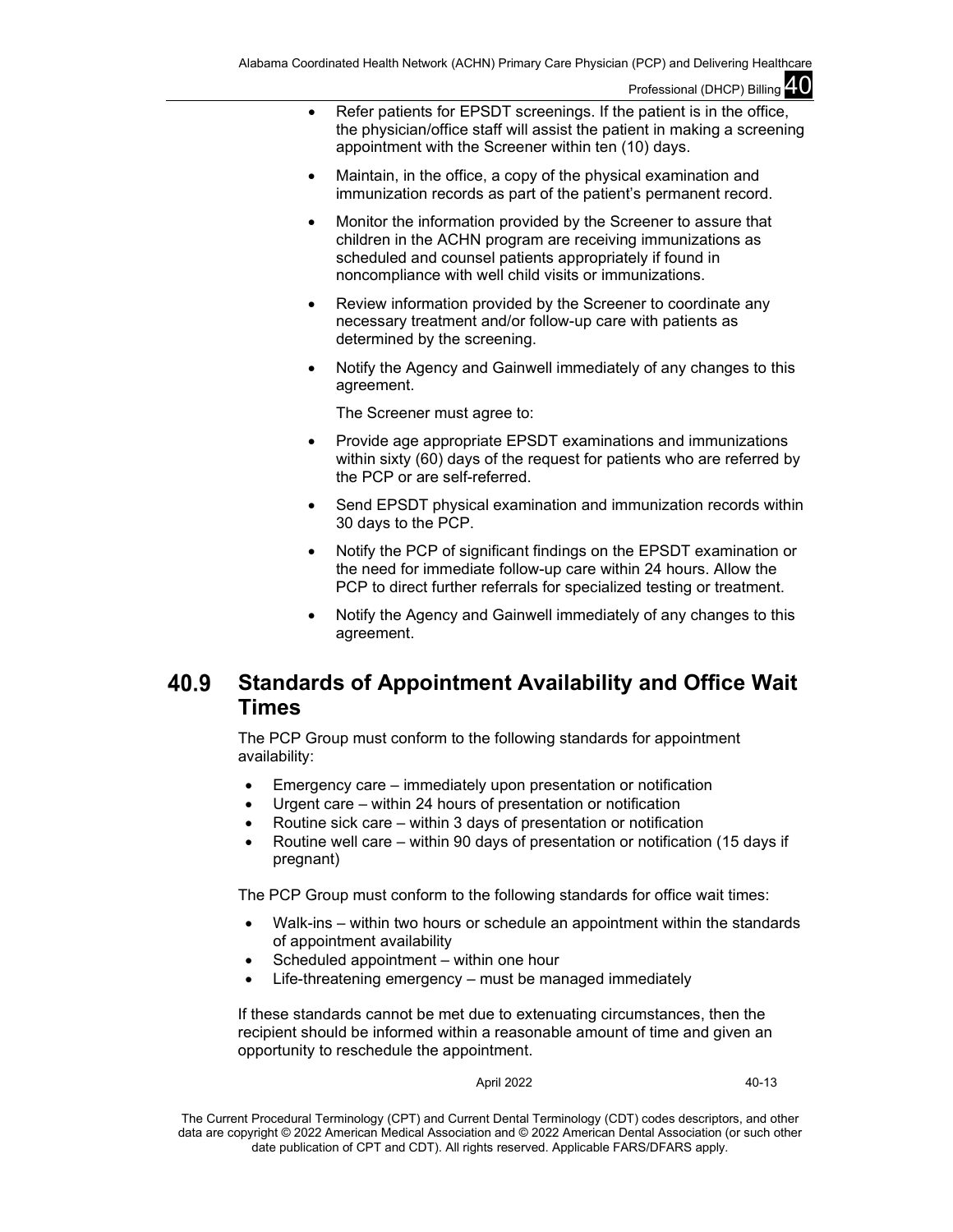- Refer patients for EPSDT screenings. If the patient is in the office, the physician/office staff will assist the patient in making a screening appointment with the Screener within ten (10) days.
- Maintain, in the office, a copy of the physical examination and immunization records as part of the patient's permanent record.
- Monitor the information provided by the Screener to assure that children in the ACHN program are receiving immunizations as scheduled and counsel patients appropriately if found in noncompliance with well child visits or immunizations.
- Review information provided by the Screener to coordinate any necessary treatment and/or follow-up care with patients as determined by the screening.
- Notify the Agency and Gainwell immediately of any changes to this agreement.

The Screener must agree to:

- Provide age appropriate EPSDT examinations and immunizations within sixty (60) days of the request for patients who are referred by the PCP or are self-referred.
- Send EPSDT physical examination and immunization records within 30 days to the PCP.
- Notify the PCP of significant findings on the EPSDT examination or the need for immediate follow-up care within 24 hours. Allow the PCP to direct further referrals for specialized testing or treatment.
- Notify the Agency and Gainwell immediately of any changes to this agreement.

### 40.9 **Standards of Appointment Availability and Office Wait Times**

The PCP Group must conform to the following standards for appointment availability:

- Emergency care immediately upon presentation or notification
- Urgent care within 24 hours of presentation or notification
- Routine sick care within 3 days of presentation or notification
- Routine well care within 90 days of presentation or notification (15 days if pregnant)

The PCP Group must conform to the following standards for office wait times:

- Walk-ins within two hours or schedule an appointment within the standards of appointment availability
- Scheduled appointment within one hour
- Life-threatening emergency must be managed immediately

If these standards cannot be met due to extenuating circumstances, then the recipient should be informed within a reasonable amount of time and given an opportunity to reschedule the appointment.

April 2022 40-13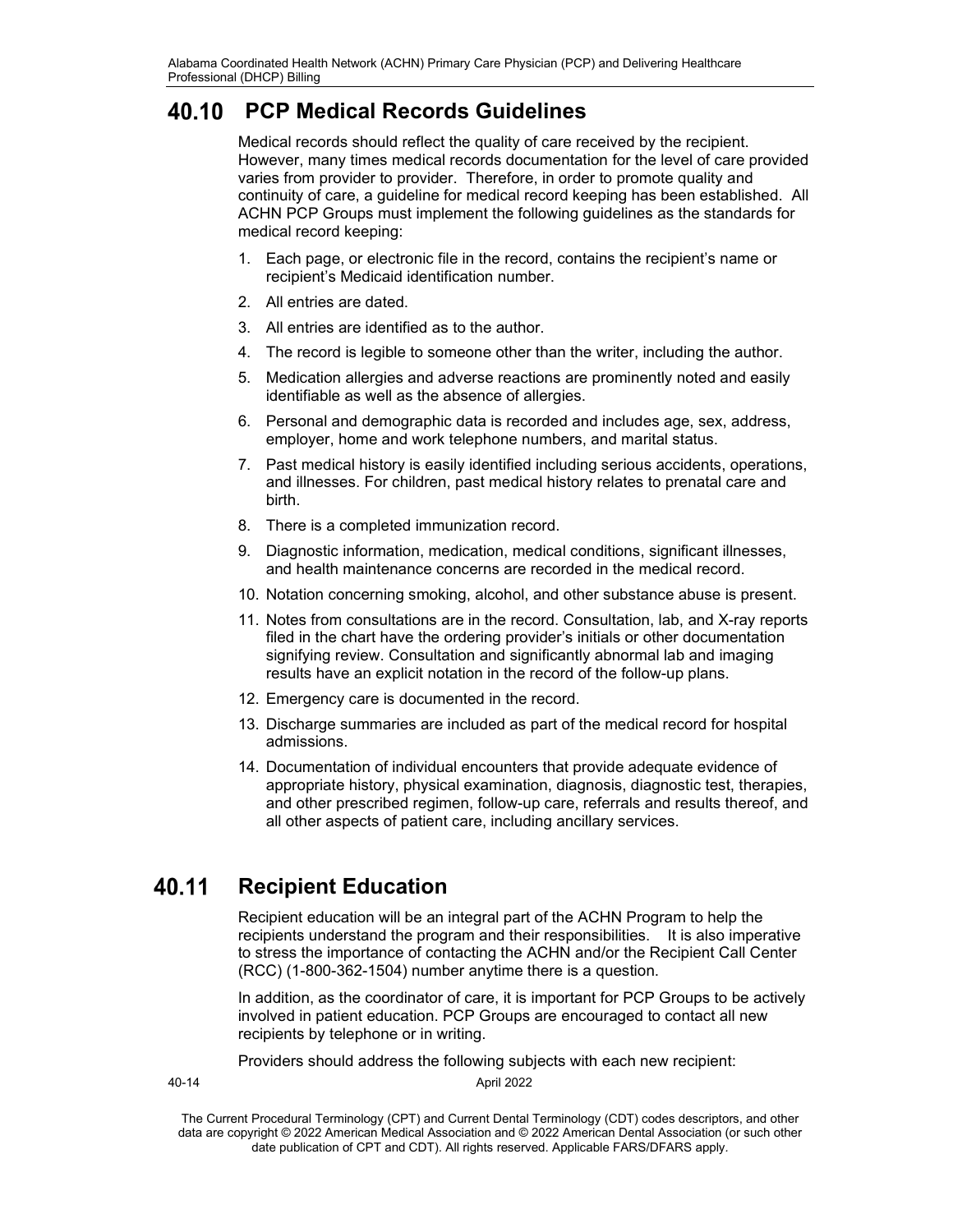# **PCP Medical Records Guidelines**

Medical records should reflect the quality of care received by the recipient. However, many times medical records documentation for the level of care provided varies from provider to provider. Therefore, in order to promote quality and continuity of care, a guideline for medical record keeping has been established. All ACHN PCP Groups must implement the following guidelines as the standards for medical record keeping:

- 1. Each page, or electronic file in the record, contains the recipient's name or recipient's Medicaid identification number.
- 2. All entries are dated.
- 3. All entries are identified as to the author.
- 4. The record is legible to someone other than the writer, including the author.
- 5. Medication allergies and adverse reactions are prominently noted and easily identifiable as well as the absence of allergies.
- 6. Personal and demographic data is recorded and includes age, sex, address, employer, home and work telephone numbers, and marital status.
- 7. Past medical history is easily identified including serious accidents, operations, and illnesses. For children, past medical history relates to prenatal care and birth.
- 8. There is a completed immunization record.
- 9. Diagnostic information, medication, medical conditions, significant illnesses, and health maintenance concerns are recorded in the medical record.
- 10. Notation concerning smoking, alcohol, and other substance abuse is present.
- 11. Notes from consultations are in the record. Consultation, lab, and X-ray reports filed in the chart have the ordering provider's initials or other documentation signifying review. Consultation and significantly abnormal lab and imaging results have an explicit notation in the record of the follow-up plans.
- 12. Emergency care is documented in the record.
- 13. Discharge summaries are included as part of the medical record for hospital admissions.
- 14. Documentation of individual encounters that provide adequate evidence of appropriate history, physical examination, diagnosis, diagnostic test, therapies, and other prescribed regimen, follow-up care, referrals and results thereof, and all other aspects of patient care, including ancillary services.

#### **Recipient Education** 40.11

Recipient education will be an integral part of the ACHN Program to help the recipients understand the program and their responsibilities. It is also imperative to stress the importance of contacting the ACHN and/or the Recipient Call Center (RCC) (1-800-362-1504) number anytime there is a question.

In addition, as the coordinator of care, it is important for PCP Groups to be actively involved in patient education. PCP Groups are encouraged to contact all new recipients by telephone or in writing.

Providers should address the following subjects with each new recipient:

40-14 April 2022

The Current Procedural Terminology (CPT) and Current Dental Terminology (CDT) codes descriptors, and other data are copyright © 2022 American Medical Association and © 2022 American Dental Association (or such other date publication of CPT and CDT). All rights reserved. Applicable FARS/DFARS apply*.*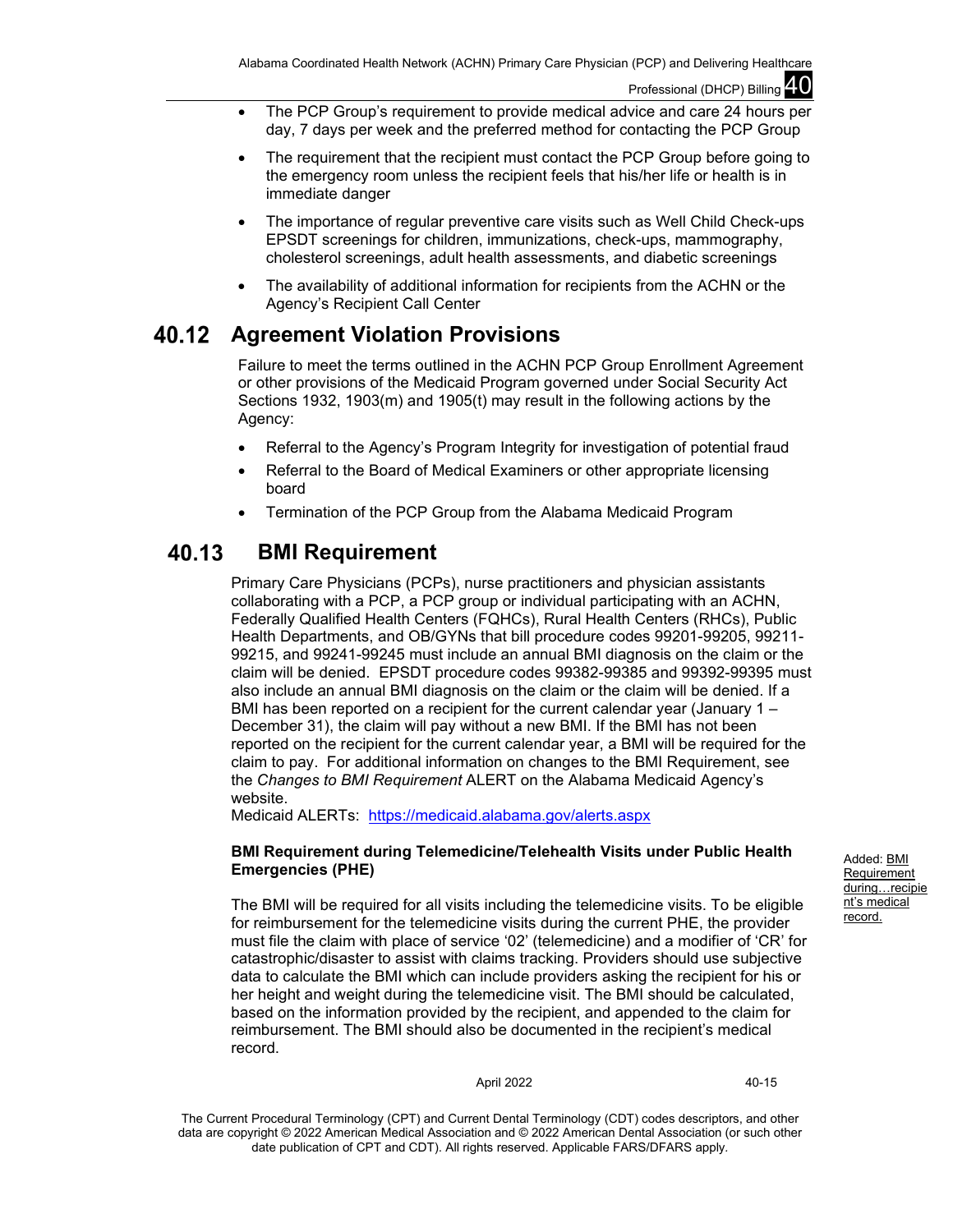- The PCP Group's requirement to provide medical advice and care 24 hours per day, 7 days per week and the preferred method for contacting the PCP Group
- The requirement that the recipient must contact the PCP Group before going to the emergency room unless the recipient feels that his/her life or health is in immediate danger
- The importance of regular preventive care visits such as Well Child Check-ups EPSDT screenings for children, immunizations, check-ups, mammography, cholesterol screenings, adult health assessments, and diabetic screenings
- The availability of additional information for recipients from the ACHN or the Agency's Recipient Call Center

#### 40.12 **Agreement Violation Provisions**

Failure to meet the terms outlined in the ACHN PCP Group Enrollment Agreement or other provisions of the Medicaid Program governed under Social Security Act Sections 1932, 1903(m) and 1905(t) may result in the following actions by the Agency:

- Referral to the Agency's Program Integrity for investigation of potential fraud
- Referral to the Board of Medical Examiners or other appropriate licensing board
- Termination of the PCP Group from the Alabama Medicaid Program

#### 40.13 **BMI Requirement**

Primary Care Physicians (PCPs), nurse practitioners and physician assistants collaborating with a PCP, a PCP group or individual participating with an ACHN, Federally Qualified Health Centers (FQHCs), Rural Health Centers (RHCs), Public Health Departments, and OB/GYNs that bill procedure codes 99201-99205, 99211- 99215, and 99241-99245 must include an annual BMI diagnosis on the claim or the claim will be denied. EPSDT procedure codes 99382-99385 and 99392-99395 must also include an annual BMI diagnosis on the claim or the claim will be denied. If a BMI has been reported on a recipient for the current calendar year (January 1 – December 31), the claim will pay without a new BMI. If the BMI has not been reported on the recipient for the current calendar year, a BMI will be required for the claim to pay. For additional information on changes to the BMI Requirement, see the *Changes to BMI Requirement* ALERT on the Alabama Medicaid Agency's website.

Medicaid ALERTs: <https://medicaid.alabama.gov/alerts.aspx>

## **BMI Requirement during Telemedicine/Telehealth Visits under Public Health Emergencies (PHE)**

The BMI will be required for all visits including the telemedicine visits. To be eligible for reimbursement for the telemedicine visits during the current PHE, the provider must file the claim with place of service '02' (telemedicine) and a modifier of 'CR' for catastrophic/disaster to assist with claims tracking. Providers should use subjective data to calculate the BMI which can include providers asking the recipient for his or her height and weight during the telemedicine visit. The BMI should be calculated, based on the information provided by the recipient, and appended to the claim for reimbursement. The BMI should also be documented in the recipient's medical record.

April 2022 40-15

The Current Procedural Terminology (CPT) and Current Dental Terminology (CDT) codes descriptors, and other data are copyright © 2022 American Medical Association and © 2022 American Dental Association (or such other date publication of CPT and CDT). All rights reserved. Applicable FARS/DFARS apply*.*

Added: BMI **Requirement** during...recipie nt's medical record.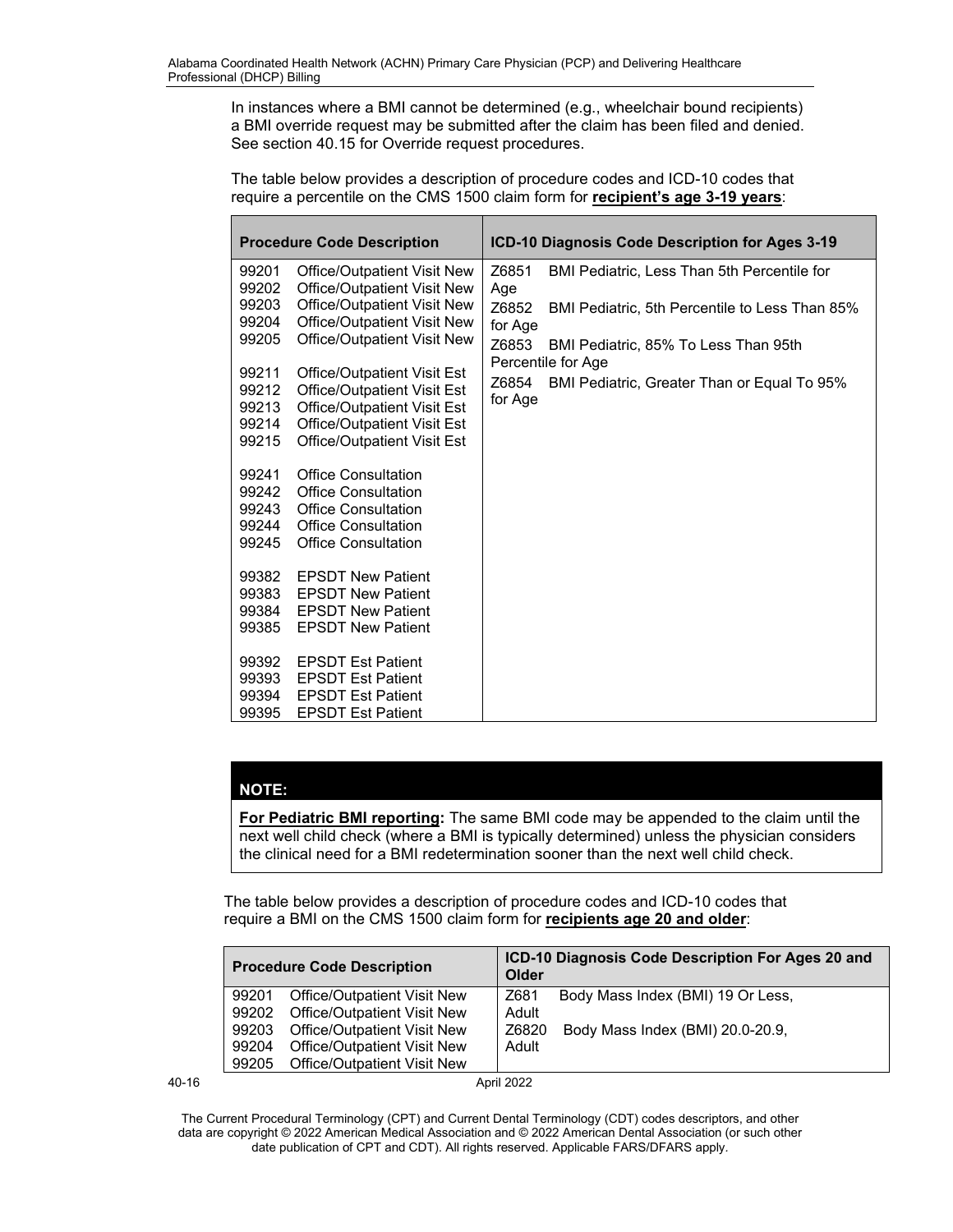In instances where a BMI cannot be determined (e.g., wheelchair bound recipients) a BMI override request may be submitted after the claim has been filed and denied. See section 40.15 for Override request procedures.

The table below provides a description of procedure codes and ICD-10 codes that require a percentile on the CMS 1500 claim form for **recipient's age 3-19 years**:

|                                           | <b>Procedure Code Description</b>                                                                                                                              | ICD-10 Diagnosis Code Description for Ages 3-19                     |  |
|-------------------------------------------|----------------------------------------------------------------------------------------------------------------------------------------------------------------|---------------------------------------------------------------------|--|
| 99201<br>99202                            | Office/Outpatient Visit New<br>Office/Outpatient Visit New                                                                                                     | Z6851<br>BMI Pediatric, Less Than 5th Percentile for<br>Age         |  |
| 99203<br>99204                            | <b>Office/Outpatient Visit New</b><br><b>Office/Outpatient Visit New</b>                                                                                       | Z6852<br>BMI Pediatric, 5th Percentile to Less Than 85%<br>for Age  |  |
| 99205                                     | Office/Outpatient Visit New                                                                                                                                    | Z6853<br>BMI Pediatric, 85% To Less Than 95th<br>Percentile for Age |  |
| 99211<br>99212<br>99213<br>99214<br>99215 | Office/Outpatient Visit Est<br>Office/Outpatient Visit Est<br>Office/Outpatient Visit Est<br>Office/Outpatient Visit Est<br><b>Office/Outpatient Visit Est</b> | Z6854<br>BMI Pediatric, Greater Than or Equal To 95%<br>for Age     |  |
| 99241<br>99242<br>99243<br>99244<br>99245 | <b>Office Consultation</b><br><b>Office Consultation</b><br><b>Office Consultation</b><br><b>Office Consultation</b><br><b>Office Consultation</b>             |                                                                     |  |
| 99382<br>99383<br>99384<br>99385          | <b>EPSDT New Patient</b><br><b>EPSDT New Patient</b><br><b>EPSDT New Patient</b><br><b>EPSDT New Patient</b>                                                   |                                                                     |  |
| 99392<br>99393<br>99394<br>99395          | <b>EPSDT Est Patient</b><br><b>EPSDT Est Patient</b><br><b>EPSDT Est Patient</b><br><b>EPSDT Est Patient</b>                                                   |                                                                     |  |

## **NOTE:**

**For Pediatric BMI reporting:** The same BMI code may be appended to the claim until the next well child check (where a BMI is typically determined) unless the physician considers the clinical need for a BMI redetermination sooner than the next well child check.

The table below provides a description of procedure codes and ICD-10 codes that require a BMI on the CMS 1500 claim form for **recipients age 20 and older**:

|           | <b>Procedure Code Description</b>    |                                    | ICD-10 Diagnosis Code Description For Ages 20 and<br>Older |                                   |  |  |
|-----------|--------------------------------------|------------------------------------|------------------------------------------------------------|-----------------------------------|--|--|
|           | Office/Outpatient Visit New<br>99201 |                                    | Z681                                                       | Body Mass Index (BMI) 19 Or Less, |  |  |
|           | 99202                                | Office/Outpatient Visit New        | Adult                                                      |                                   |  |  |
|           | 99203                                | <b>Office/Outpatient Visit New</b> | Z6820                                                      | Body Mass Index (BMI) 20.0-20.9,  |  |  |
|           | 99204                                | Office/Outpatient Visit New        | Adult                                                      |                                   |  |  |
|           | 99205                                | Office/Outpatient Visit New        |                                                            |                                   |  |  |
| $40 - 16$ |                                      |                                    | April 2022                                                 |                                   |  |  |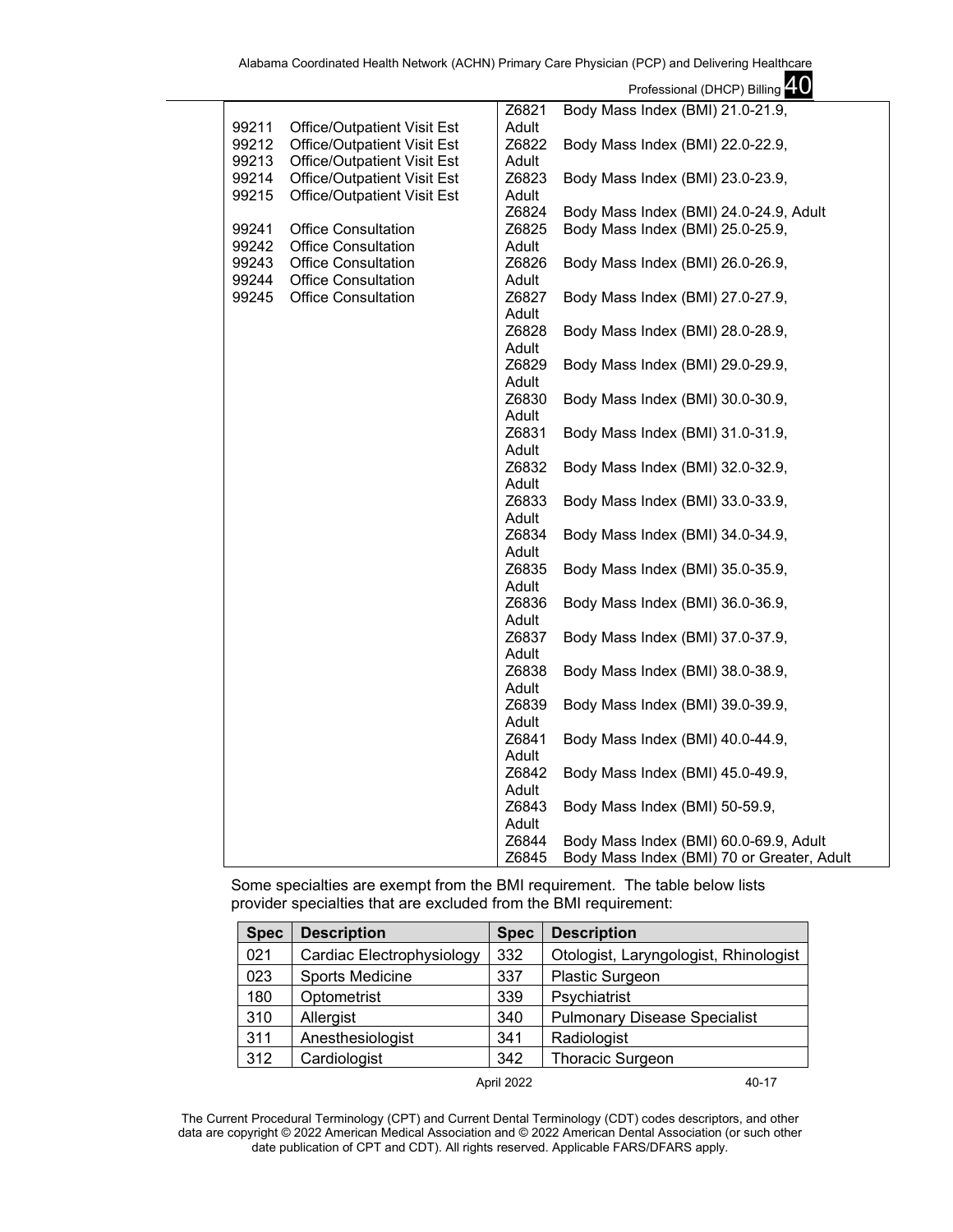|       |                                    |                | Professional (DHCP) Billing 40             |
|-------|------------------------------------|----------------|--------------------------------------------|
|       |                                    | Z6821          | Body Mass Index (BMI) 21.0-21.9,           |
| 99211 | <b>Office/Outpatient Visit Est</b> | Adult          |                                            |
| 99212 | Office/Outpatient Visit Est        | Z6822          | Body Mass Index (BMI) 22.0-22.9,           |
| 99213 | Office/Outpatient Visit Est        | Adult          |                                            |
| 99214 | Office/Outpatient Visit Est        | Z6823          | Body Mass Index (BMI) 23.0-23.9,           |
| 99215 | <b>Office/Outpatient Visit Est</b> | Adult          |                                            |
|       |                                    | Z6824          | Body Mass Index (BMI) 24.0-24.9, Adult     |
| 99241 | <b>Office Consultation</b>         | Z6825          | Body Mass Index (BMI) 25.0-25.9,           |
| 99242 | <b>Office Consultation</b>         | Adult          |                                            |
| 99243 | <b>Office Consultation</b>         | Z6826          | Body Mass Index (BMI) 26.0-26.9,           |
| 99244 | <b>Office Consultation</b>         | Adult          |                                            |
| 99245 | <b>Office Consultation</b>         | Z6827          | Body Mass Index (BMI) 27.0-27.9,           |
|       |                                    | Adult          |                                            |
|       |                                    | Z6828          | Body Mass Index (BMI) 28.0-28.9,           |
|       |                                    | Adult          |                                            |
|       |                                    | Z6829          | Body Mass Index (BMI) 29.0-29.9,           |
|       |                                    | Adult          |                                            |
|       |                                    | Z6830          | Body Mass Index (BMI) 30.0-30.9,           |
|       |                                    | Adult          |                                            |
|       |                                    | Z6831          | Body Mass Index (BMI) 31.0-31.9,           |
|       |                                    | Adult          |                                            |
|       |                                    | Z6832          | Body Mass Index (BMI) 32.0-32.9,           |
|       |                                    | Adult          |                                            |
|       |                                    | Z6833          | Body Mass Index (BMI) 33.0-33.9,           |
|       |                                    | Adult          |                                            |
|       |                                    | Z6834          | Body Mass Index (BMI) 34.0-34.9,           |
|       |                                    | Adult<br>Z6835 |                                            |
|       |                                    |                | Body Mass Index (BMI) 35.0-35.9,           |
|       |                                    | Adult<br>Z6836 |                                            |
|       |                                    | Adult          | Body Mass Index (BMI) 36.0-36.9,           |
|       |                                    | Z6837          | Body Mass Index (BMI) 37.0-37.9,           |
|       |                                    | Adult          |                                            |
|       |                                    | Z6838          | Body Mass Index (BMI) 38.0-38.9,           |
|       |                                    | Adult          |                                            |
|       |                                    | Z6839          | Body Mass Index (BMI) 39.0-39.9,           |
|       |                                    | Adult          |                                            |
|       |                                    | Z6841          | Body Mass Index (BMI) 40.0-44.9,           |
|       |                                    | Adult          |                                            |
|       |                                    | Z6842          | Body Mass Index (BMI) 45.0-49.9,           |
|       |                                    | Adult          |                                            |
|       |                                    | Z6843          | Body Mass Index (BMI) 50-59.9,             |
|       |                                    | Adult          |                                            |
|       |                                    | Z6844          | Body Mass Index (BMI) 60.0-69.9, Adult     |
|       |                                    | Z6845          | Body Mass Index (BMI) 70 or Greater, Adult |
|       |                                    |                |                                            |

Some specialties are exempt from the BMI requirement. The table below lists provider specialties that are excluded from the BMI requirement:

| <b>Spec</b> | <b>Description</b>        | <b>Spec</b> | <b>Description</b>                    |
|-------------|---------------------------|-------------|---------------------------------------|
| 021         | Cardiac Electrophysiology | 332         | Otologist, Laryngologist, Rhinologist |
| 023         | <b>Sports Medicine</b>    | 337         | <b>Plastic Surgeon</b>                |
| 180         | Optometrist               | 339         | Psychiatrist                          |
| 310         | Allergist                 | 340         | <b>Pulmonary Disease Specialist</b>   |
| 311         | Anesthesiologist          | 341         | Radiologist                           |
| 312         | Cardiologist              | 342         | Thoracic Surgeon                      |

April 2022 40-17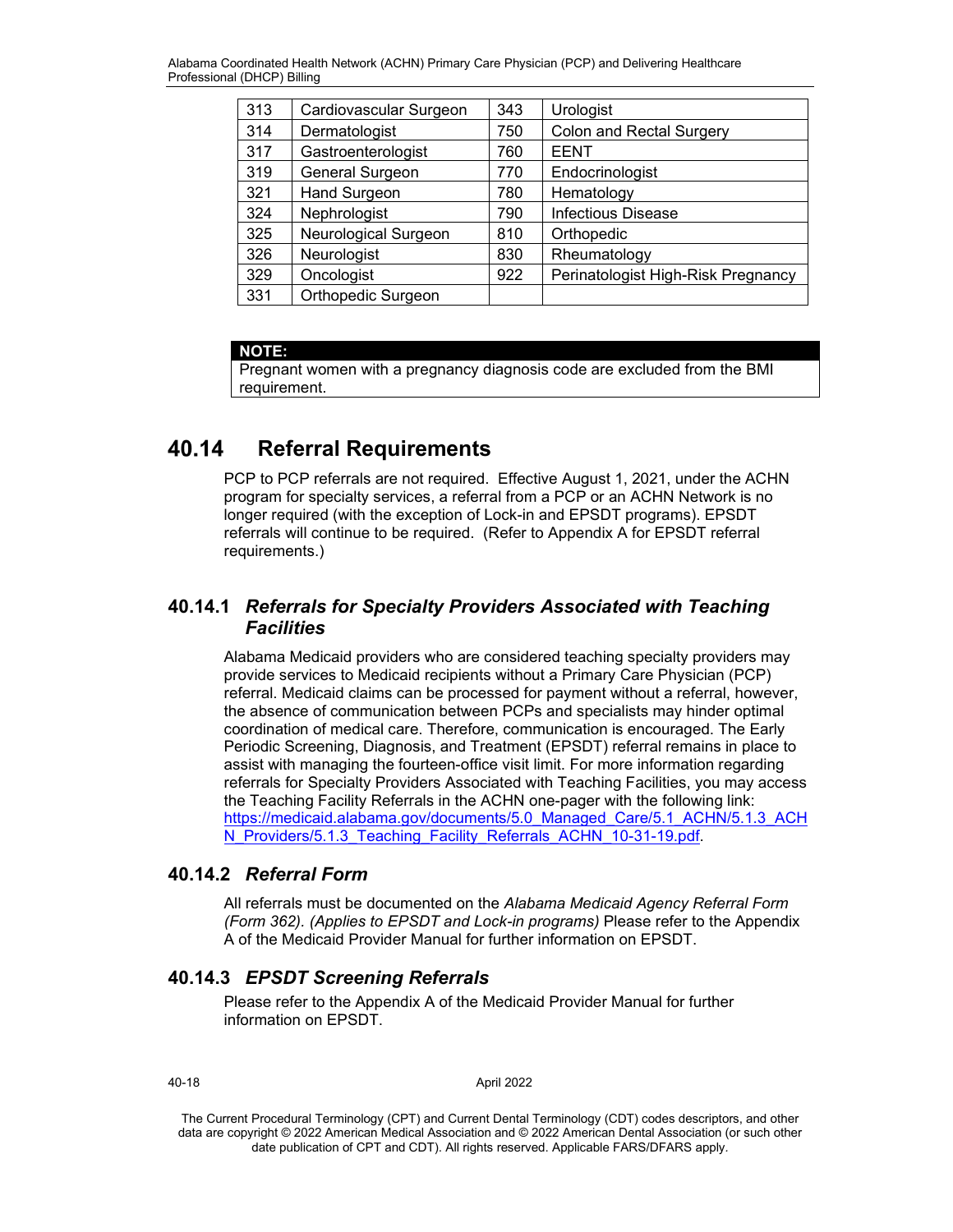| 313 | Cardiovascular Surgeon | 343 | Urologist                          |
|-----|------------------------|-----|------------------------------------|
| 314 | Dermatologist          | 750 | <b>Colon and Rectal Surgery</b>    |
| 317 | Gastroenterologist     | 760 | <b>EENT</b>                        |
| 319 | General Surgeon        | 770 | Endocrinologist                    |
| 321 | <b>Hand Surgeon</b>    | 780 | Hematology                         |
| 324 | Nephrologist           | 790 | Infectious Disease                 |
| 325 | Neurological Surgeon   | 810 | Orthopedic                         |
| 326 | Neurologist            | 830 | Rheumatology                       |
| 329 | Oncologist             | 922 | Perinatologist High-Risk Pregnancy |
| 331 | Orthopedic Surgeon     |     |                                    |

## **NOTE:**

Pregnant women with a pregnancy diagnosis code are excluded from the BMI requirement.

#### **Referral Requirements** 40.14

PCP to PCP referrals are not required. Effective August 1, 2021, under the ACHN program for specialty services, a referral from a PCP or an ACHN Network is no longer required (with the exception of Lock-in and EPSDT programs). EPSDT referrals will continue to be required. (Refer to Appendix A for EPSDT referral requirements.)

## **40.14.1** *Referrals for Specialty Providers Associated with Teaching Facilities*

Alabama Medicaid providers who are considered teaching specialty providers may provide services to Medicaid recipients without a Primary Care Physician (PCP) referral. Medicaid claims can be processed for payment without a referral, however, the absence of communication between PCPs and specialists may hinder optimal coordination of medical care. Therefore, communication is encouraged. The Early Periodic Screening, Diagnosis, and Treatment (EPSDT) referral remains in place to assist with managing the fourteen-office visit limit. For more information regarding referrals for Specialty Providers Associated with Teaching Facilities, you may access the Teaching Facility Referrals in the ACHN one-pager with the following link: [https://medicaid.alabama.gov/documents/5.0\\_Managed\\_Care/5.1\\_ACHN/5.1.3\\_ACH](https://medicaid.alabama.gov/documents/5.0_Managed_Care/5.1_ACHN/5.1.3_ACHN_Providers/5.1.3_Teaching_Facility_Referrals_ACHN_10-31-19.pdf) [N\\_Providers/5.1.3\\_Teaching\\_Facility\\_Referrals\\_ACHN\\_10-31-19.pdf.](https://medicaid.alabama.gov/documents/5.0_Managed_Care/5.1_ACHN/5.1.3_ACHN_Providers/5.1.3_Teaching_Facility_Referrals_ACHN_10-31-19.pdf)

## **40.14.2** *Referral Form*

All referrals must be documented on the *Alabama Medicaid Agency Referral Form (Form 362). (Applies to EPSDT and Lock-in programs)* Please refer to the Appendix A of the Medicaid Provider Manual for further information on EPSDT.

## **40.14.3** *EPSDT Screening Referrals*

Please refer to the Appendix A of the Medicaid Provider Manual for further information on EPSDT.

## 40-18 April 2022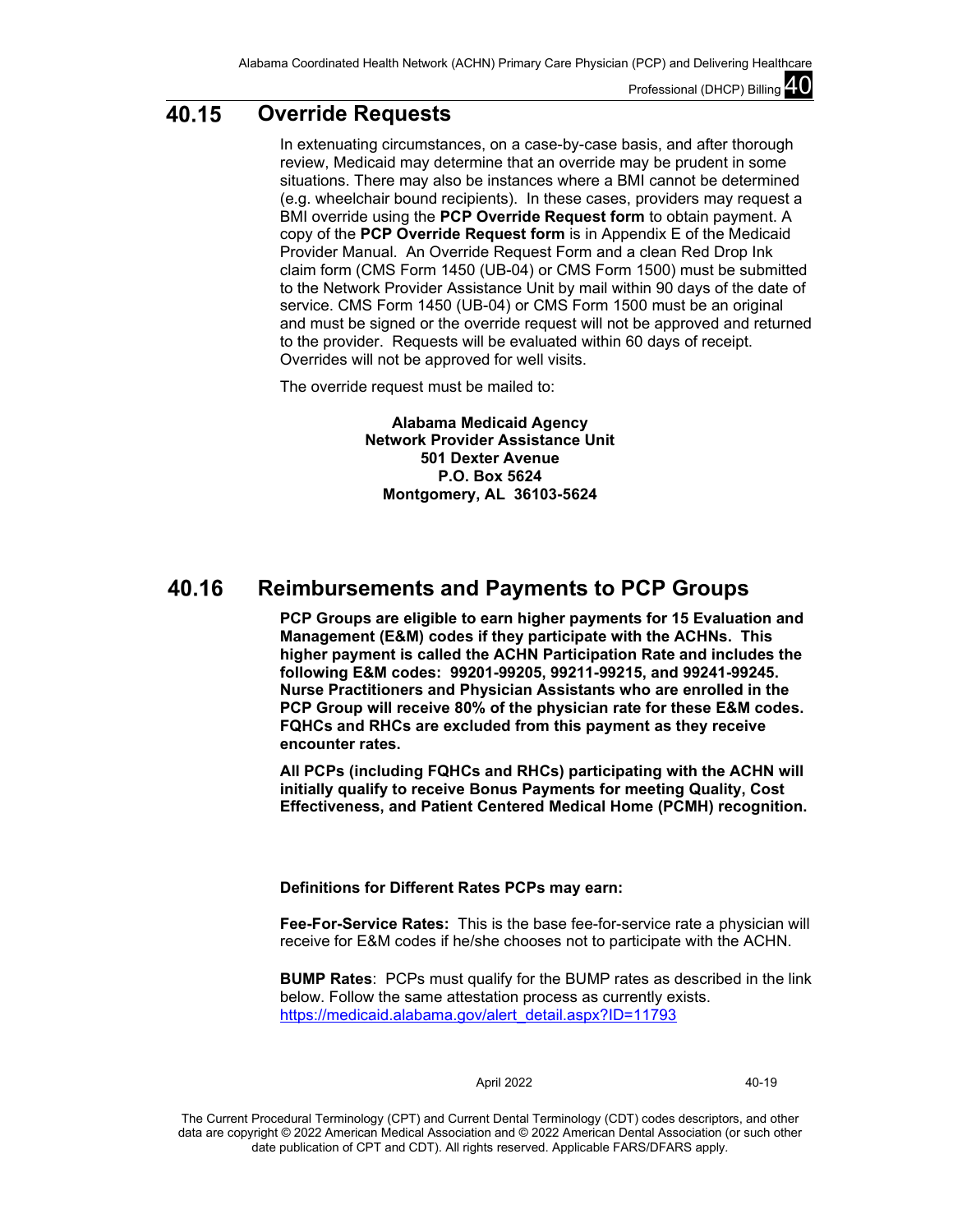#### 40.15 **Override Requests**

In extenuating circumstances, on a case-by-case basis, and after thorough review, Medicaid may determine that an override may be prudent in some situations. There may also be instances where a BMI cannot be determined (e.g. wheelchair bound recipients). In these cases, providers may request a BMI override using the **PCP Override Request form** to obtain payment. A copy of the **PCP Override Request form** is in Appendix E of the Medicaid Provider Manual. An Override Request Form and a clean Red Drop Ink claim form (CMS Form 1450 (UB-04) or CMS Form 1500) must be submitted to the Network Provider Assistance Unit by mail within 90 days of the date of service. CMS Form 1450 (UB-04) or CMS Form 1500 must be an original and must be signed or the override request will not be approved and returned to the provider. Requests will be evaluated within 60 days of receipt. Overrides will not be approved for well visits.

The override request must be mailed to:

**Alabama Medicaid Agency Network Provider Assistance Unit 501 Dexter Avenue P.O. Box 5624 Montgomery, AL 36103-5624**

#### **Reimbursements and Payments to PCP Groups** 40.16

**PCP Groups are eligible to earn higher payments for 15 Evaluation and Management (E&M) codes if they participate with the ACHNs. This higher payment is called the ACHN Participation Rate and includes the following E&M codes: 99201-99205, 99211-99215, and 99241-99245. Nurse Practitioners and Physician Assistants who are enrolled in the PCP Group will receive 80% of the physician rate for these E&M codes. FQHCs and RHCs are excluded from this payment as they receive encounter rates.** 

**All PCPs (including FQHCs and RHCs) participating with the ACHN will initially qualify to receive Bonus Payments for meeting Quality, Cost Effectiveness, and Patient Centered Medical Home (PCMH) recognition.**

## **Definitions for Different Rates PCPs may earn:**

**Fee-For-Service Rates:** This is the base fee-for-service rate a physician will receive for E&M codes if he/she chooses not to participate with the ACHN.

**BUMP Rates**: PCPs must qualify for the BUMP rates as described in the link below. Follow the same attestation process as currently exists. [https://medicaid.alabama.gov/alert\\_detail.aspx?ID=11793](https://medicaid.alabama.gov/alert_detail.aspx?ID=11793)

### April 2022 40-19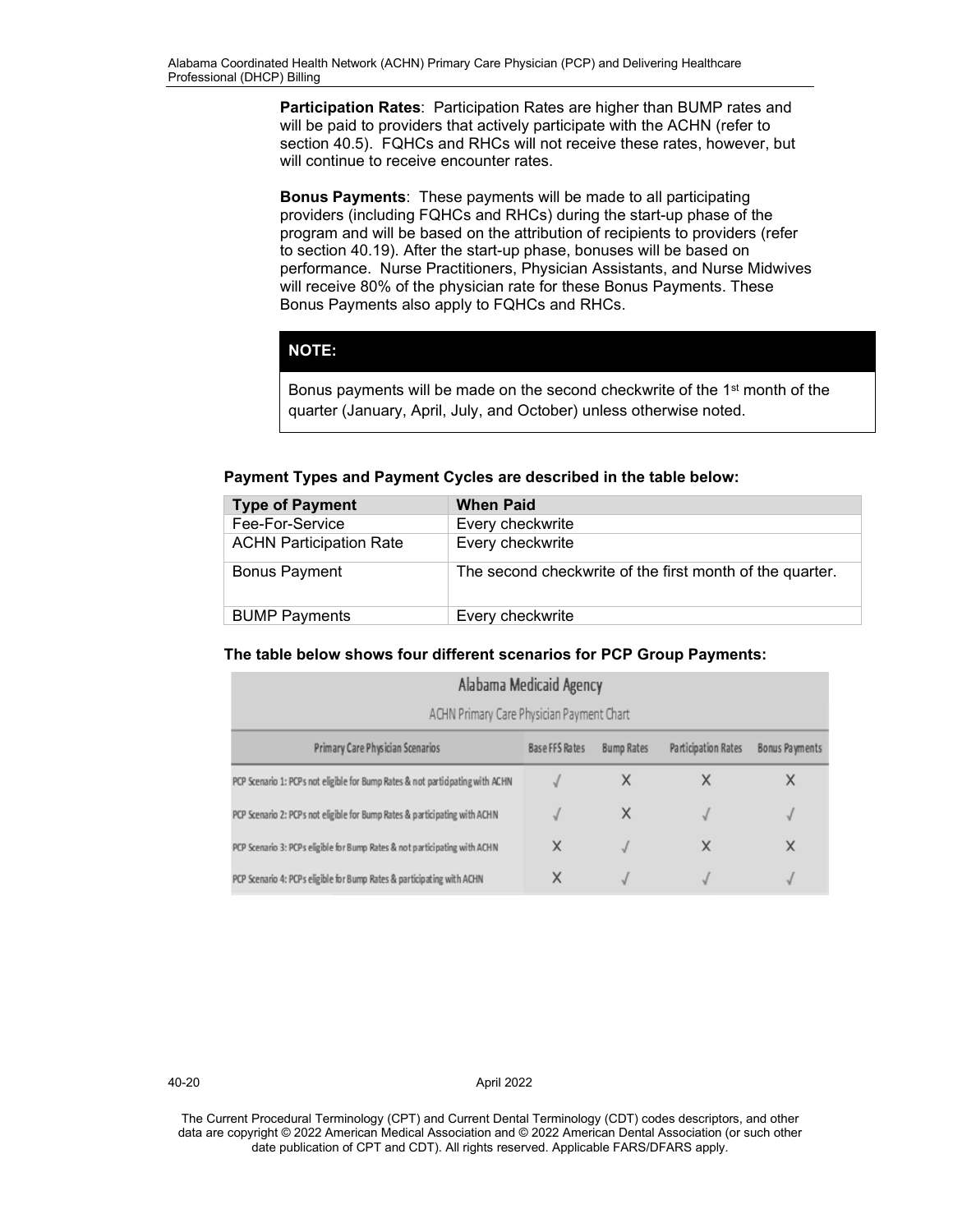**Participation Rates**: Participation Rates are higher than BUMP rates and will be paid to providers that actively participate with the ACHN (refer to section 40.5). FQHCs and RHCs will not receive these rates, however, but will continue to receive encounter rates.

**Bonus Payments**: These payments will be made to all participating providers (including FQHCs and RHCs) during the start-up phase of the program and will be based on the attribution of recipients to providers (refer to section 40.19). After the start-up phase, bonuses will be based on performance. Nurse Practitioners, Physician Assistants, and Nurse Midwives will receive 80% of the physician rate for these Bonus Payments. These Bonus Payments also apply to FQHCs and RHCs.

## **NOTE:**

Bonus payments will be made on the second checkwrite of the 1<sup>st</sup> month of the quarter (January, April, July, and October) unless otherwise noted.

**Payment Types and Payment Cycles are described in the table below:**

| <b>Type of Payment</b>         | <b>When Paid</b>                                         |
|--------------------------------|----------------------------------------------------------|
| Fee-For-Service                | Every checkwrite                                         |
| <b>ACHN Participation Rate</b> | Every checkwrite                                         |
| <b>Bonus Payment</b>           | The second checkwrite of the first month of the quarter. |
| <b>BUMP Payments</b>           | Every checkwrite                                         |

## **The table below shows four different scenarios for PCP Group Payments:**

| Alabama Medicaid Agency                                                                                                 |   |   |   |   |  |  |  |
|-------------------------------------------------------------------------------------------------------------------------|---|---|---|---|--|--|--|
| ACHN Primary Care Physician Payment Chart                                                                               |   |   |   |   |  |  |  |
| Primary Care Physician Scenarios<br><b>Participation Rates</b><br>Base FFS Rates<br>Bonus Payments<br><b>Bump Rates</b> |   |   |   |   |  |  |  |
| PCP Scenario 1: PCPs not eligible for Bump Rates & not participating with ACHN                                          |   | х | Χ | Χ |  |  |  |
| PCP Scenario 2: PCPs not eligible for Bump Rates & participating with ACHN                                              |   | X |   | √ |  |  |  |
| PCP Scenario 3: PCPs eligible for Bump Rates & not participating with ACHN                                              | X |   | X | X |  |  |  |
| PCP Scenario 4: PCPs eligible for Bump Rates & participating with ACHN                                                  |   |   |   |   |  |  |  |

40-20 April 2022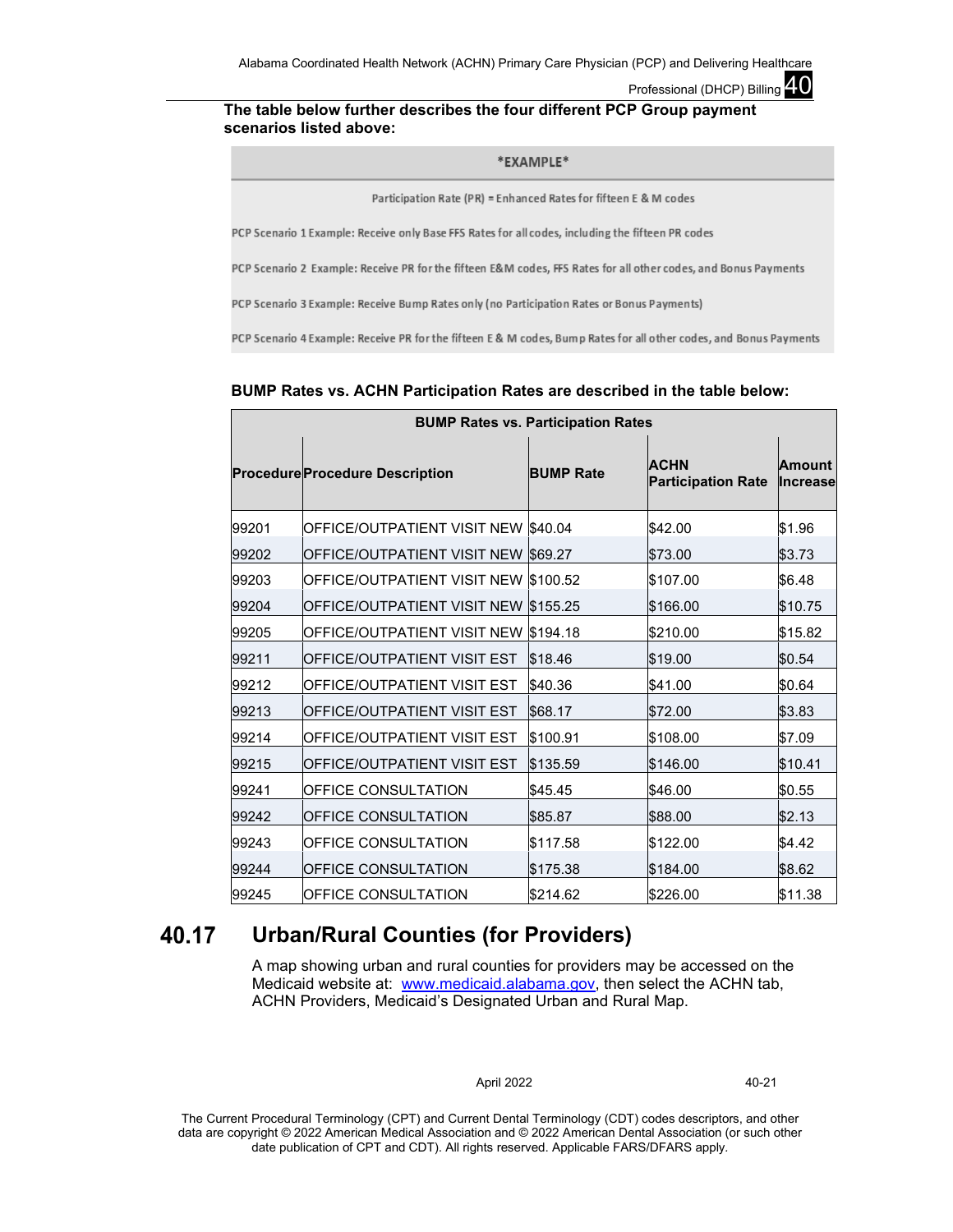### **The table below further describes the four different PCP Group payment scenarios listed above:**

### \*EXAMPLE\*

Participation Rate (PR) = Enhanced Rates for fifteen E & M codes

PCP Scenario 1 Example: Receive only Base FFS Rates for all codes, including the fifteen PR codes

PCP Scenario 2 Example: Receive PR for the fifteen E&M codes, FFS Rates for all other codes, and Bonus Payments

PCP Scenario 3 Example: Receive Bump Rates only (no Participation Rates or Bonus Payments)

PCP Scenario 4 Example: Receive PR for the fifteen E & M codes, Bump Rates for all other codes, and Bonus Payments

### **BUMP Rates vs. ACHN Participation Rates are described in the table below:**

| <b>BUMP Rates vs. Participation Rates</b> |                                        |                  |                                          |                           |  |  |  |  |  |
|-------------------------------------------|----------------------------------------|------------------|------------------------------------------|---------------------------|--|--|--|--|--|
|                                           | <b>Procedure Procedure Description</b> | <b>BUMP Rate</b> | <b>ACHN</b><br><b>Participation Rate</b> | Amount<br><b>Increase</b> |  |  |  |  |  |
| 99201                                     | <b>OFFICE/OUTPATIENT VISIT NEW</b>     | \$40.04          | \$42.00                                  | \$1.96                    |  |  |  |  |  |
| 99202                                     | OFFICE/OUTPATIENT VISIT NEW            | \$69.27          | \$73.00                                  | \$3.73                    |  |  |  |  |  |
| 99203                                     | <b>OFFICE/OUTPATIENT VISIT NEW</b>     | \$100.52         | \$107.00                                 | \$6.48                    |  |  |  |  |  |
| 99204                                     | <b>OFFICE/OUTPATIENT VISIT NEW</b>     | \$155.25         | \$166.00                                 | \$10.75                   |  |  |  |  |  |
| 99205                                     | <b>OFFICE/OUTPATIENT VISIT NEW</b>     | \$194.18         | \$210.00                                 | \$15.82                   |  |  |  |  |  |
| 99211                                     | <b>OFFICE/OUTPATIENT VISIT EST</b>     | \$18.46          | \$19.00                                  | \$0.54                    |  |  |  |  |  |
| 99212                                     | OFFICE/OUTPATIENT VISIT EST            | \$40.36          | \$41.00                                  | \$0.64                    |  |  |  |  |  |
| 99213                                     | <b>OFFICE/OUTPATIENT VISIT EST</b>     | \$68.17          | \$72.00                                  | \$3.83                    |  |  |  |  |  |
| 99214                                     | OFFICE/OUTPATIENT VISIT EST            | \$100.91         | \$108.00                                 | \$7.09                    |  |  |  |  |  |
| 99215                                     | <b>OFFICE/OUTPATIENT VISIT EST</b>     | \$135.59         | \$146.00                                 | \$10.41                   |  |  |  |  |  |
| 99241                                     | <b>OFFICE CONSULTATION</b>             | \$45.45          | \$46.00                                  | \$0.55                    |  |  |  |  |  |
| 99242                                     | <b>OFFICE CONSULTATION</b>             | \$85.87          | \$88.00                                  | \$2.13                    |  |  |  |  |  |
| 99243                                     | <b>OFFICE CONSULTATION</b>             | \$117.58         | \$122.00                                 | \$4.42                    |  |  |  |  |  |
| 99244                                     | <b>OFFICE CONSULTATION</b>             | \$175.38         | \$184.00                                 | \$8.62                    |  |  |  |  |  |
| 99245                                     | <b>OFFICE CONSULTATION</b>             | \$214.62         | \$226.00                                 | \$11.38                   |  |  |  |  |  |

#### 40.17 **Urban/Rural Counties (for Providers)**

A map showing urban and rural counties for providers may be accessed on the Medicaid website at: [www.medicaid.alabama.gov,](http://www.medicaid.alabama.gov/) then select the ACHN tab, ACHN Providers, Medicaid's Designated Urban and Rural Map.

#### April 2022 40-21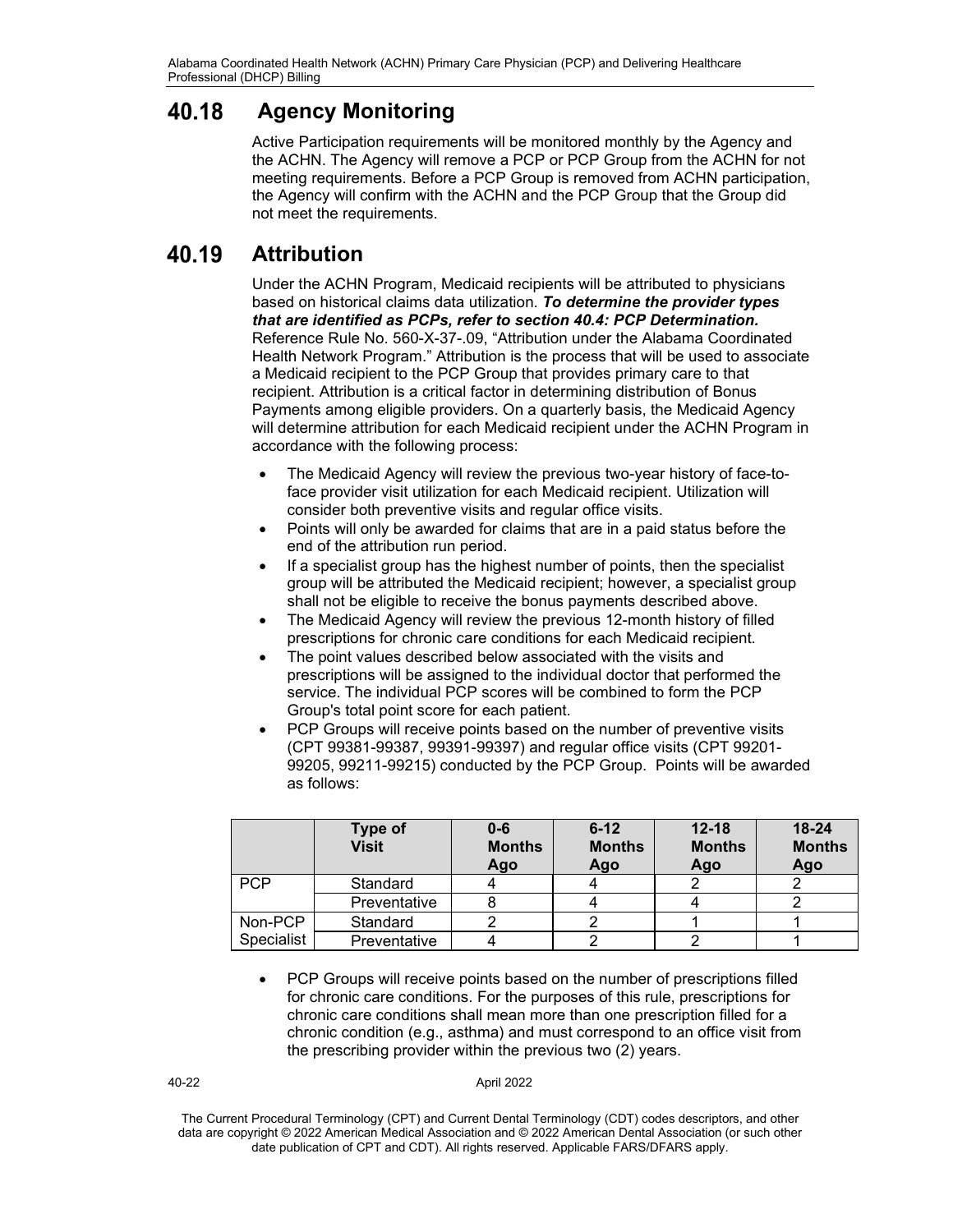#### 40.18 **Agency Monitoring**

Active Participation requirements will be monitored monthly by the Agency and the ACHN. The Agency will remove a PCP or PCP Group from the ACHN for not meeting requirements. Before a PCP Group is removed from ACHN participation, the Agency will confirm with the ACHN and the PCP Group that the Group did not meet the requirements.

#### 40.19 **Attribution**

Under the ACHN Program, Medicaid recipients will be attributed to physicians based on historical claims data utilization. *To determine the provider types that are identified as PCPs, refer to section 40.4: PCP Determination.*  Reference Rule No. 560-X-37-.09, "Attribution under the Alabama Coordinated Health Network Program." Attribution is the process that will be used to associate a Medicaid recipient to the PCP Group that provides primary care to that recipient. Attribution is a critical factor in determining distribution of Bonus Payments among eligible providers. On a quarterly basis, the Medicaid Agency will determine attribution for each Medicaid recipient under the ACHN Program in accordance with the following process:

- The Medicaid Agency will review the previous two-year history of face-toface provider visit utilization for each Medicaid recipient. Utilization will consider both preventive visits and regular office visits.
- Points will only be awarded for claims that are in a paid status before the end of the attribution run period.
- If a specialist group has the highest number of points, then the specialist group will be attributed the Medicaid recipient; however, a specialist group shall not be eligible to receive the bonus payments described above.
- The Medicaid Agency will review the previous 12-month history of filled prescriptions for chronic care conditions for each Medicaid recipient.
- The point values described below associated with the visits and prescriptions will be assigned to the individual doctor that performed the service. The individual PCP scores will be combined to form the PCP Group's total point score for each patient.
- PCP Groups will receive points based on the number of preventive visits (CPT 99381-99387, 99391-99397) and regular office visits (CPT 99201- 99205, 99211-99215) conducted by the PCP Group. Points will be awarded as follows:

|            | <b>Type of</b><br><b>Visit</b> | $0 - 6$<br><b>Months</b><br>Ago | $6 - 12$<br><b>Months</b><br>Ago | $12 - 18$<br><b>Months</b><br>Ago | $18 - 24$<br><b>Months</b><br>Ago |
|------------|--------------------------------|---------------------------------|----------------------------------|-----------------------------------|-----------------------------------|
| <b>PCP</b> | Standard                       |                                 |                                  |                                   |                                   |
|            | Preventative                   |                                 |                                  |                                   |                                   |
| Non-PCP    | Standard                       |                                 |                                  |                                   |                                   |
| Specialist | Preventative                   |                                 |                                  |                                   |                                   |

• PCP Groups will receive points based on the number of prescriptions filled for chronic care conditions. For the purposes of this rule, prescriptions for chronic care conditions shall mean more than one prescription filled for a chronic condition (e.g., asthma) and must correspond to an office visit from the prescribing provider within the previous two (2) years.

40-22 April 2022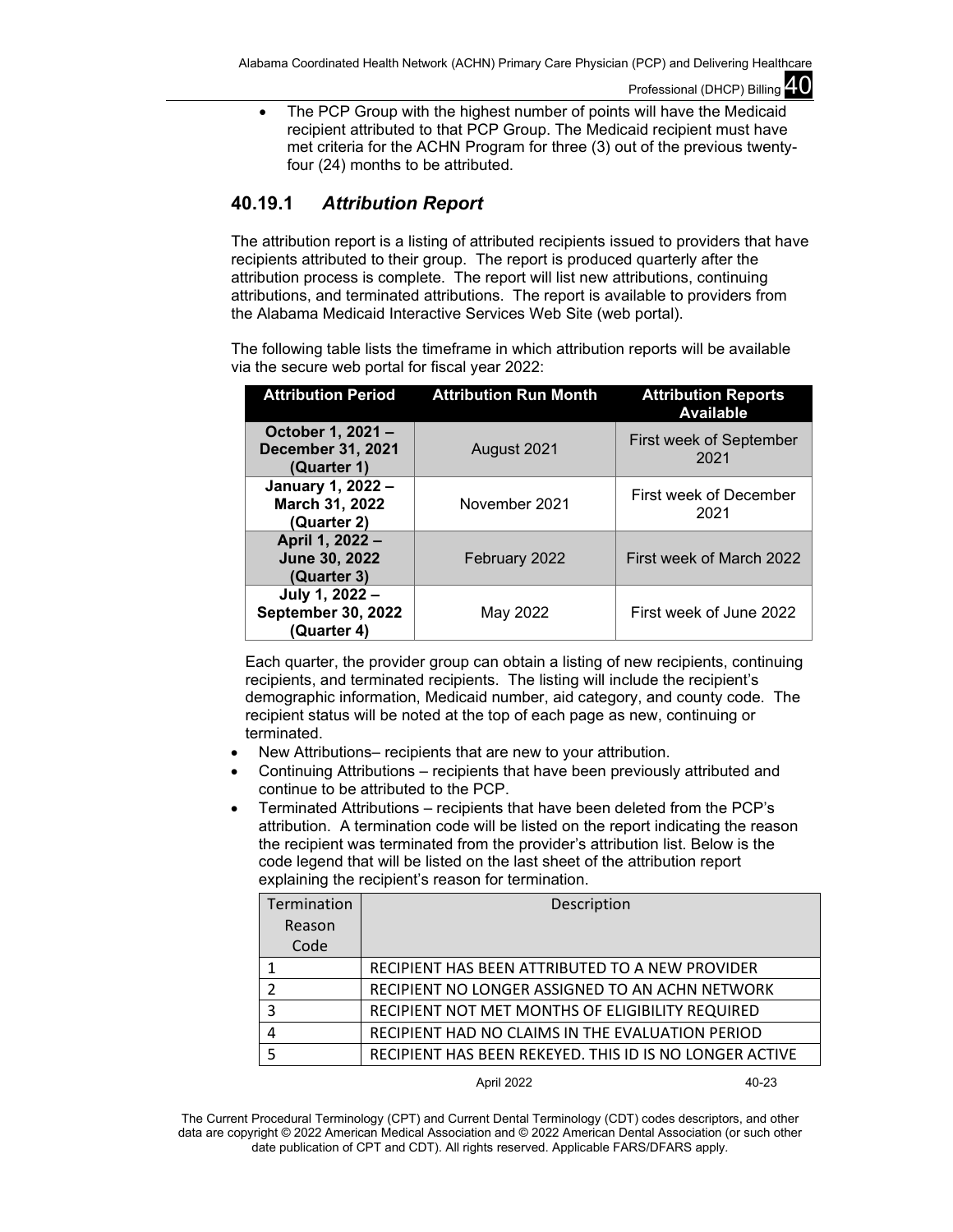• The PCP Group with the highest number of points will have the Medicaid recipient attributed to that PCP Group. The Medicaid recipient must have met criteria for the ACHN Program for three (3) out of the previous twentyfour (24) months to be attributed.

## **40.19.1** *Attribution Report*

The attribution report is a listing of attributed recipients issued to providers that have recipients attributed to their group. The report is produced quarterly after the attribution process is complete. The report will list new attributions, continuing attributions, and terminated attributions. The report is available to providers from the Alabama Medicaid Interactive Services Web Site (web portal).

The following table lists the timeframe in which attribution reports will be available via the secure web portal for fiscal year 2022:

| <b>Attribution Period</b>                                    | <b>Attribution Run Month</b> | <b>Attribution Reports</b><br><b>Available</b> |
|--------------------------------------------------------------|------------------------------|------------------------------------------------|
| October 1, 2021 -<br><b>December 31, 2021</b><br>(Quarter 1) | August 2021                  | First week of September<br>2021                |
| January 1, 2022 -<br>March 31, 2022<br>(Quarter 2)           | November 2021                | First week of December<br>2021                 |
| April 1, 2022 -<br>June 30, 2022<br>(Quarter 3)              | February 2022                | First week of March 2022                       |
| July 1, 2022 -<br><b>September 30, 2022</b><br>(Quarter 4)   | May 2022                     | First week of June 2022                        |

Each quarter, the provider group can obtain a listing of new recipients, continuing recipients, and terminated recipients. The listing will include the recipient's demographic information, Medicaid number, aid category, and county code. The recipient status will be noted at the top of each page as new, continuing or terminated.

- New Attributions– recipients that are new to your attribution.
- Continuing Attributions recipients that have been previously attributed and continue to be attributed to the PCP.
- Terminated Attributions recipients that have been deleted from the PCP's attribution. A termination code will be listed on the report indicating the reason the recipient was terminated from the provider's attribution list. Below is the code legend that will be listed on the last sheet of the attribution report explaining the recipient's reason for termination.

| Termination   | Description                                             |
|---------------|---------------------------------------------------------|
| Reason        |                                                         |
| Code          |                                                         |
|               | RECIPIENT HAS BEEN ATTRIBUTED TO A NEW PROVIDER         |
| $\mathfrak z$ | RECIPIENT NO LONGER ASSIGNED TO AN ACHN NETWORK         |
| 3             | RECIPIENT NOT MET MONTHS OF ELIGIBILITY REQUIRED        |
| 4             | RECIPIENT HAD NO CLAIMS IN THE EVALUATION PERIOD        |
| 5             | RECIPIENT HAS BEEN REKEYED. THIS ID IS NO LONGER ACTIVE |

April 2022 40-23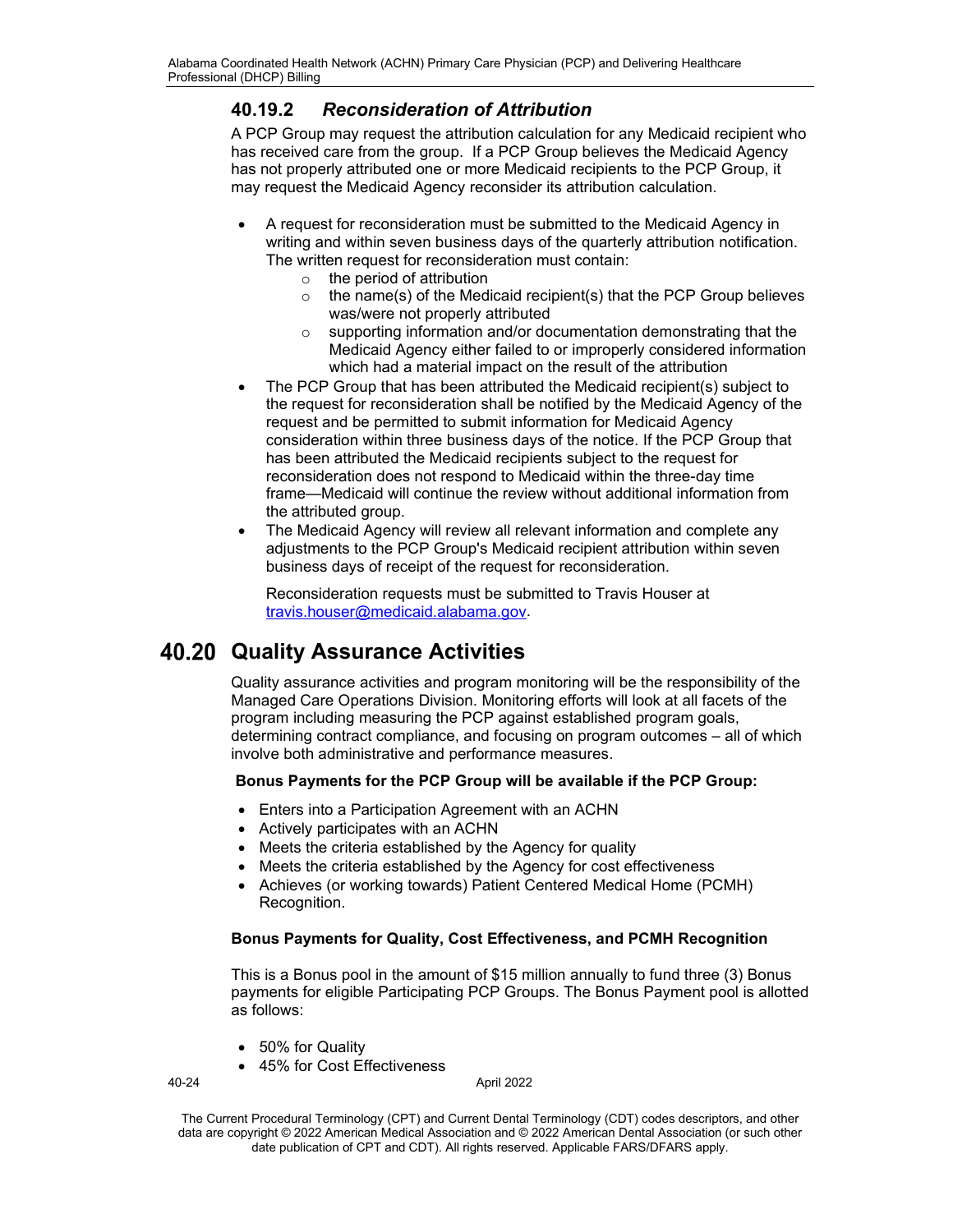# **40.19.2** *Reconsideration of Attribution*

A PCP Group may request the attribution calculation for any Medicaid recipient who has received care from the group. If a PCP Group believes the Medicaid Agency has not properly attributed one or more Medicaid recipients to the PCP Group, it may request the Medicaid Agency reconsider its attribution calculation.

- A request for reconsideration must be submitted to the Medicaid Agency in writing and within seven business days of the quarterly attribution notification. The written request for reconsideration must contain:
	- $\circ$  the period of attribution<br> $\circ$  the name(s) of the Med
	- the name(s) of the Medicaid recipient(s) that the PCP Group believes was/were not properly attributed
	- o supporting information and/or documentation demonstrating that the Medicaid Agency either failed to or improperly considered information which had a material impact on the result of the attribution
- The PCP Group that has been attributed the Medicaid recipient(s) subject to the request for reconsideration shall be notified by the Medicaid Agency of the request and be permitted to submit information for Medicaid Agency consideration within three business days of the notice. If the PCP Group that has been attributed the Medicaid recipients subject to the request for reconsideration does not respond to Medicaid within the three-day time frame—Medicaid will continue the review without additional information from the attributed group.
- The Medicaid Agency will review all relevant information and complete any adjustments to the PCP Group's Medicaid recipient attribution within seven business days of receipt of the request for reconsideration.

Reconsideration requests must be submitted to Travis Houser at [travis.houser@medicaid.alabama.gov.](mailto:travis.houser@medicaid.alabama.gov)

# **Quality Assurance Activities**

Quality assurance activities and program monitoring will be the responsibility of the Managed Care Operations Division. Monitoring efforts will look at all facets of the program including measuring the PCP against established program goals, determining contract compliance, and focusing on program outcomes – all of which involve both administrative and performance measures.

## **Bonus Payments for the PCP Group will be available if the PCP Group:**

- Enters into a Participation Agreement with an ACHN
- Actively participates with an ACHN
- Meets the criteria established by the Agency for quality
- Meets the criteria established by the Agency for cost effectiveness
- Achieves (or working towards) Patient Centered Medical Home (PCMH) Recognition.

## **Bonus Payments for Quality, Cost Effectiveness, and PCMH Recognition**

This is a Bonus pool in the amount of \$15 million annually to fund three (3) Bonus payments for eligible Participating PCP Groups. The Bonus Payment pool is allotted as follows:

- 50% for Quality
- 45% for Cost Effectiveness

40-24 April 2022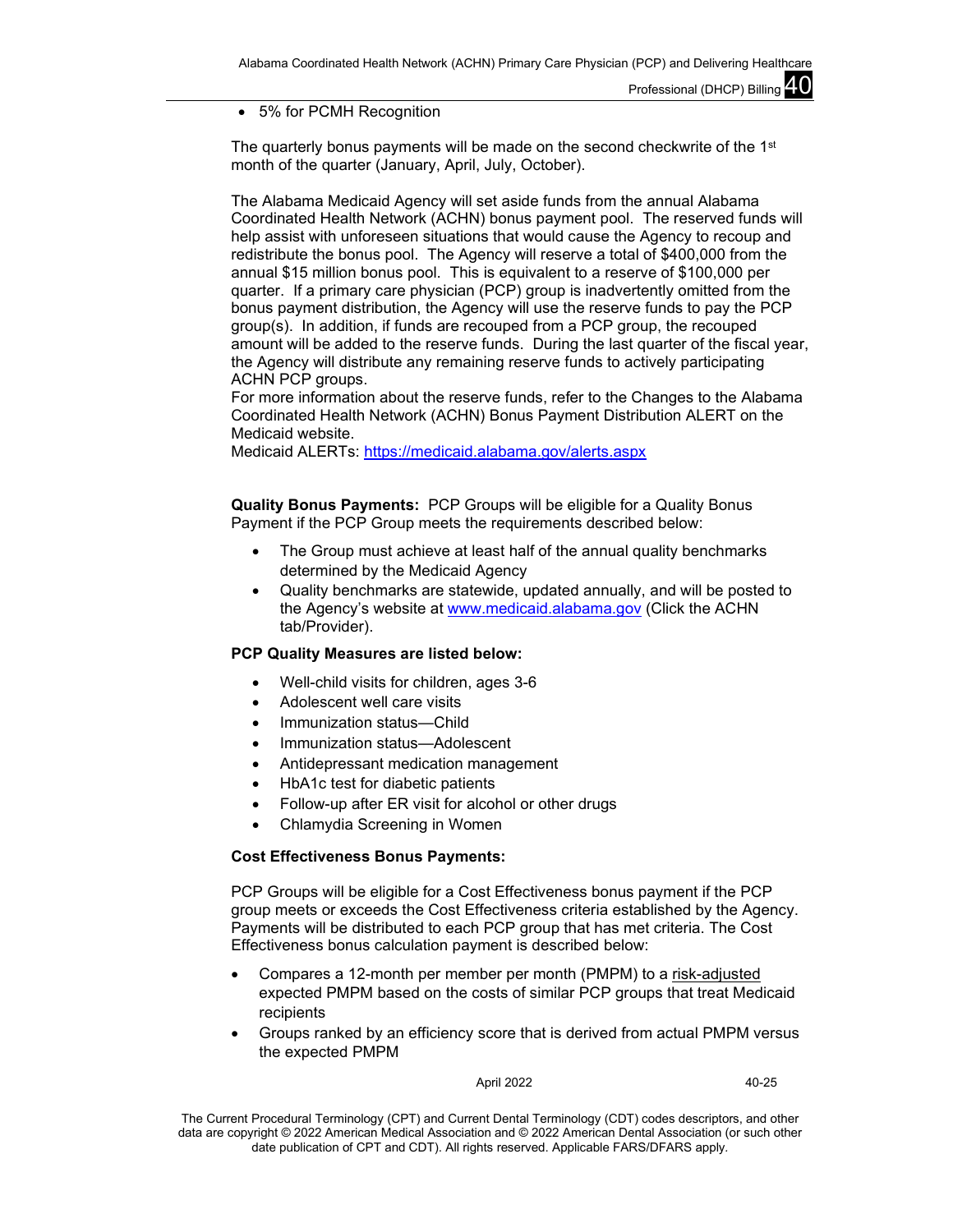• 5% for PCMH Recognition

The quarterly bonus payments will be made on the second checkwrite of the  $1<sup>st</sup>$ month of the quarter (January, April, July, October).

The Alabama Medicaid Agency will set aside funds from the annual Alabama Coordinated Health Network (ACHN) bonus payment pool. The reserved funds will help assist with unforeseen situations that would cause the Agency to recoup and redistribute the bonus pool. The Agency will reserve a total of \$400,000 from the annual \$15 million bonus pool. This is equivalent to a reserve of \$100,000 per quarter. If a primary care physician (PCP) group is inadvertently omitted from the bonus payment distribution, the Agency will use the reserve funds to pay the PCP group(s). In addition, if funds are recouped from a PCP group, the recouped amount will be added to the reserve funds. During the last quarter of the fiscal year, the Agency will distribute any remaining reserve funds to actively participating ACHN PCP groups.

For more information about the reserve funds, refer to the Changes to the Alabama Coordinated Health Network (ACHN) Bonus Payment Distribution ALERT on the Medicaid website.

Medicaid ALERTs:<https://medicaid.alabama.gov/alerts.aspx>

**Quality Bonus Payments:** PCP Groups will be eligible for a Quality Bonus Payment if the PCP Group meets the requirements described below:

- The Group must achieve at least half of the annual quality benchmarks determined by the Medicaid Agency
- Quality benchmarks are statewide, updated annually, and will be posted to the Agency's website at [www.medicaid.alabama.gov](http://www.medicaid.alabama.gov/) (Click the ACHN tab/Provider).

## **PCP Quality Measures are listed below:**

- Well-child visits for children, ages 3-6
- Adolescent well care visits
- Immunization status—Child
- Immunization status-Adolescent
- Antidepressant medication management
- HbA1c test for diabetic patients
- Follow-up after ER visit for alcohol or other drugs
- Chlamydia Screening in Women

## **Cost Effectiveness Bonus Payments:**

PCP Groups will be eligible for a Cost Effectiveness bonus payment if the PCP group meets or exceeds the Cost Effectiveness criteria established by the Agency. Payments will be distributed to each PCP group that has met criteria. The Cost Effectiveness bonus calculation payment is described below:

- Compares a 12-month per member per month (PMPM) to a risk-adjusted expected PMPM based on the costs of similar PCP groups that treat Medicaid recipients
- Groups ranked by an efficiency score that is derived from actual PMPM versus the expected PMPM

April 2022 40-25

The Current Procedural Terminology (CPT) and Current Dental Terminology (CDT) codes descriptors, and other data are copyright © 2022 American Medical Association and © 2022 American Dental Association (or such other date publication of CPT and CDT). All rights reserved. Applicable FARS/DFARS apply*.*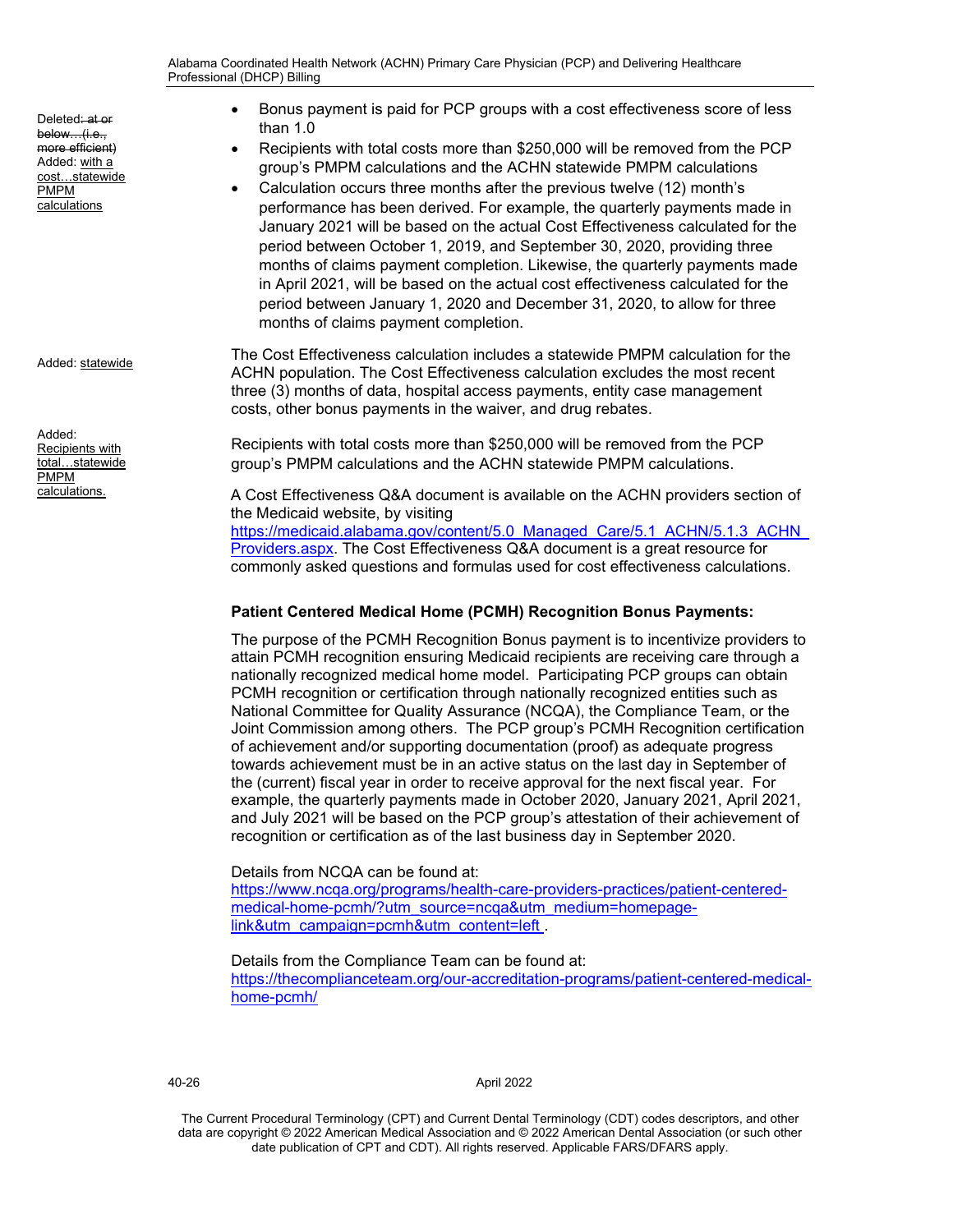Deleted: at or below…(i.e., more efficient) Added: with a cost…statewide PMPM calculations

Added: statewide

Added: Recipients with total…statewide PMPM calculations.

- Bonus payment is paid for PCP groups with a cost effectiveness score of less than  $1.0$ 
	- Recipients with total costs more than \$250,000 will be removed from the PCP group's PMPM calculations and the ACHN statewide PMPM calculations
- Calculation occurs three months after the previous twelve (12) month's performance has been derived. For example, the quarterly payments made in January 2021 will be based on the actual Cost Effectiveness calculated for the period between October 1, 2019, and September 30, 2020, providing three months of claims payment completion. Likewise, the quarterly payments made in April 2021, will be based on the actual cost effectiveness calculated for the period between January 1, 2020 and December 31, 2020, to allow for three months of claims payment completion.

The Cost Effectiveness calculation includes a statewide PMPM calculation for the ACHN population. The Cost Effectiveness calculation excludes the most recent three (3) months of data, hospital access payments, entity case management costs, other bonus payments in the waiver, and drug rebates.

Recipients with total costs more than \$250,000 will be removed from the PCP group's PMPM calculations and the ACHN statewide PMPM calculations.

A Cost Effectiveness Q&A document is available on the ACHN providers section of the Medicaid website, by visiting

https://medicaid.alabama.gov/content/5.0\_Managed\_Care/5.1\_ACHN/5.1.3\_ACHN [Providers.aspx.](https://medicaid.alabama.gov/content/5.0_Managed_Care/5.1_ACHN/5.1.3_ACHN_Providers.aspx) The Cost Effectiveness Q&A document is a great resource for commonly asked questions and formulas used for cost effectiveness calculations.

## **Patient Centered Medical Home (PCMH) Recognition Bonus Payments:**

The purpose of the PCMH Recognition Bonus payment is to incentivize providers to attain PCMH recognition ensuring Medicaid recipients are receiving care through a nationally recognized medical home model. Participating PCP groups can obtain PCMH recognition or certification through nationally recognized entities such as National Committee for Quality Assurance (NCQA), the Compliance Team, or the Joint Commission among others. The PCP group's PCMH Recognition certification of achievement and/or supporting documentation (proof) as adequate progress towards achievement must be in an active status on the last day in September of the (current) fiscal year in order to receive approval for the next fiscal year. For example, the quarterly payments made in October 2020, January 2021, April 2021, and July 2021 will be based on the PCP group's attestation of their achievement of recognition or certification as of the last business day in September 2020.

## Details from NCQA can be found at:

[https://www.ncqa.org/programs/health-care-providers-practices/patient-centered](https://www.ncqa.org/programs/health-care-providers-practices/patient-centered-medical-home-pcmh/?utm_source=ncqa&utm_medium=homepage-link&utm_campaign=pcmh&utm_content=left)[medical-home-pcmh/?utm\\_source=ncqa&utm\\_medium=homepage](https://www.ncqa.org/programs/health-care-providers-practices/patient-centered-medical-home-pcmh/?utm_source=ncqa&utm_medium=homepage-link&utm_campaign=pcmh&utm_content=left)[link&utm\\_campaign=pcmh&utm\\_content=left](https://www.ncqa.org/programs/health-care-providers-practices/patient-centered-medical-home-pcmh/?utm_source=ncqa&utm_medium=homepage-link&utm_campaign=pcmh&utm_content=left) .

## Details from the Compliance Team can be found at:

[https://thecomplianceteam.org/our-accreditation-programs/patient-centered-medical](https://thecomplianceteam.org/our-accreditation-programs/patient-centered-medical-home-pcmh/)[home-pcmh/](https://thecomplianceteam.org/our-accreditation-programs/patient-centered-medical-home-pcmh/)

### 40-26 April 2022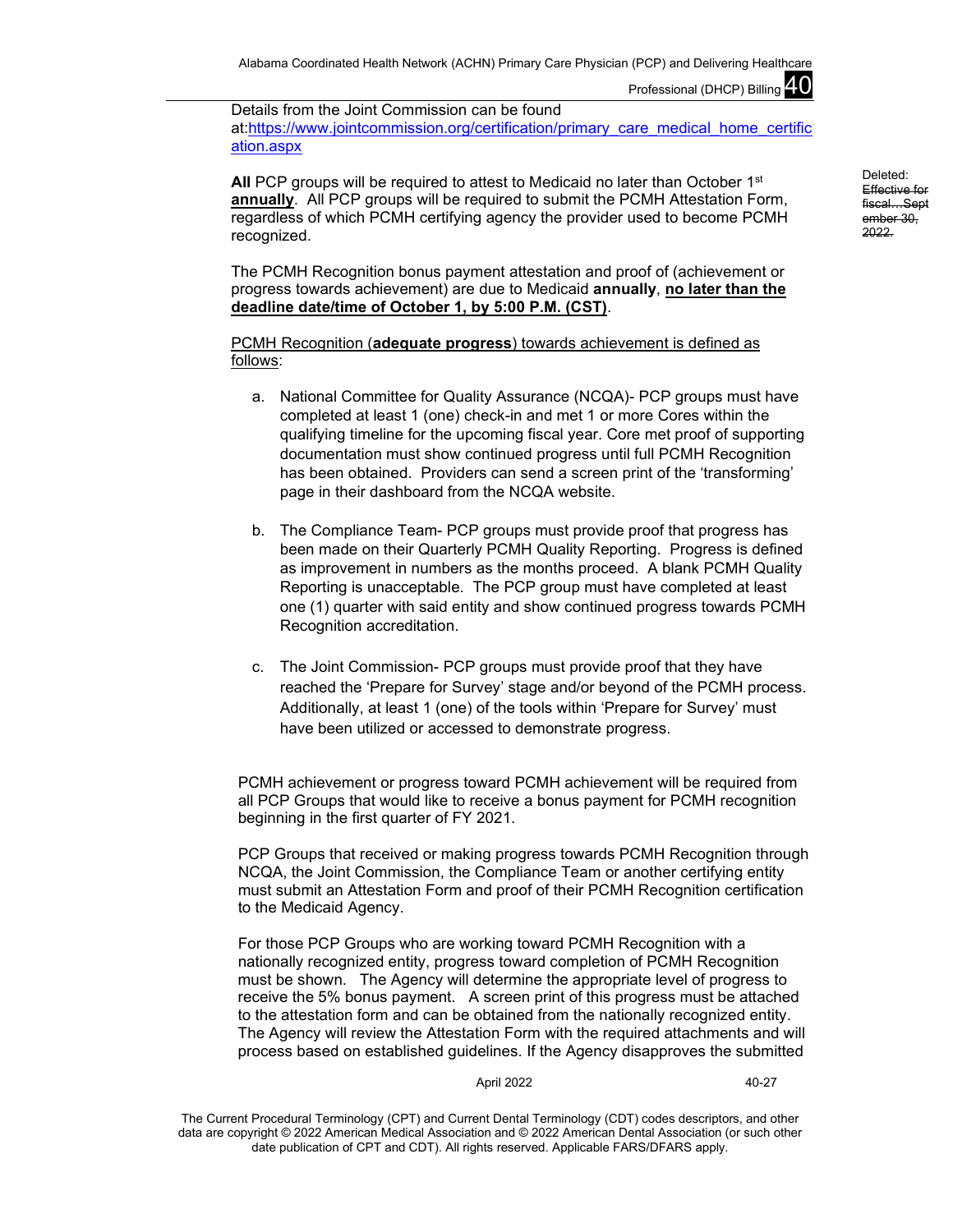Details from the Joint Commission can be found at[:https://www.jointcommission.org/certification/primary\\_care\\_medical\\_home\\_certific](https://www.jointcommission.org/certification/primary_care_medical_home_certification.aspx) [ation.aspx](https://www.jointcommission.org/certification/primary_care_medical_home_certification.aspx) 

All PCP groups will be required to attest to Medicaid no later than October 1<sup>st</sup> **annually**. All PCP groups will be required to submit the PCMH Attestation Form, regardless of which PCMH certifying agency the provider used to become PCMH recognized.

The PCMH Recognition bonus payment attestation and proof of (achievement or progress towards achievement) are due to Medicaid **annually**, **no later than the deadline date/time of October 1, by 5:00 P.M. (CST)**.

PCMH Recognition (**adequate progress**) towards achievement is defined as follows:

- a. National Committee for Quality Assurance (NCQA)- PCP groups must have completed at least 1 (one) check-in and met 1 or more Cores within the qualifying timeline for the upcoming fiscal year. Core met proof of supporting documentation must show continued progress until full PCMH Recognition has been obtained. Providers can send a screen print of the 'transforming' page in their dashboard from the NCQA website.
- b. The Compliance Team- PCP groups must provide proof that progress has been made on their Quarterly PCMH Quality Reporting. Progress is defined as improvement in numbers as the months proceed. A blank PCMH Quality Reporting is unacceptable. The PCP group must have completed at least one (1) quarter with said entity and show continued progress towards PCMH Recognition accreditation.
- c. The Joint Commission- PCP groups must provide proof that they have reached the 'Prepare for Survey' stage and/or beyond of the PCMH process. Additionally, at least 1 (one) of the tools within 'Prepare for Survey' must have been utilized or accessed to demonstrate progress.

PCMH achievement or progress toward PCMH achievement will be required from all PCP Groups that would like to receive a bonus payment for PCMH recognition beginning in the first quarter of FY 2021.

PCP Groups that received or making progress towards PCMH Recognition through NCQA, the Joint Commission, the Compliance Team or another certifying entity must submit an Attestation Form and proof of their PCMH Recognition certification to the Medicaid Agency.

For those PCP Groups who are working toward PCMH Recognition with a nationally recognized entity, progress toward completion of PCMH Recognition must be shown. The Agency will determine the appropriate level of progress to receive the 5% bonus payment. A screen print of this progress must be attached to the attestation form and can be obtained from the nationally recognized entity. The Agency will review the Attestation Form with the required attachments and will process based on established guidelines. If the Agency disapproves the submitted

#### April 2022 40-27

The Current Procedural Terminology (CPT) and Current Dental Terminology (CDT) codes descriptors, and other data are copyright © 2022 American Medical Association and © 2022 American Dental Association (or such other date publication of CPT and CDT). All rights reserved. Applicable FARS/DFARS apply*.*

Deleted: Effective for fiscal…Sept ember 30, 2022.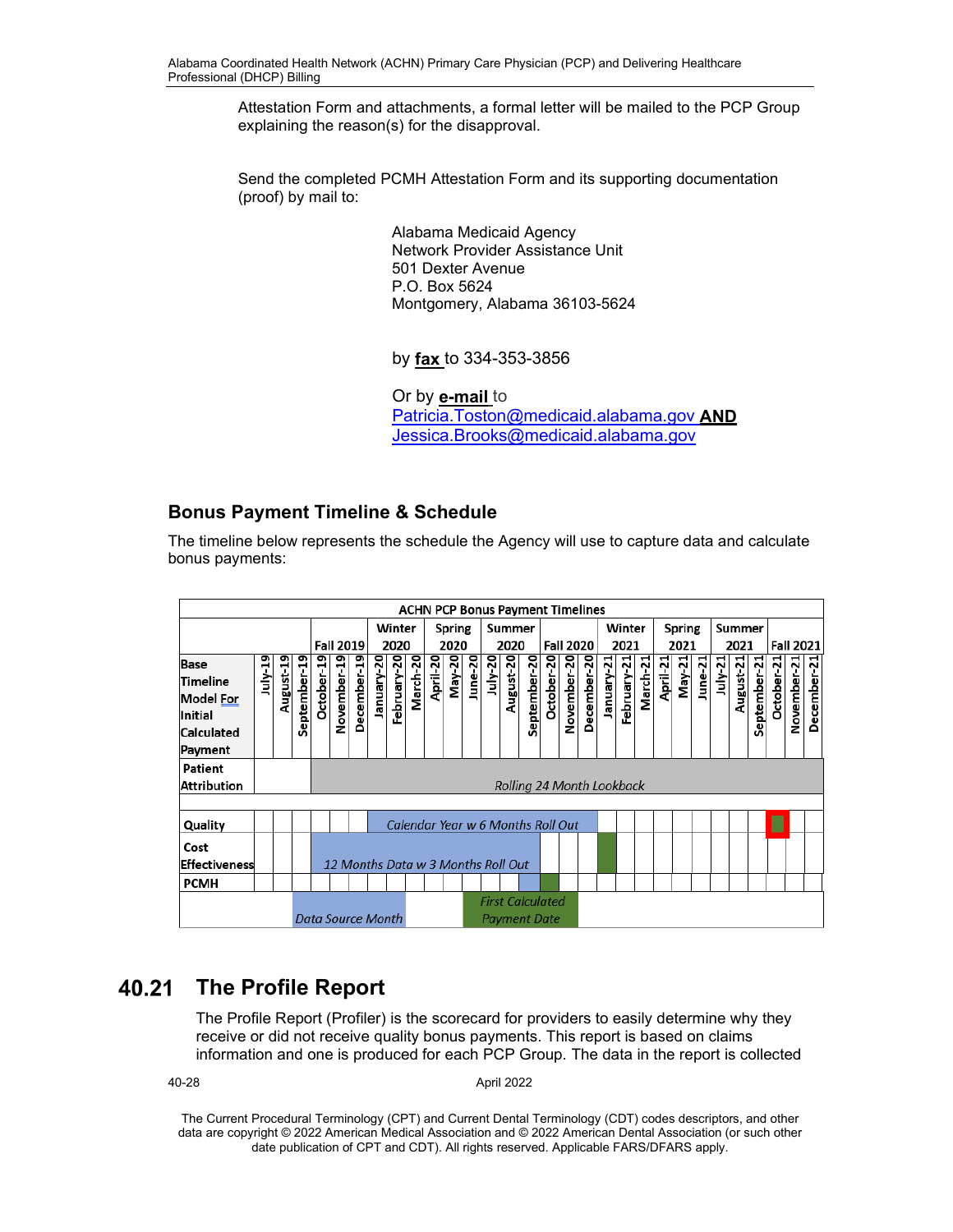Attestation Form and attachments, a formal letter will be mailed to the PCP Group explaining the reason(s) for the disapproval.

Send the completed PCMH Attestation Form and its supporting documentation (proof) by mail to:

> Alabama Medicaid Agency Network Provider Assistance Unit 501 Dexter Avenue P.O. Box 5624 Montgomery, Alabama 36103-5624

by **fax** to 334-353-3856

Or by **e-mail** to [Patricia.Toston@medicaid.alabama.gov](about:blank) **AND**  [Jessica.Brooks@medicaid.alabama.gov](mailto:Jessica.Brooks@medicaid.alabama.gov)

# **Bonus Payment Timeline & Schedule**

The timeline below represents the schedule the Agency will use to capture data and calculate bonus payments:

|                             | <b>ACHN PCP Bonus Payment Timelines</b> |           |              |                   |                  |             |            |             |          |                                    |               |         |         |           |                                         |                  |             |             |            |             |          |          |        |         |           |           |              |            |             |             |
|-----------------------------|-----------------------------------------|-----------|--------------|-------------------|------------------|-------------|------------|-------------|----------|------------------------------------|---------------|---------|---------|-----------|-----------------------------------------|------------------|-------------|-------------|------------|-------------|----------|----------|--------|---------|-----------|-----------|--------------|------------|-------------|-------------|
|                             |                                         |           |              |                   |                  | Winter      |            |             |          | Spring                             |               |         | Summer  |           |                                         |                  |             | Winter      |            |             | Spring   |          |        | Summer  |           |           |              |            |             |             |
|                             |                                         |           |              |                   | <b>Fall 2019</b> |             |            | 2020        |          |                                    | 2020          |         |         | 2020      |                                         | <b>Fall 2020</b> |             |             | 2021       |             | 2021     |          |        | 2021    |           |           | Fall 2021    |            |             |             |
| <b>Base</b>                 | uly 19                                  |           |              |                   |                  |             |            |             | March-20 | April-20                           | <b>May-20</b> | June-20 | July-20 |           |                                         |                  |             |             |            |             | March-21 | April-21 | May-21 | June-21 | $July-21$ |           |              |            |             |             |
| Timeline                    |                                         |           |              |                   |                  |             |            |             |          |                                    |               |         |         |           |                                         |                  |             |             |            |             |          |          |        |         |           |           |              |            |             |             |
| <b>Model For</b><br>Initial |                                         | August-19 | September-19 | October-19        | November-19      | December-19 | January-20 | February-20 |          |                                    |               |         |         | August-20 | September-20                            | October-20       | November-20 | December-20 | January 21 | February-21 |          |          |        |         |           | August-21 | September-21 | October-21 | November-21 | December-21 |
| Calculated                  |                                         |           |              |                   |                  |             |            |             |          |                                    |               |         |         |           |                                         |                  |             |             |            |             |          |          |        |         |           |           |              |            |             |             |
| Payment                     |                                         |           |              |                   |                  |             |            |             |          |                                    |               |         |         |           |                                         |                  |             |             |            |             |          |          |        |         |           |           |              |            |             |             |
| Patient                     |                                         |           |              |                   |                  |             |            |             |          |                                    |               |         |         |           |                                         |                  |             |             |            |             |          |          |        |         |           |           |              |            |             |             |
| Attribution                 |                                         |           |              |                   |                  |             |            |             |          |                                    |               |         |         |           | Rolling 24 Month Lookback               |                  |             |             |            |             |          |          |        |         |           |           |              |            |             |             |
|                             |                                         |           |              |                   |                  |             |            |             |          |                                    |               |         |         |           |                                         |                  |             |             |            |             |          |          |        |         |           |           |              |            |             |             |
| Quality                     |                                         |           |              |                   |                  |             |            |             |          |                                    |               |         |         |           | Calendar Year w 6 Months Roll Out       |                  |             |             |            |             |          |          |        |         |           |           |              |            |             |             |
| Cost                        |                                         |           |              |                   |                  |             |            |             |          |                                    |               |         |         |           |                                         |                  |             |             |            |             |          |          |        |         |           |           |              |            |             |             |
| Effectiveness               |                                         |           |              |                   |                  |             |            |             |          | 12 Months Data w 3 Months Roll Out |               |         |         |           |                                         |                  |             |             |            |             |          |          |        |         |           |           |              |            |             |             |
| <b>PCMH</b>                 |                                         |           |              |                   |                  |             |            |             |          |                                    |               |         |         |           |                                         |                  |             |             |            |             |          |          |        |         |           |           |              |            |             |             |
|                             |                                         |           |              | Data Source Month |                  |             |            |             |          |                                    |               |         |         |           | <b>First Calculated</b><br>Payment Date |                  |             |             |            |             |          |          |        |         |           |           |              |            |             |             |

# **The Profile Report**

The Profile Report (Profiler) is the scorecard for providers to easily determine why they receive or did not receive quality bonus payments. This report is based on claims information and one is produced for each PCP Group. The data in the report is collected

40-28 April 2022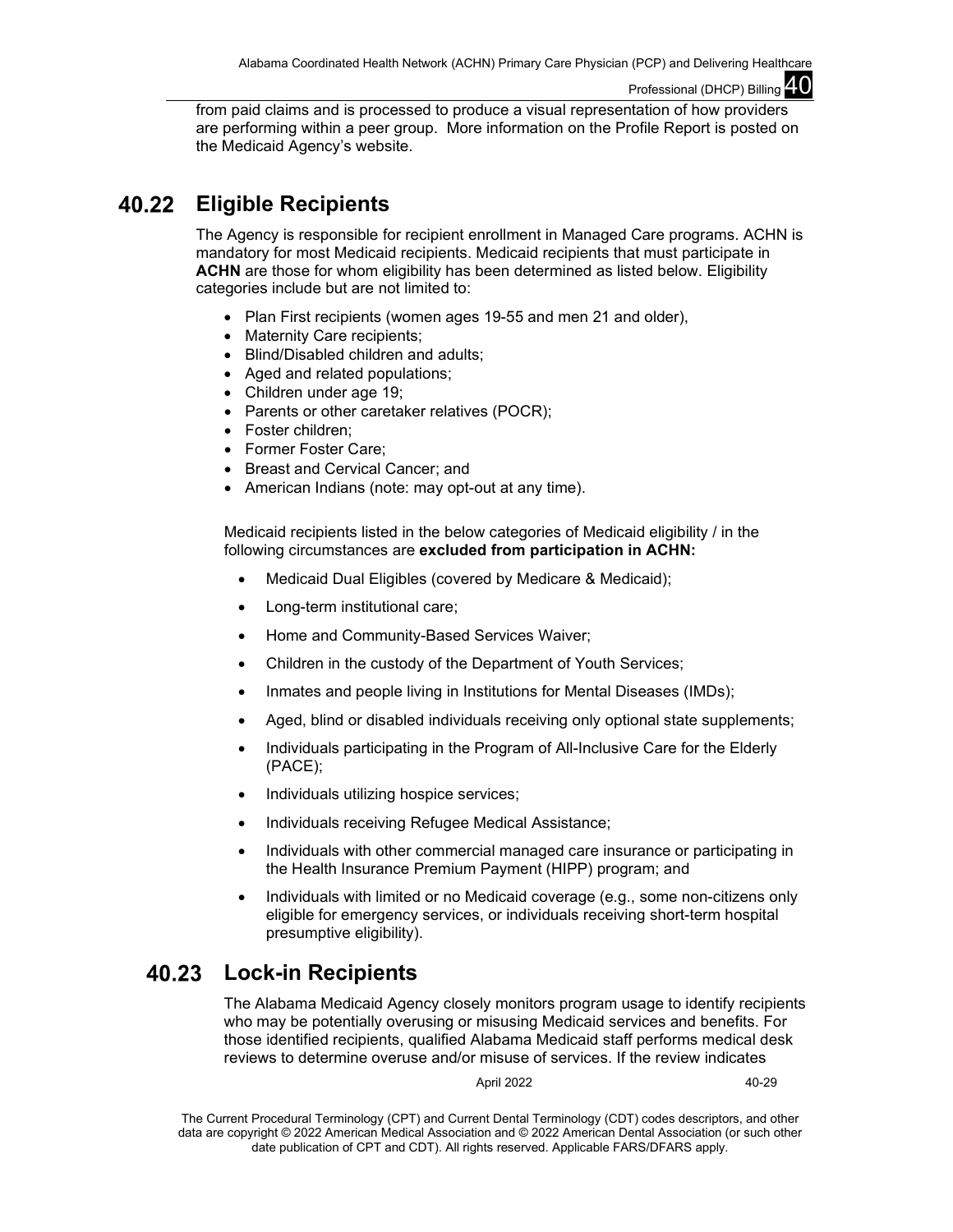from paid claims and is processed to produce a visual representation of how providers are performing within a peer group. More information on the Profile Report is posted on the Medicaid Agency's website.

#### 40.22 **Eligible Recipients**

The Agency is responsible for recipient enrollment in Managed Care programs. ACHN is mandatory for most Medicaid recipients. Medicaid recipients that must participate in **ACHN** are those for whom eligibility has been determined as listed below. Eligibility categories include but are not limited to:

- Plan First recipients (women ages 19-55 and men 21 and older),
- Maternity Care recipients;
- Blind/Disabled children and adults;
- Aged and related populations:
- Children under age 19;
- Parents or other caretaker relatives (POCR);
- Foster children:
- Former Foster Care;
- Breast and Cervical Cancer; and
- American Indians (note: may opt-out at any time).

Medicaid recipients listed in the below categories of Medicaid eligibility / in the following circumstances are **excluded from participation in ACHN:**

- Medicaid Dual Eligibles (covered by Medicare & Medicaid);
- Long-term institutional care;
- Home and Community-Based Services Waiver;
- Children in the custody of the Department of Youth Services;
- Inmates and people living in Institutions for Mental Diseases (IMDs);
- Aged, blind or disabled individuals receiving only optional state supplements;
- Individuals participating in the Program of All-Inclusive Care for the Elderly (PACE);
- Individuals utilizing hospice services;
- Individuals receiving Refugee Medical Assistance;
- Individuals with other commercial managed care insurance or participating in the Health Insurance Premium Payment (HIPP) program; and
- Individuals with limited or no Medicaid coverage (e.g., some non-citizens only eligible for emergency services, or individuals receiving short-term hospital presumptive eligibility).

#### 40.23 **Lock-in Recipients**

The Alabama Medicaid Agency closely monitors program usage to identify recipients who may be potentially overusing or misusing Medicaid services and benefits. For those identified recipients, qualified Alabama Medicaid staff performs medical desk reviews to determine overuse and/or misuse of services. If the review indicates

April 2022 40-29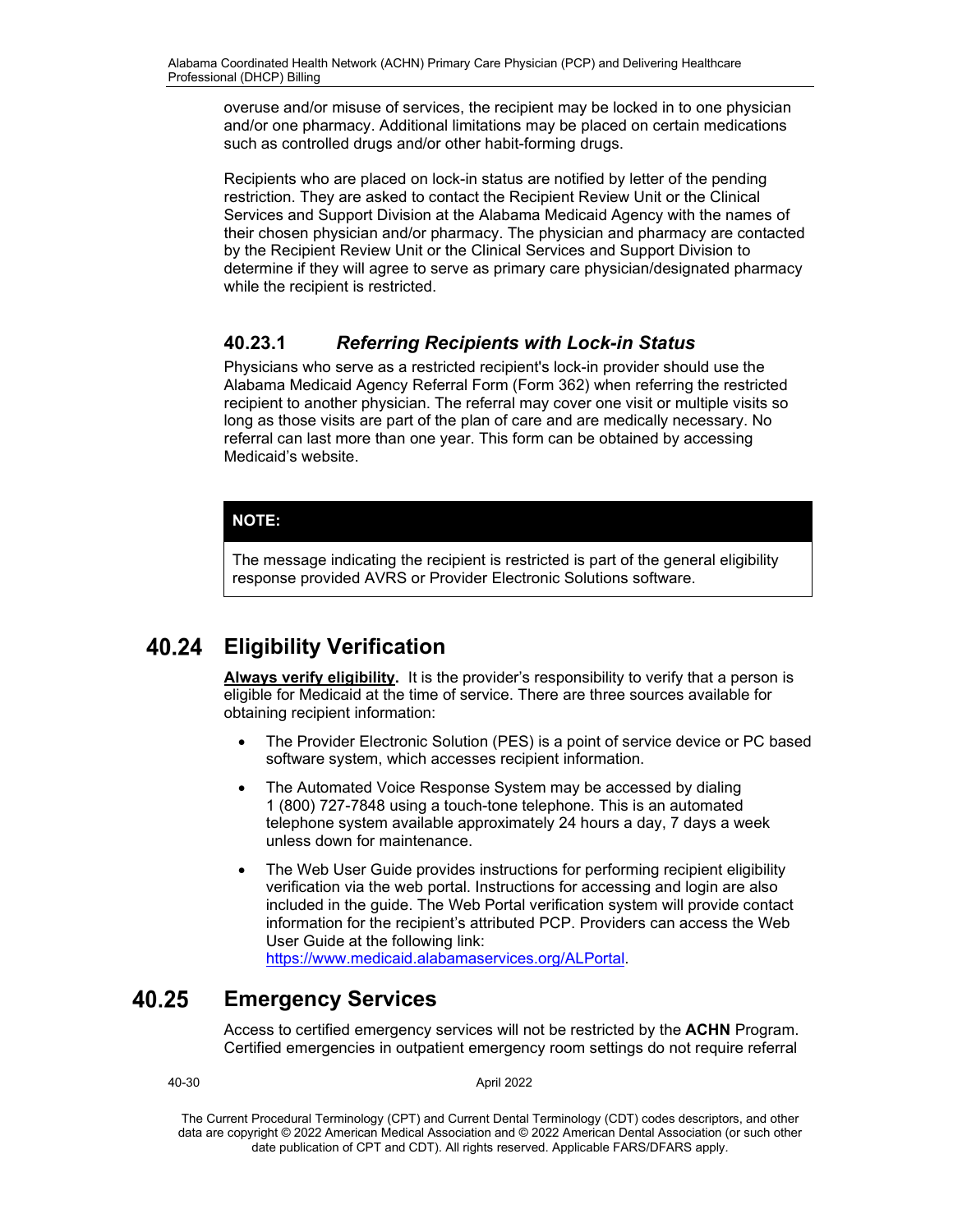overuse and/or misuse of services, the recipient may be locked in to one physician and/or one pharmacy. Additional limitations may be placed on certain medications such as controlled drugs and/or other habit-forming drugs.

Recipients who are placed on lock-in status are notified by letter of the pending restriction. They are asked to contact the Recipient Review Unit or the Clinical Services and Support Division at the Alabama Medicaid Agency with the names of their chosen physician and/or pharmacy. The physician and pharmacy are contacted by the Recipient Review Unit or the Clinical Services and Support Division to determine if they will agree to serve as primary care physician/designated pharmacy while the recipient is restricted.

# **40.23.1** *Referring Recipients with Lock-in Status*

Physicians who serve as a restricted recipient's lock-in provider should use the Alabama Medicaid Agency Referral Form (Form 362) when referring the restricted recipient to another physician. The referral may cover one visit or multiple visits so long as those visits are part of the plan of care and are medically necessary. No referral can last more than one year. This form can be obtained by accessing Medicaid's website.

## **NOTE:**

The message indicating the recipient is restricted is part of the general eligibility response provided AVRS or Provider Electronic Solutions software.

#### **Eligibility Verification** 40.24

**Always verify eligibility.** It is the provider's responsibility to verify that a person is eligible for Medicaid at the time of service. There are three sources available for obtaining recipient information:

- The Provider Electronic Solution (PES) is a point of service device or PC based software system, which accesses recipient information.
- The Automated Voice Response System may be accessed by dialing 1 (800) 727-7848 using a touch-tone telephone. This is an automated telephone system available approximately 24 hours a day, 7 days a week unless down for maintenance.
- The Web User Guide provides instructions for performing recipient eligibility verification via the web portal. Instructions for accessing and login are also included in the guide. The Web Portal verification system will provide contact information for the recipient's attributed PCP. Providers can access the Web User Guide at the following link:

[https://www.medicaid.alabamaservices.org/ALPortal.](https://www.medicaid.alabamaservices.org/ALPortal)

#### 40.25 **Emergency Services**

Access to certified emergency services will not be restricted by the **ACHN** Program. Certified emergencies in outpatient emergency room settings do not require referral

40-30 April 2022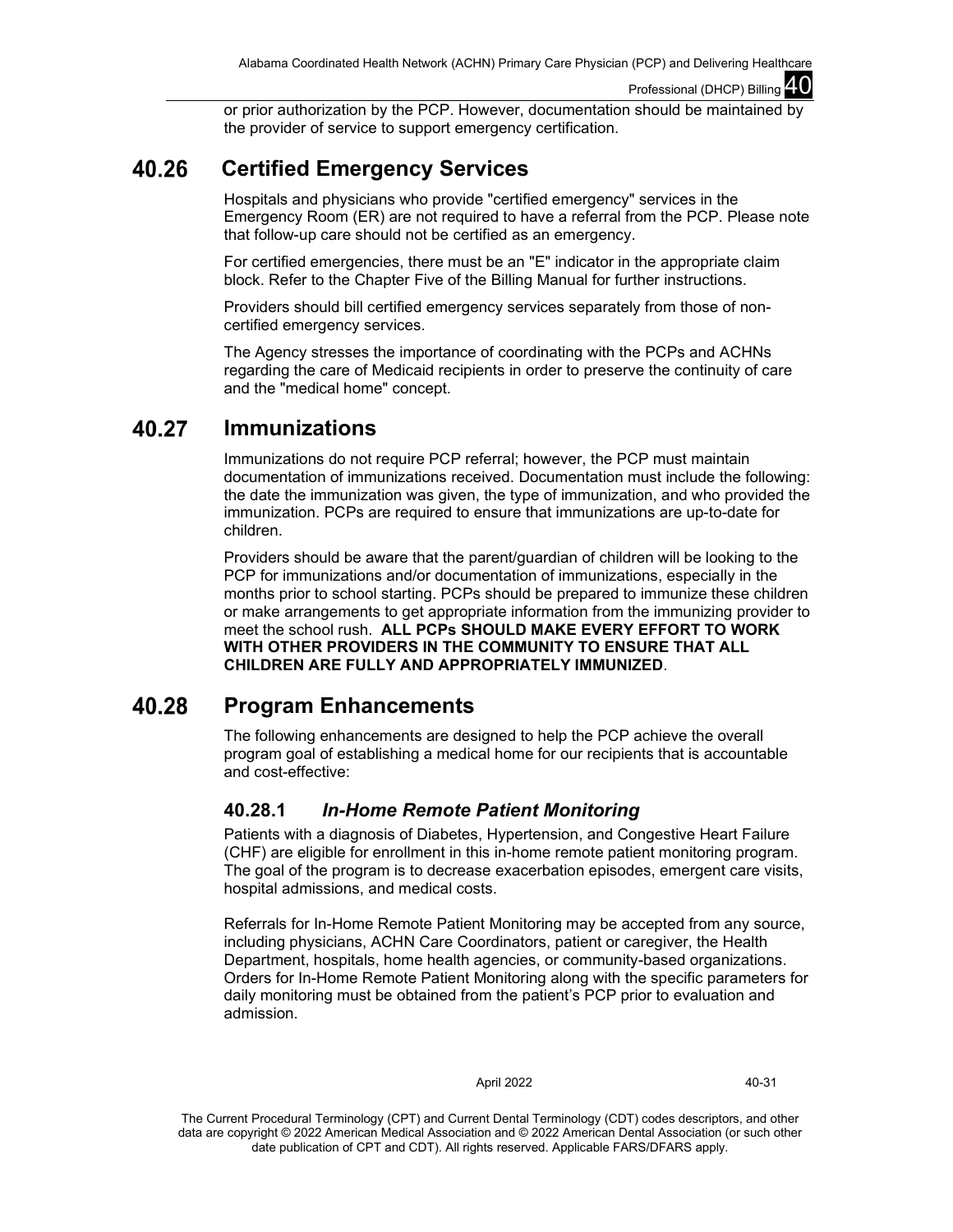or prior authorization by the PCP. However, documentation should be maintained by the provider of service to support emergency certification.

#### 40.26  **Certified Emergency Services**

Hospitals and physicians who provide "certified emergency" services in the Emergency Room (ER) are not required to have a referral from the PCP. Please note that follow-up care should not be certified as an emergency.

For certified emergencies, there must be an "E" indicator in the appropriate claim block. Refer to the Chapter Five of the Billing Manual for further instructions.

Providers should bill certified emergency services separately from those of noncertified emergency services.

The Agency stresses the importance of coordinating with the PCPs and ACHNs regarding the care of Medicaid recipients in order to preserve the continuity of care and the "medical home" concept.

#### 40.27 **Immunizations**

Immunizations do not require PCP referral; however, the PCP must maintain documentation of immunizations received. Documentation must include the following: the date the immunization was given, the type of immunization, and who provided the immunization. PCPs are required to ensure that immunizations are up-to-date for children.

Providers should be aware that the parent/guardian of children will be looking to the PCP for immunizations and/or documentation of immunizations, especially in the months prior to school starting. PCPs should be prepared to immunize these children or make arrangements to get appropriate information from the immunizing provider to meet the school rush. **ALL PCPs SHOULD MAKE EVERY EFFORT TO WORK WITH OTHER PROVIDERS IN THE COMMUNITY TO ENSURE THAT ALL CHILDREN ARE FULLY AND APPROPRIATELY IMMUNIZED**.

#### 40.28 **Program Enhancements**

The following enhancements are designed to help the PCP achieve the overall program goal of establishing a medical home for our recipients that is accountable and cost-effective:

# **40.28.1** *In-Home Remote Patient Monitoring*

Patients with a diagnosis of Diabetes, Hypertension, and Congestive Heart Failure (CHF) are eligible for enrollment in this in-home remote patient monitoring program. The goal of the program is to decrease exacerbation episodes, emergent care visits, hospital admissions, and medical costs.

Referrals for In-Home Remote Patient Monitoring may be accepted from any source, including physicians, ACHN Care Coordinators, patient or caregiver, the Health Department, hospitals, home health agencies, or community-based organizations. Orders for In-Home Remote Patient Monitoring along with the specific parameters for daily monitoring must be obtained from the patient's PCP prior to evaluation and admission.

### April 2022 40-31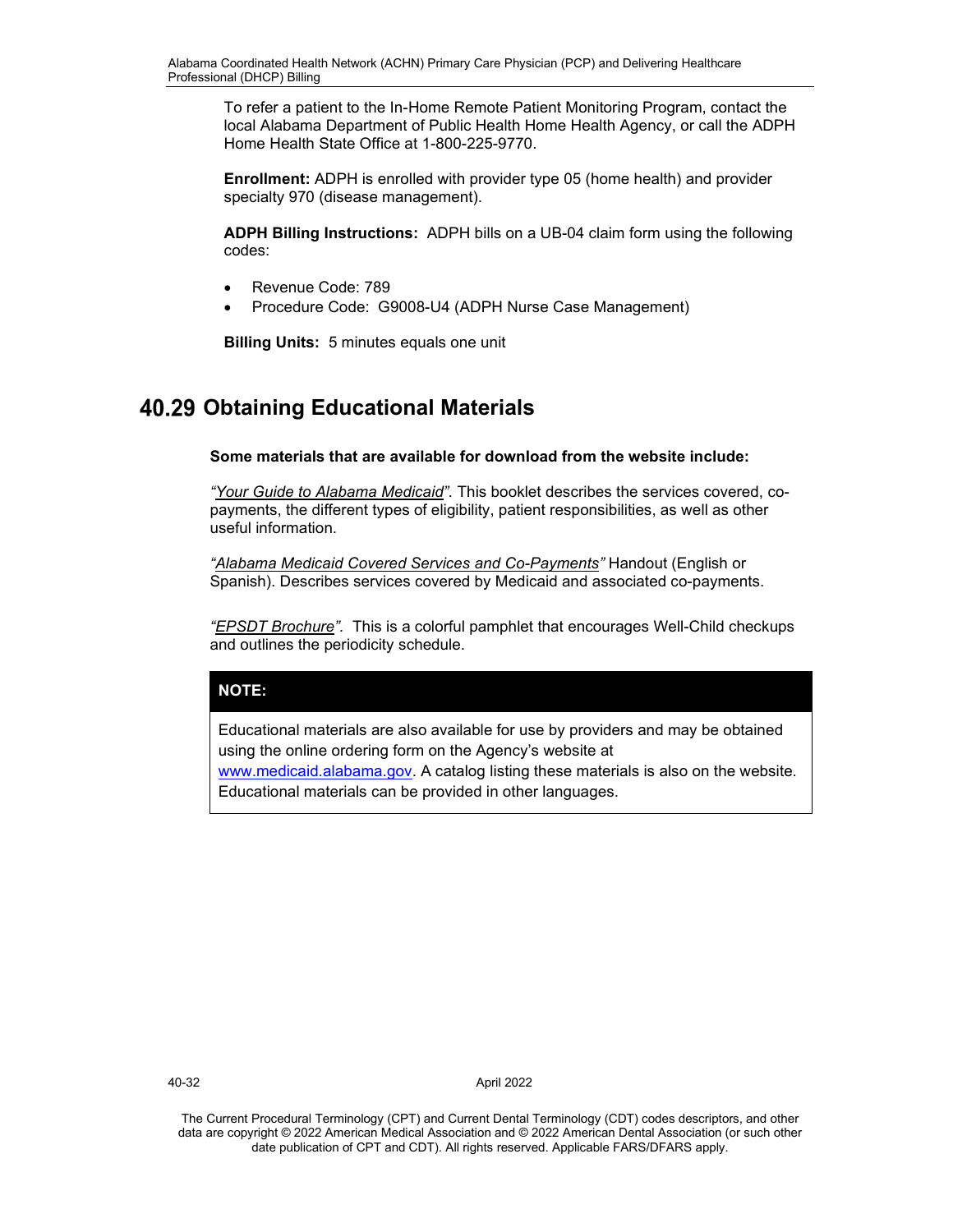To refer a patient to the In-Home Remote Patient Monitoring Program, contact the local Alabama Department of Public Health Home Health Agency, or call the ADPH Home Health State Office at 1-800-225-9770.

**Enrollment:** ADPH is enrolled with provider type 05 (home health) and provider specialty 970 (disease management).

**ADPH Billing Instructions:** ADPH bills on a UB-04 claim form using the following codes:

- Revenue Code: 789
- Procedure Code: G9008-U4 (ADPH Nurse Case Management)

**Billing Units:** 5 minutes equals one unit

# **40.29 Obtaining Educational Materials**

**Some materials that are available for download from the website include:**

*"Your Guide to Alabama Medicaid".* This booklet describes the services covered, copayments, the different types of eligibility, patient responsibilities, as well as other useful information.

*"Alabama Medicaid Covered Services and Co-Payments"* Handout (English or Spanish). Describes services covered by Medicaid and associated co-payments.

*"EPSDT Brochure".* This is a colorful pamphlet that encourages Well-Child checkups and outlines the periodicity schedule.

# **NOTE:**

Educational materials are also available for use by providers and may be obtained using the online ordering form on the Agency's website at

[www.medicaid.alabama.gov.](http://www.medicaid.alabama.gov/) A catalog listing these materials is also on the website. Educational materials can be provided in other languages.

40-32 April 2022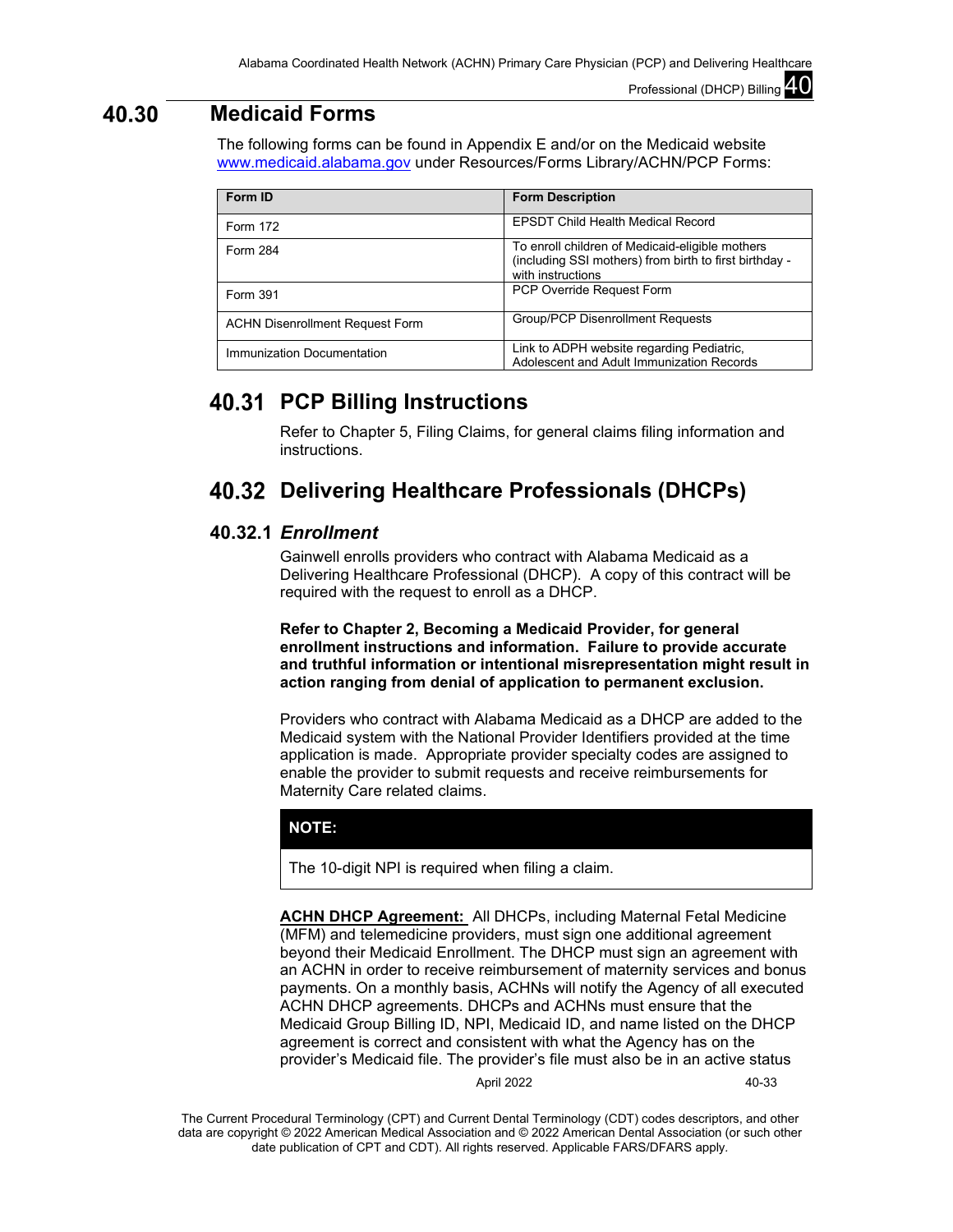#### 40.30 **Medicaid Forms**

The following forms can be found in Appendix E and/or on the Medicaid website [www.medicaid.alabama.gov](http://www.medicaid.alabama.gov/) under Resources/Forms Library/ACHN/PCP Forms:

| Form ID                                | <b>Form Description</b>                                                                                                        |
|----------------------------------------|--------------------------------------------------------------------------------------------------------------------------------|
| Form 172                               | <b>EPSDT Child Health Medical Record</b>                                                                                       |
| Form 284                               | To enroll children of Medicaid-eligible mothers<br>(including SSI mothers) from birth to first birthday -<br>with instructions |
| Form 391                               | <b>PCP Override Request Form</b>                                                                                               |
| <b>ACHN Disenrollment Request Form</b> | <b>Group/PCP Disenrollment Requests</b>                                                                                        |
| Immunization Documentation             | Link to ADPH website regarding Pediatric,<br>Adolescent and Adult Immunization Records                                         |

# **PCP Billing Instructions**

Refer to Chapter 5, Filing Claims, for general claims filing information and instructions.

# **Delivering Healthcare Professionals (DHCPs)**

## **40.32.1** *Enrollment*

Gainwell enrolls providers who contract with Alabama Medicaid as a Delivering Healthcare Professional (DHCP). A copy of this contract will be required with the request to enroll as a DHCP.

## **Refer to Chapter 2, Becoming a Medicaid Provider, for general enrollment instructions and information. Failure to provide accurate and truthful information or intentional misrepresentation might result in action ranging from denial of application to permanent exclusion.**

Providers who contract with Alabama Medicaid as a DHCP are added to the Medicaid system with the National Provider Identifiers provided at the time application is made. Appropriate provider specialty codes are assigned to enable the provider to submit requests and receive reimbursements for Maternity Care related claims.

## **NOTE:**

The 10-digit NPI is required when filing a claim.

**ACHN DHCP Agreement:** All DHCPs, including Maternal Fetal Medicine (MFM) and telemedicine providers, must sign one additional agreement beyond their Medicaid Enrollment. The DHCP must sign an agreement with an ACHN in order to receive reimbursement of maternity services and bonus payments. On a monthly basis, ACHNs will notify the Agency of all executed ACHN DHCP agreements. DHCPs and ACHNs must ensure that the Medicaid Group Billing ID, NPI, Medicaid ID, and name listed on the DHCP agreement is correct and consistent with what the Agency has on the provider's Medicaid file. The provider's file must also be in an active status

April 2022 40-33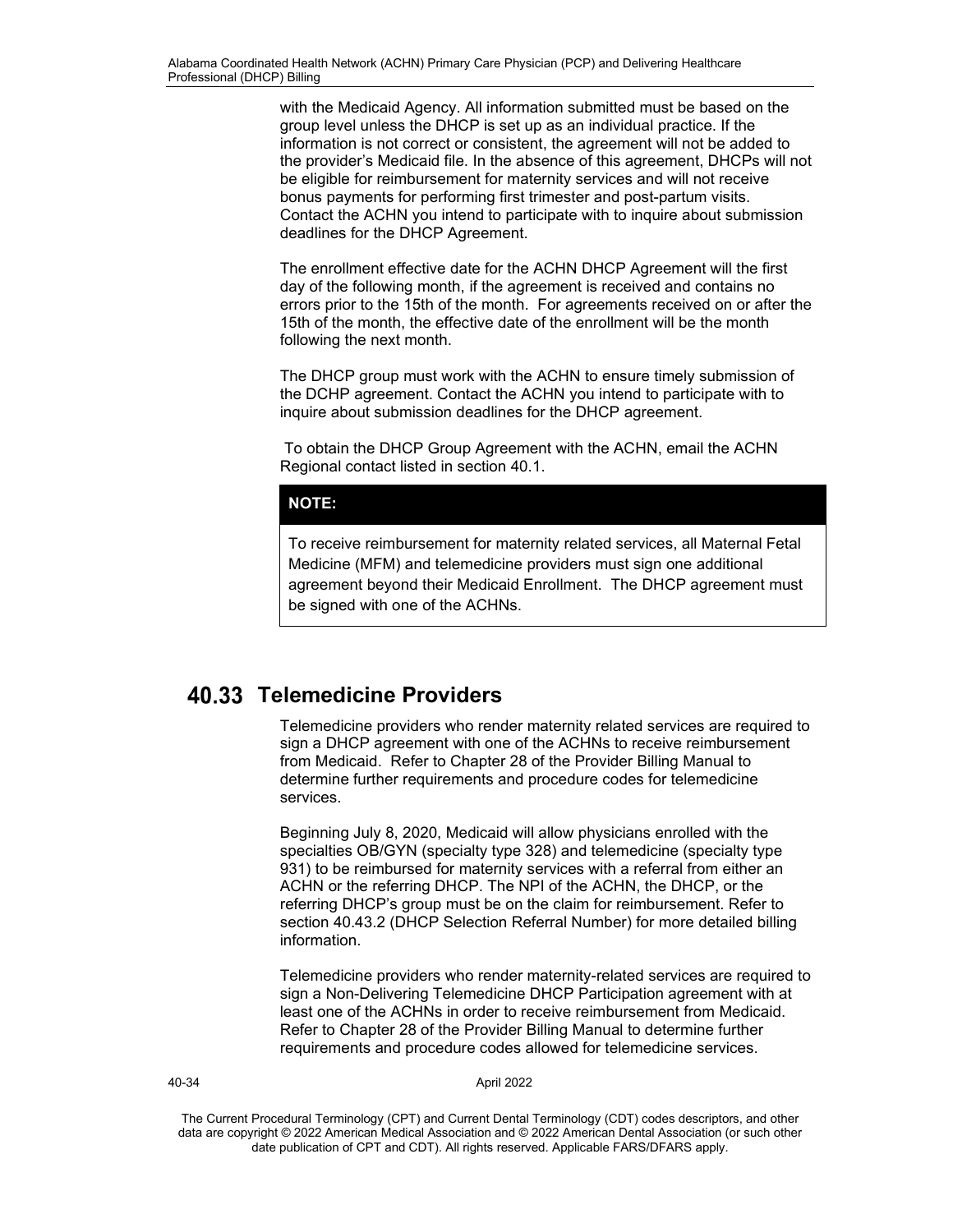with the Medicaid Agency. All information submitted must be based on the group level unless the DHCP is set up as an individual practice. If the information is not correct or consistent, the agreement will not be added to the provider's Medicaid file. In the absence of this agreement, DHCPs will not be eligible for reimbursement for maternity services and will not receive bonus payments for performing first trimester and post-partum visits. Contact the ACHN you intend to participate with to inquire about submission deadlines for the DHCP Agreement.

The enrollment effective date for the ACHN DHCP Agreement will the first day of the following month, if the agreement is received and contains no errors prior to the 15th of the month. For agreements received on or after the 15th of the month, the effective date of the enrollment will be the month following the next month.

The DHCP group must work with the ACHN to ensure timely submission of the DCHP agreement. Contact the ACHN you intend to participate with to inquire about submission deadlines for the DHCP agreement.

To obtain the DHCP Group Agreement with the ACHN, email the ACHN Regional contact listed in section 40.1.

### **NOTE:**

To receive reimbursement for maternity related services, all Maternal Fetal Medicine (MFM) and telemedicine providers must sign one additional agreement beyond their Medicaid Enrollment. The DHCP agreement must be signed with one of the ACHNs.

# **Telemedicine Providers**

Telemedicine providers who render maternity related services are required to sign a DHCP agreement with one of the ACHNs to receive reimbursement from Medicaid. Refer to Chapter 28 of the Provider Billing Manual to determine further requirements and procedure codes for telemedicine services.

Beginning July 8, 2020, Medicaid will allow physicians enrolled with the specialties OB/GYN (specialty type 328) and telemedicine (specialty type 931) to be reimbursed for maternity services with a referral from either an ACHN or the referring DHCP. The NPI of the ACHN, the DHCP, or the referring DHCP's group must be on the claim for reimbursement. Refer to section 40.43.2 (DHCP Selection Referral Number) for more detailed billing information.

Telemedicine providers who render maternity-related services are required to sign a Non-Delivering Telemedicine DHCP Participation agreement with at least one of the ACHNs in order to receive reimbursement from Medicaid. Refer to Chapter 28 of the Provider Billing Manual to determine further requirements and procedure codes allowed for telemedicine services.

40-34 April 2022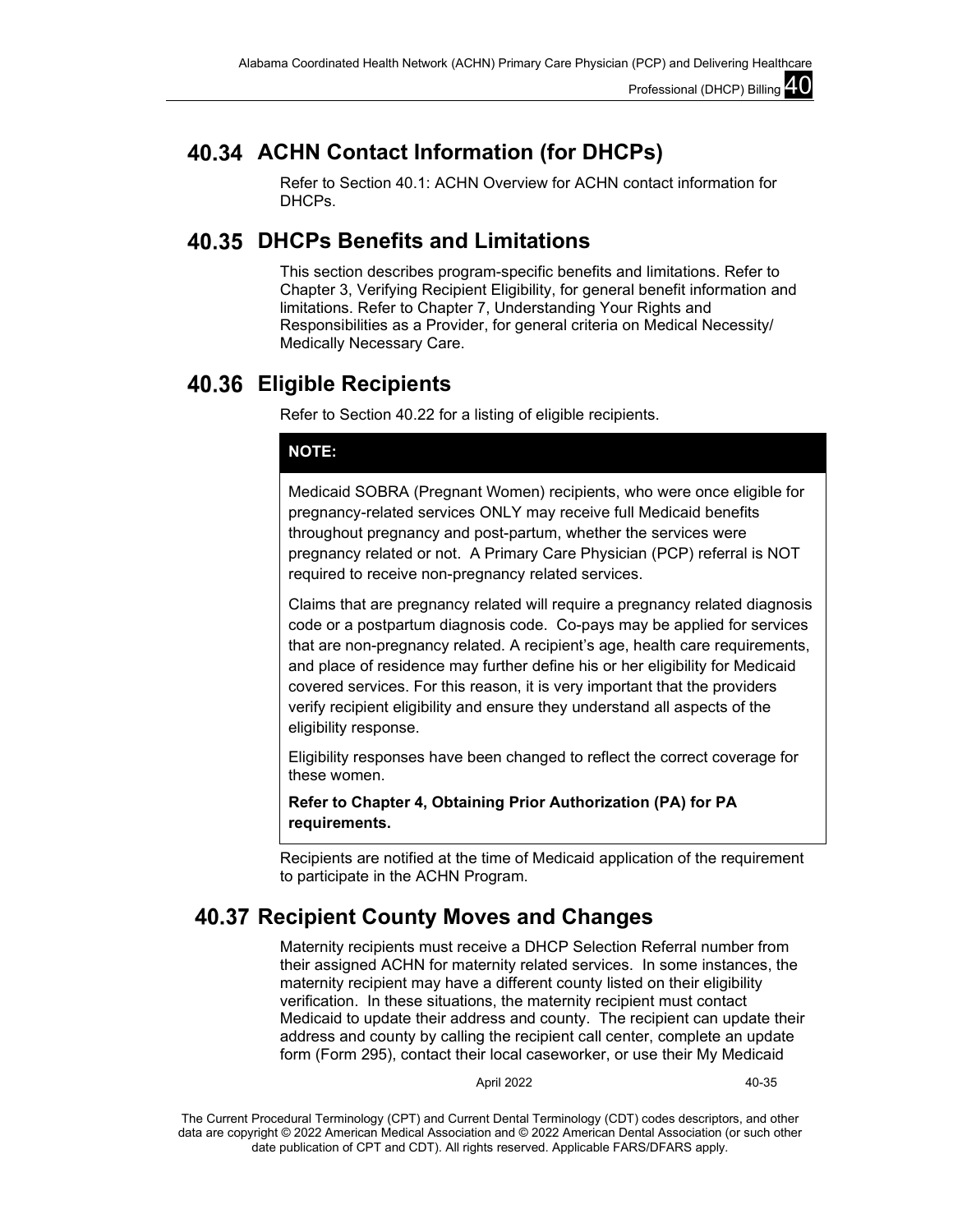# **ACHN Contact Information (for DHCPs)**

Refer to Section 40.1: ACHN Overview for ACHN contact information for DHCPs.

# **DHCPs Benefits and Limitations**

This section describes program-specific benefits and limitations. Refer to Chapter 3, Verifying Recipient Eligibility, for general benefit information and limitations. Refer to Chapter 7, Understanding Your Rights and Responsibilities as a Provider, for general criteria on Medical Necessity/ Medically Necessary Care.

# **Eligible Recipients**

Refer to Section 40.22 for a listing of eligible recipients.

## **NOTE:**

Medicaid SOBRA (Pregnant Women) recipients, who were once eligible for pregnancy-related services ONLY may receive full Medicaid benefits throughout pregnancy and post-partum, whether the services were pregnancy related or not. A Primary Care Physician (PCP) referral is NOT required to receive non-pregnancy related services.

Claims that are pregnancy related will require a pregnancy related diagnosis code or a postpartum diagnosis code. Co-pays may be applied for services that are non-pregnancy related. A recipient's age, health care requirements, and place of residence may further define his or her eligibility for Medicaid covered services. For this reason, it is very important that the providers verify recipient eligibility and ensure they understand all aspects of the eligibility response.

Eligibility responses have been changed to reflect the correct coverage for these women.

**Refer to Chapter 4, Obtaining Prior Authorization (PA) for PA requirements.**

Recipients are notified at the time of Medicaid application of the requirement to participate in the ACHN Program.

# **Recipient County Moves and Changes**

Maternity recipients must receive a DHCP Selection Referral number from their assigned ACHN for maternity related services. In some instances, the maternity recipient may have a different county listed on their eligibility verification. In these situations, the maternity recipient must contact Medicaid to update their address and county. The recipient can update their address and county by calling the recipient call center, complete an update form (Form 295), contact their local caseworker, or use their My Medicaid

April 2022 40-35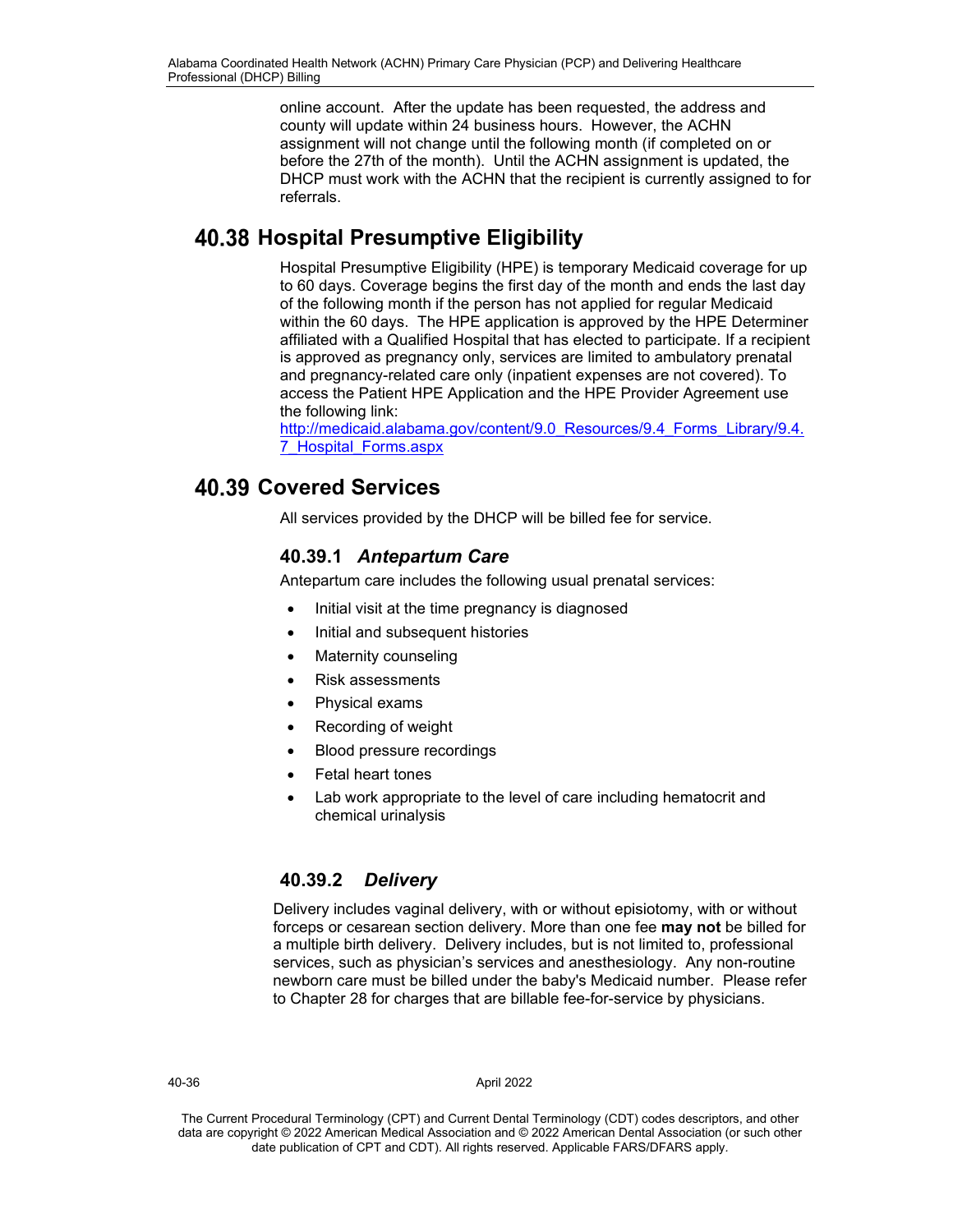online account. After the update has been requested, the address and county will update within 24 business hours. However, the ACHN assignment will not change until the following month (if completed on or before the 27th of the month). Until the ACHN assignment is updated, the DHCP must work with the ACHN that the recipient is currently assigned to for referrals.

# **Hospital Presumptive Eligibility**

Hospital Presumptive Eligibility (HPE) is temporary Medicaid coverage for up to 60 days. Coverage begins the first day of the month and ends the last day of the following month if the person has not applied for regular Medicaid within the 60 days. The HPE application is approved by the HPE Determiner affiliated with a Qualified Hospital that has elected to participate. If a recipient is approved as pregnancy only, services are limited to ambulatory prenatal and pregnancy-related care only (inpatient expenses are not covered). To access the Patient HPE Application and the HPE Provider Agreement use the following link:

[http://medicaid.alabama.gov/content/9.0\\_Resources/9.4\\_Forms\\_Library/9.4.](http://medicaid.alabama.gov/content/9.0_Resources/9.4_Forms_Library/9.4.7_Hospital_Forms.aspx) [7\\_Hospital\\_Forms.aspx](http://medicaid.alabama.gov/content/9.0_Resources/9.4_Forms_Library/9.4.7_Hospital_Forms.aspx)

# **Covered Services**

All services provided by the DHCP will be billed fee for service.

# **40.39.1** *Antepartum Care*

Antepartum care includes the following usual prenatal services:

- Initial visit at the time pregnancy is diagnosed
- Initial and subsequent histories
- Maternity counseling
- Risk assessments
- Physical exams
- Recording of weight
- Blood pressure recordings
- Fetal heart tones
- Lab work appropriate to the level of care including hematocrit and chemical urinalysis

# **40.39.2** *Delivery*

Delivery includes vaginal delivery, with or without episiotomy, with or without forceps or cesarean section delivery. More than one fee **may not** be billed for a multiple birth delivery. Delivery includes, but is not limited to, professional services, such as physician's services and anesthesiology. Any non-routine newborn care must be billed under the baby's Medicaid number. Please refer to Chapter 28 for charges that are billable fee-for-service by physicians.

40-36 April 2022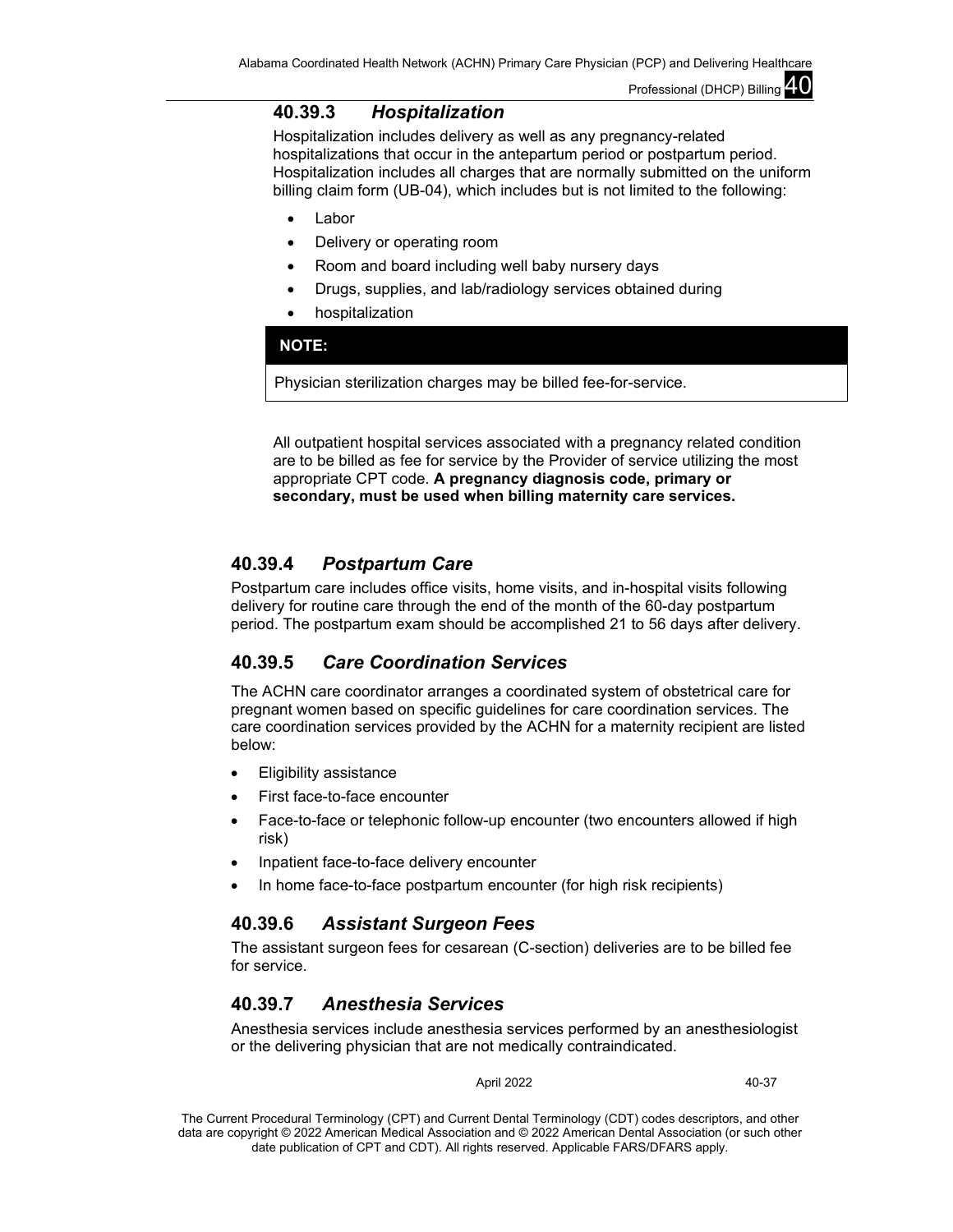## **40.39.3** *Hospitalization*

Hospitalization includes delivery as well as any pregnancy-related hospitalizations that occur in the antepartum period or postpartum period. Hospitalization includes all charges that are normally submitted on the uniform billing claim form (UB-04), which includes but is not limited to the following:

- **Labor**
- Delivery or operating room
- Room and board including well baby nursery days
- Drugs, supplies, and lab/radiology services obtained during
- hospitalization

### **NOTE:**

Physician sterilization charges may be billed fee-for-service.

All outpatient hospital services associated with a pregnancy related condition are to be billed as fee for service by the Provider of service utilizing the most appropriate CPT code. **A pregnancy diagnosis code, primary or secondary, must be used when billing maternity care services.**

## **40.39.4** *Postpartum Care*

Postpartum care includes office visits, home visits, and in-hospital visits following delivery for routine care through the end of the month of the 60-day postpartum period. The postpartum exam should be accomplished 21 to 56 days after delivery.

## **40.39.5** *Care Coordination Services*

The ACHN care coordinator arranges a coordinated system of obstetrical care for pregnant women based on specific guidelines for care coordination services. The care coordination services provided by the ACHN for a maternity recipient are listed below:

- Eligibility assistance
- First face-to-face encounter
- Face-to-face or telephonic follow-up encounter (two encounters allowed if high risk)
- Inpatient face-to-face delivery encounter
- In home face-to-face postpartum encounter (for high risk recipients)

## **40.39.6** *Assistant Surgeon Fees*

The assistant surgeon fees for cesarean (C-section) deliveries are to be billed fee for service.

## **40.39.7** *Anesthesia Services*

Anesthesia services include anesthesia services performed by an anesthesiologist or the delivering physician that are not medically contraindicated.

April 2022 40-37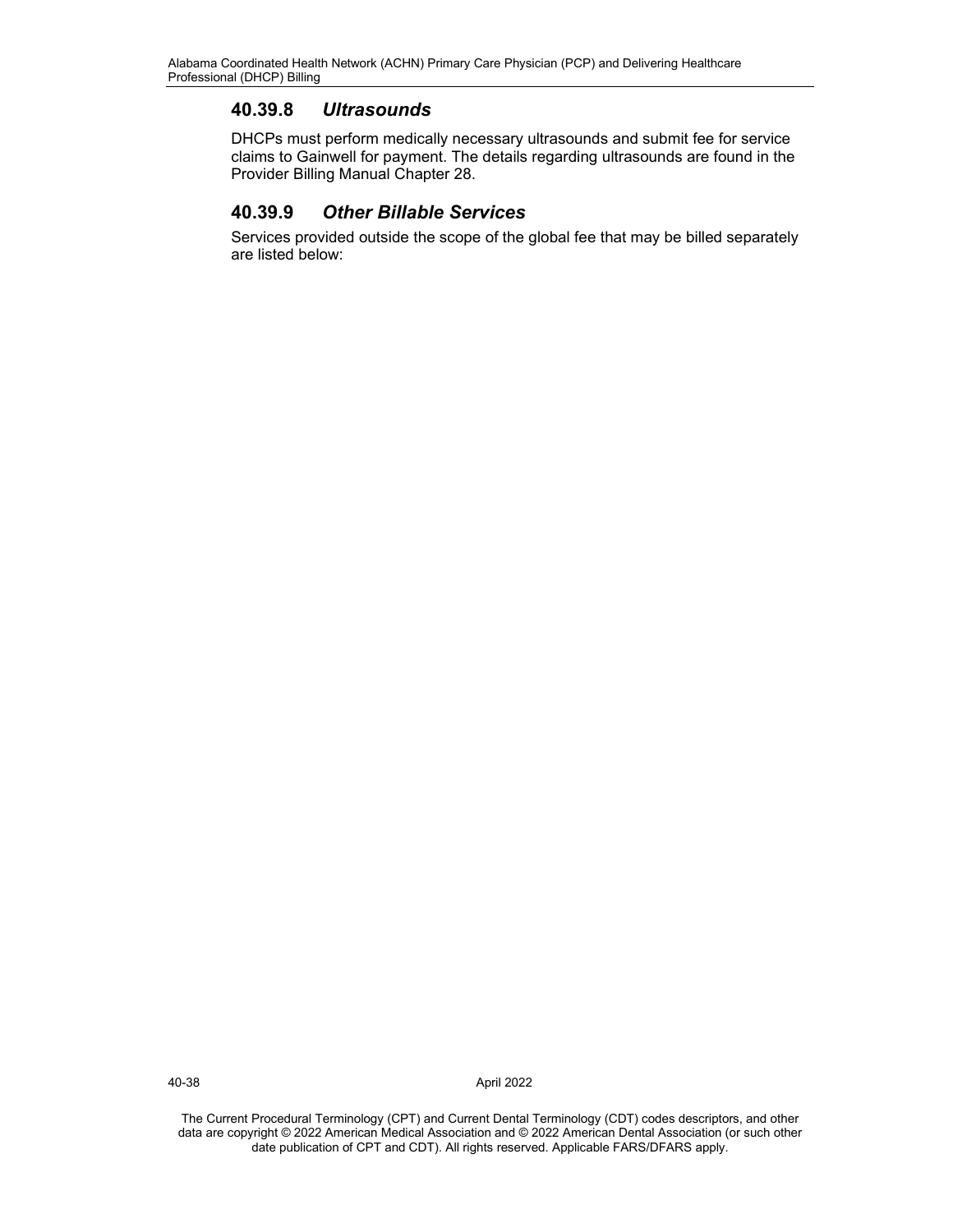# **40.39.8** *Ultrasounds*

DHCPs must perform medically necessary ultrasounds and submit fee for service claims to Gainwell for payment. The details regarding ultrasounds are found in the Provider Billing Manual Chapter 28.

# **40.39.9** *Other Billable Services*

Services provided outside the scope of the global fee that may be billed separately are listed below:

40-38 April 2022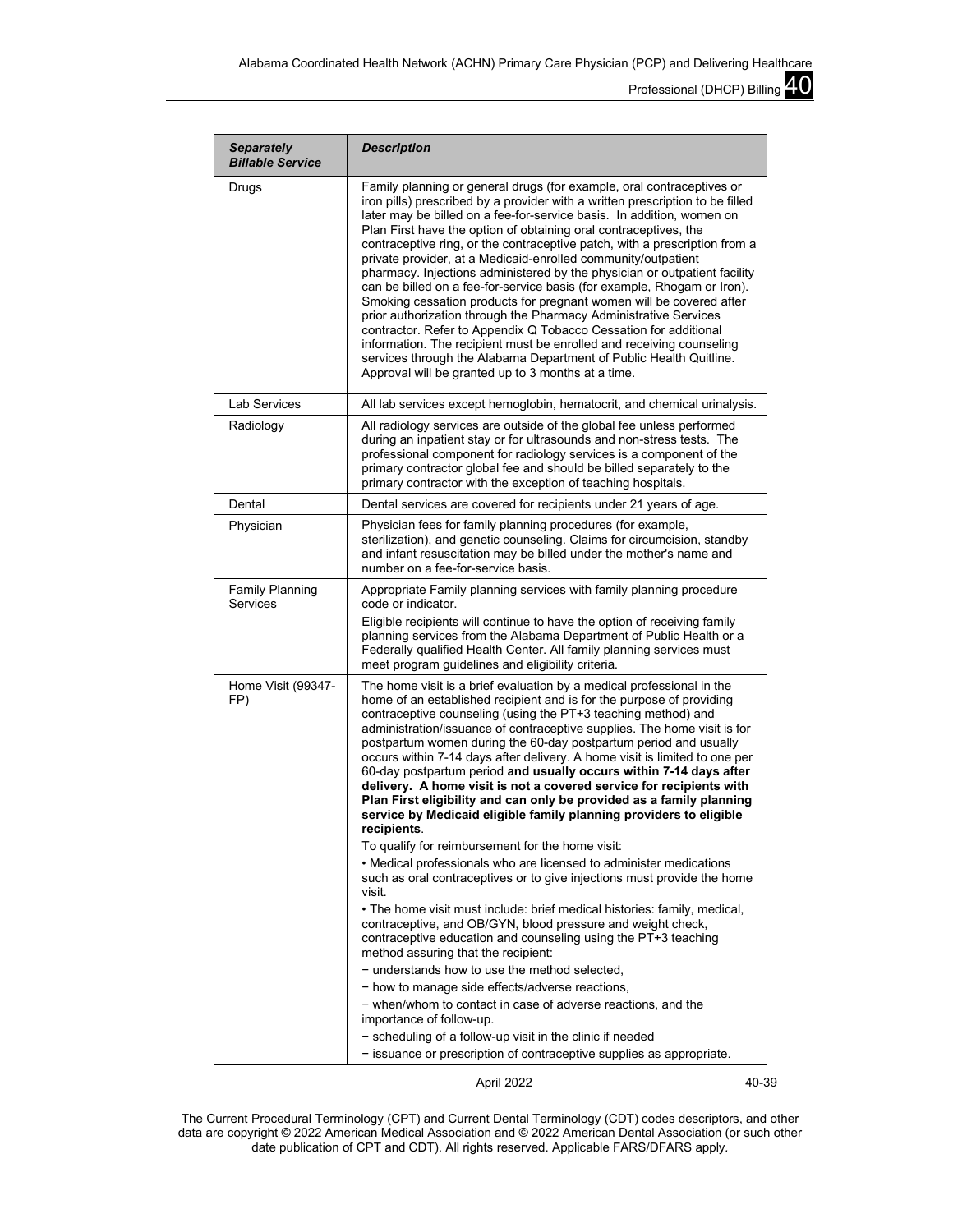| <b>Separately</b><br><b>Billable Service</b> | <b>Description</b>                                                                                                                                                                                                                                                                                                                                                                                                                                                                                                                                                                                                                                                                                                                                                                                                                                                                                                                                                                                                                                                                                                                                                                                                                                                                                                                                                                                                       |
|----------------------------------------------|--------------------------------------------------------------------------------------------------------------------------------------------------------------------------------------------------------------------------------------------------------------------------------------------------------------------------------------------------------------------------------------------------------------------------------------------------------------------------------------------------------------------------------------------------------------------------------------------------------------------------------------------------------------------------------------------------------------------------------------------------------------------------------------------------------------------------------------------------------------------------------------------------------------------------------------------------------------------------------------------------------------------------------------------------------------------------------------------------------------------------------------------------------------------------------------------------------------------------------------------------------------------------------------------------------------------------------------------------------------------------------------------------------------------------|
| Drugs                                        | Family planning or general drugs (for example, oral contraceptives or<br>iron pills) prescribed by a provider with a written prescription to be filled<br>later may be billed on a fee-for-service basis. In addition, women on<br>Plan First have the option of obtaining oral contraceptives, the<br>contraceptive ring, or the contraceptive patch, with a prescription from a<br>private provider, at a Medicaid-enrolled community/outpatient<br>pharmacy. Injections administered by the physician or outpatient facility<br>can be billed on a fee-for-service basis (for example, Rhogam or Iron).<br>Smoking cessation products for pregnant women will be covered after<br>prior authorization through the Pharmacy Administrative Services<br>contractor. Refer to Appendix Q Tobacco Cessation for additional<br>information. The recipient must be enrolled and receiving counseling<br>services through the Alabama Department of Public Health Quitline.<br>Approval will be granted up to 3 months at a time.                                                                                                                                                                                                                                                                                                                                                                                            |
| <b>Lab Services</b>                          | All lab services except hemoglobin, hematocrit, and chemical urinalysis.                                                                                                                                                                                                                                                                                                                                                                                                                                                                                                                                                                                                                                                                                                                                                                                                                                                                                                                                                                                                                                                                                                                                                                                                                                                                                                                                                 |
| Radiology                                    | All radiology services are outside of the global fee unless performed<br>during an inpatient stay or for ultrasounds and non-stress tests. The<br>professional component for radiology services is a component of the<br>primary contractor global fee and should be billed separately to the<br>primary contractor with the exception of teaching hospitals.                                                                                                                                                                                                                                                                                                                                                                                                                                                                                                                                                                                                                                                                                                                                                                                                                                                                                                                                                                                                                                                            |
| Dental                                       | Dental services are covered for recipients under 21 years of age.                                                                                                                                                                                                                                                                                                                                                                                                                                                                                                                                                                                                                                                                                                                                                                                                                                                                                                                                                                                                                                                                                                                                                                                                                                                                                                                                                        |
| Physician                                    | Physician fees for family planning procedures (for example,<br>sterilization), and genetic counseling. Claims for circumcision, standby<br>and infant resuscitation may be billed under the mother's name and<br>number on a fee-for-service basis.                                                                                                                                                                                                                                                                                                                                                                                                                                                                                                                                                                                                                                                                                                                                                                                                                                                                                                                                                                                                                                                                                                                                                                      |
| <b>Family Planning</b><br>Services           | Appropriate Family planning services with family planning procedure<br>code or indicator.<br>Eligible recipients will continue to have the option of receiving family<br>planning services from the Alabama Department of Public Health or a<br>Federally qualified Health Center. All family planning services must<br>meet program guidelines and eligibility criteria.                                                                                                                                                                                                                                                                                                                                                                                                                                                                                                                                                                                                                                                                                                                                                                                                                                                                                                                                                                                                                                                |
| Home Visit (99347-<br>FP)                    | The home visit is a brief evaluation by a medical professional in the<br>home of an established recipient and is for the purpose of providing<br>contraceptive counseling (using the PT+3 teaching method) and<br>administration/issuance of contraceptive supplies. The home visit is for<br>postpartum women during the 60-day postpartum period and usually<br>occurs within 7-14 days after delivery. A home visit is limited to one per<br>60-day postpartum period and usually occurs within 7-14 days after<br>delivery. A home visit is not a covered service for recipients with<br>Plan First eligibility and can only be provided as a family planning<br>service by Medicaid eligible family planning providers to eligible<br>recipients<br>To qualify for reimbursement for the home visit:<br>• Medical professionals who are licensed to administer medications<br>such as oral contraceptives or to give injections must provide the home<br>visit.<br>• The home visit must include: brief medical histories: family, medical,<br>contraceptive, and OB/GYN, blood pressure and weight check,<br>contraceptive education and counseling using the PT+3 teaching<br>method assuring that the recipient:<br>- understands how to use the method selected,<br>- how to manage side effects/adverse reactions,<br>- when/whom to contact in case of adverse reactions, and the<br>importance of follow-up. |
|                                              | - scheduling of a follow-up visit in the clinic if needed<br>- issuance or prescription of contraceptive supplies as appropriate.                                                                                                                                                                                                                                                                                                                                                                                                                                                                                                                                                                                                                                                                                                                                                                                                                                                                                                                                                                                                                                                                                                                                                                                                                                                                                        |

April 2022 40-39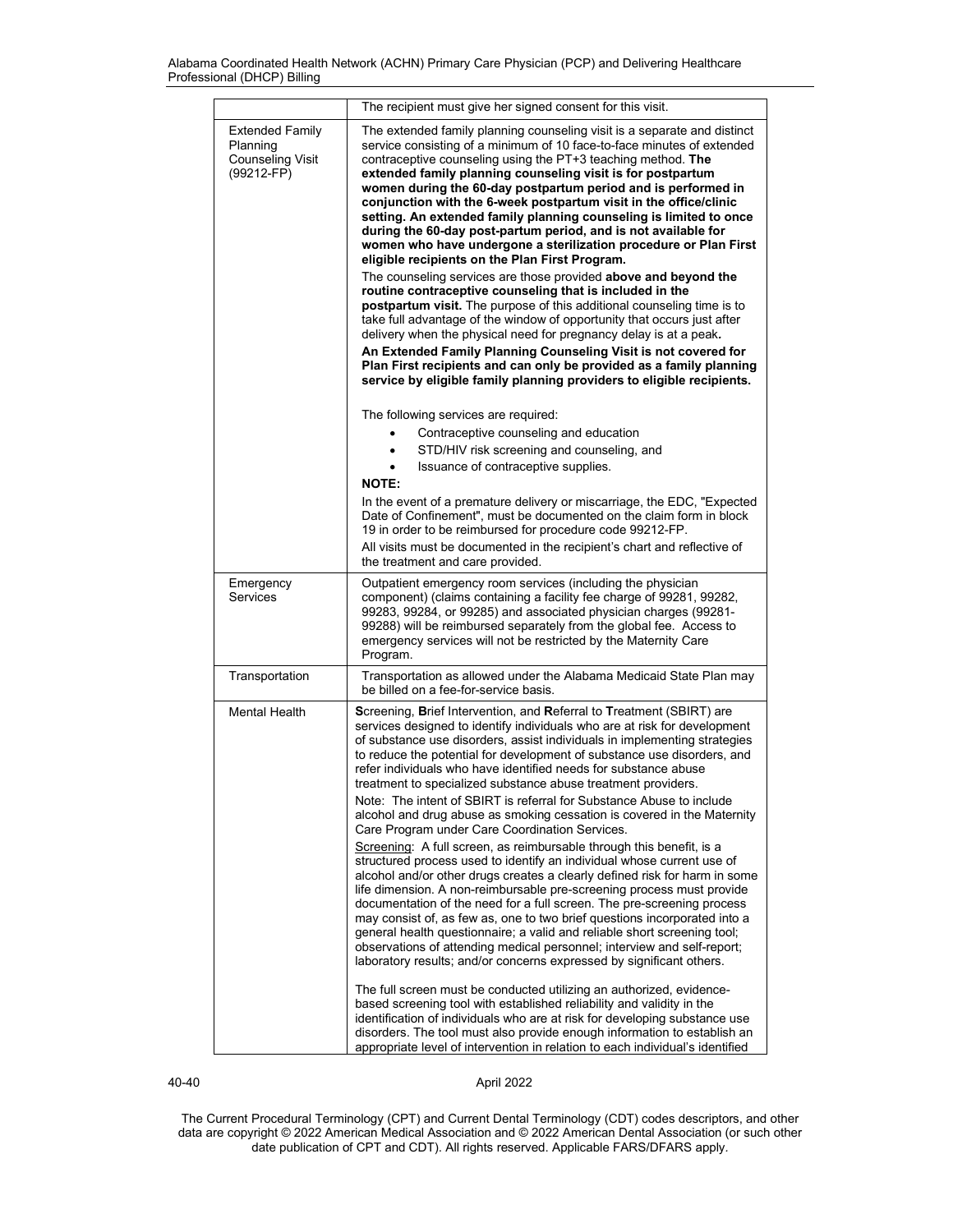|                                                                             | The recipient must give her signed consent for this visit.                                                                                                                                                                                                                                                                                                                                                                                                                                                                                                                                                                                                                                                                                               |
|-----------------------------------------------------------------------------|----------------------------------------------------------------------------------------------------------------------------------------------------------------------------------------------------------------------------------------------------------------------------------------------------------------------------------------------------------------------------------------------------------------------------------------------------------------------------------------------------------------------------------------------------------------------------------------------------------------------------------------------------------------------------------------------------------------------------------------------------------|
| <b>Extended Family</b><br>Planning<br><b>Counseling Visit</b><br>(99212-FP) | The extended family planning counseling visit is a separate and distinct<br>service consisting of a minimum of 10 face-to-face minutes of extended<br>contraceptive counseling using the PT+3 teaching method. The<br>extended family planning counseling visit is for postpartum<br>women during the 60-day postpartum period and is performed in<br>conjunction with the 6-week postpartum visit in the office/clinic<br>setting. An extended family planning counseling is limited to once<br>during the 60-day post-partum period, and is not available for<br>women who have undergone a sterilization procedure or Plan First<br>eligible recipients on the Plan First Program.<br>The counseling services are those provided above and beyond the |
|                                                                             | routine contraceptive counseling that is included in the<br>postpartum visit. The purpose of this additional counseling time is to<br>take full advantage of the window of opportunity that occurs just after<br>delivery when the physical need for pregnancy delay is at a peak.                                                                                                                                                                                                                                                                                                                                                                                                                                                                       |
|                                                                             | An Extended Family Planning Counseling Visit is not covered for<br>Plan First recipients and can only be provided as a family planning<br>service by eligible family planning providers to eligible recipients.                                                                                                                                                                                                                                                                                                                                                                                                                                                                                                                                          |
|                                                                             | The following services are required:                                                                                                                                                                                                                                                                                                                                                                                                                                                                                                                                                                                                                                                                                                                     |
|                                                                             | Contraceptive counseling and education                                                                                                                                                                                                                                                                                                                                                                                                                                                                                                                                                                                                                                                                                                                   |
|                                                                             | STD/HIV risk screening and counseling, and<br>Issuance of contraceptive supplies.                                                                                                                                                                                                                                                                                                                                                                                                                                                                                                                                                                                                                                                                        |
|                                                                             | <b>NOTE:</b>                                                                                                                                                                                                                                                                                                                                                                                                                                                                                                                                                                                                                                                                                                                                             |
|                                                                             | In the event of a premature delivery or miscarriage, the EDC, "Expected<br>Date of Confinement", must be documented on the claim form in block<br>19 in order to be reimbursed for procedure code 99212-FP.                                                                                                                                                                                                                                                                                                                                                                                                                                                                                                                                              |
|                                                                             | All visits must be documented in the recipient's chart and reflective of<br>the treatment and care provided.                                                                                                                                                                                                                                                                                                                                                                                                                                                                                                                                                                                                                                             |
| Emergency<br><b>Services</b>                                                | Outpatient emergency room services (including the physician<br>component) (claims containing a facility fee charge of 99281, 99282,<br>99283, 99284, or 99285) and associated physician charges (99281-<br>99288) will be reimbursed separately from the global fee. Access to<br>emergency services will not be restricted by the Maternity Care<br>Program.                                                                                                                                                                                                                                                                                                                                                                                            |
| Transportation                                                              | Transportation as allowed under the Alabama Medicaid State Plan may<br>be billed on a fee-for-service basis.                                                                                                                                                                                                                                                                                                                                                                                                                                                                                                                                                                                                                                             |
| <b>Mental Health</b>                                                        | Screening, Brief Intervention, and Referral to Treatment (SBIRT) are<br>services designed to identify individuals who are at risk for development<br>of substance use disorders, assist individuals in implementing strategies<br>to reduce the potential for development of substance use disorders, and<br>refer individuals who have identified needs for substance abuse<br>treatment to specialized substance abuse treatment providers.<br>Note: The intent of SBIRT is referral for Substance Abuse to include<br>alcohol and drug abuse as smoking cessation is covered in the Maternity<br>Care Program under Care Coordination Services.                                                                                                       |
|                                                                             | Screening: A full screen, as reimbursable through this benefit, is a<br>structured process used to identify an individual whose current use of<br>alcohol and/or other drugs creates a clearly defined risk for harm in some<br>life dimension. A non-reimbursable pre-screening process must provide<br>documentation of the need for a full screen. The pre-screening process<br>may consist of, as few as, one to two brief questions incorporated into a<br>general health questionnaire; a valid and reliable short screening tool;<br>observations of attending medical personnel; interview and self-report;<br>laboratory results; and/or concerns expressed by significant others.                                                              |
|                                                                             | The full screen must be conducted utilizing an authorized, evidence-<br>based screening tool with established reliability and validity in the<br>identification of individuals who are at risk for developing substance use<br>disorders. The tool must also provide enough information to establish an<br>appropriate level of intervention in relation to each individual's identified                                                                                                                                                                                                                                                                                                                                                                 |

40-40 April 2022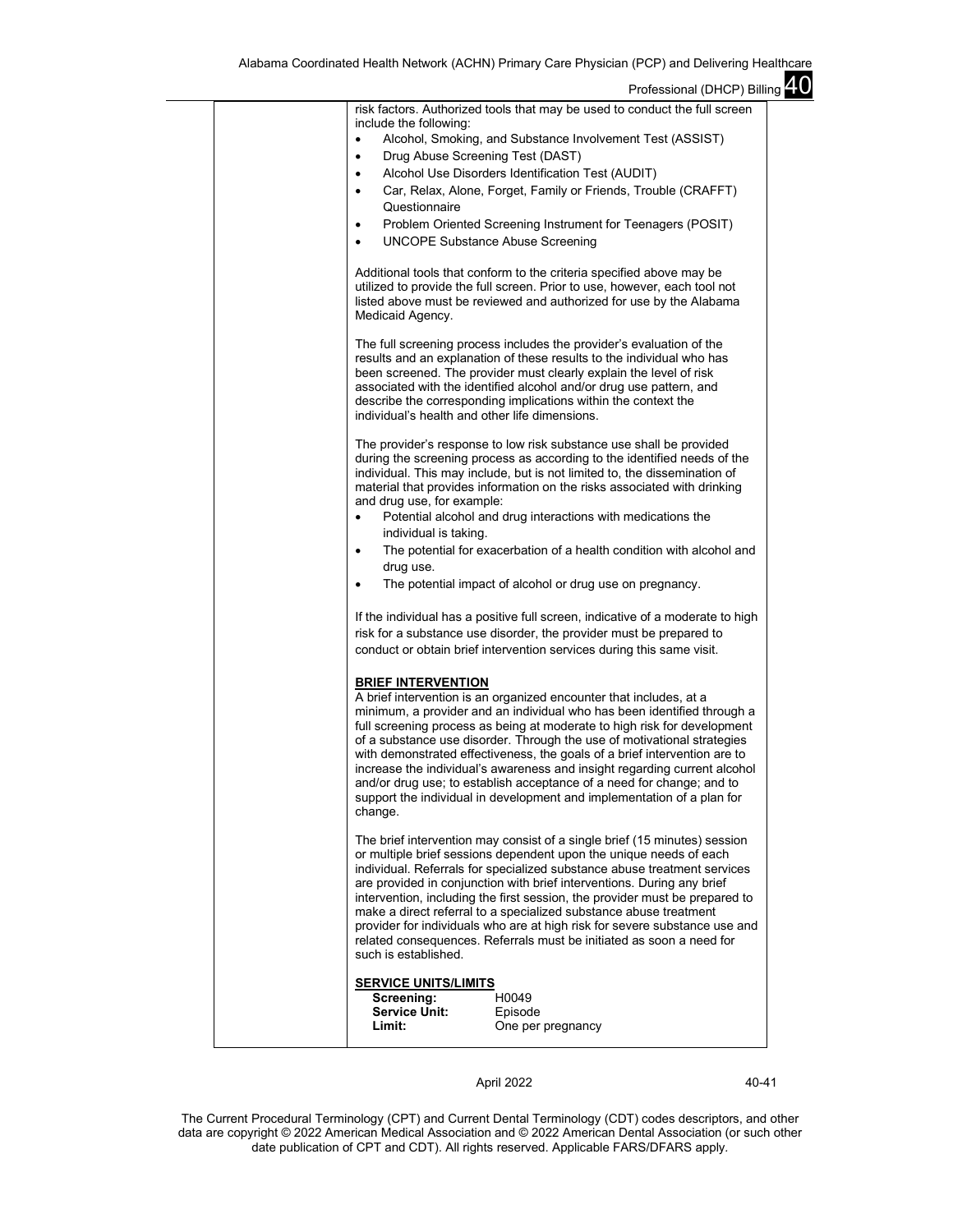|  | risk factors. Authorized tools that may be used to conduct the full screen                                                                                                                                                                                                                                                                                                                                                                                                                                                                                                                                                              |
|--|-----------------------------------------------------------------------------------------------------------------------------------------------------------------------------------------------------------------------------------------------------------------------------------------------------------------------------------------------------------------------------------------------------------------------------------------------------------------------------------------------------------------------------------------------------------------------------------------------------------------------------------------|
|  | include the following:<br>Alcohol, Smoking, and Substance Involvement Test (ASSIST)<br>$\bullet$                                                                                                                                                                                                                                                                                                                                                                                                                                                                                                                                        |
|  | Drug Abuse Screening Test (DAST)<br>٠                                                                                                                                                                                                                                                                                                                                                                                                                                                                                                                                                                                                   |
|  | Alcohol Use Disorders Identification Test (AUDIT)                                                                                                                                                                                                                                                                                                                                                                                                                                                                                                                                                                                       |
|  | Car, Relax, Alone, Forget, Family or Friends, Trouble (CRAFFT)                                                                                                                                                                                                                                                                                                                                                                                                                                                                                                                                                                          |
|  | Questionnaire                                                                                                                                                                                                                                                                                                                                                                                                                                                                                                                                                                                                                           |
|  | Problem Oriented Screening Instrument for Teenagers (POSIT)<br>٠                                                                                                                                                                                                                                                                                                                                                                                                                                                                                                                                                                        |
|  | <b>UNCOPE Substance Abuse Screening</b><br>٠                                                                                                                                                                                                                                                                                                                                                                                                                                                                                                                                                                                            |
|  | Additional tools that conform to the criteria specified above may be<br>utilized to provide the full screen. Prior to use, however, each tool not<br>listed above must be reviewed and authorized for use by the Alabama<br>Medicaid Agency.                                                                                                                                                                                                                                                                                                                                                                                            |
|  | The full screening process includes the provider's evaluation of the<br>results and an explanation of these results to the individual who has<br>been screened. The provider must clearly explain the level of risk<br>associated with the identified alcohol and/or drug use pattern, and<br>describe the corresponding implications within the context the<br>individual's health and other life dimensions.                                                                                                                                                                                                                          |
|  | The provider's response to low risk substance use shall be provided<br>during the screening process as according to the identified needs of the<br>individual. This may include, but is not limited to, the dissemination of<br>material that provides information on the risks associated with drinking<br>and drug use, for example:<br>Potential alcohol and drug interactions with medications the<br>$\bullet$                                                                                                                                                                                                                     |
|  | individual is taking.                                                                                                                                                                                                                                                                                                                                                                                                                                                                                                                                                                                                                   |
|  | The potential for exacerbation of a health condition with alcohol and<br>$\bullet$                                                                                                                                                                                                                                                                                                                                                                                                                                                                                                                                                      |
|  | drug use.                                                                                                                                                                                                                                                                                                                                                                                                                                                                                                                                                                                                                               |
|  | The potential impact of alcohol or drug use on pregnancy.                                                                                                                                                                                                                                                                                                                                                                                                                                                                                                                                                                               |
|  | If the individual has a positive full screen, indicative of a moderate to high<br>risk for a substance use disorder, the provider must be prepared to<br>conduct or obtain brief intervention services during this same visit.                                                                                                                                                                                                                                                                                                                                                                                                          |
|  | <b>BRIEF INTERVENTION</b>                                                                                                                                                                                                                                                                                                                                                                                                                                                                                                                                                                                                               |
|  | A brief intervention is an organized encounter that includes, at a<br>minimum, a provider and an individual who has been identified through a<br>full screening process as being at moderate to high risk for development<br>of a substance use disorder. Through the use of motivational strategies<br>with demonstrated effectiveness, the goals of a brief intervention are to<br>increase the individual's awareness and insight regarding current alcohol<br>and/or drug use; to establish acceptance of a need for change; and to<br>support the individual in development and implementation of a plan for<br>change.            |
|  | The brief intervention may consist of a single brief (15 minutes) session<br>or multiple brief sessions dependent upon the unique needs of each<br>individual. Referrals for specialized substance abuse treatment services<br>are provided in conjunction with brief interventions. During any brief<br>intervention, including the first session, the provider must be prepared to<br>make a direct referral to a specialized substance abuse treatment<br>provider for individuals who are at high risk for severe substance use and<br>related consequences. Referrals must be initiated as soon a need for<br>such is established. |
|  | <b>SERVICE UNITS/LIMITS</b><br>H0049<br>Screening:<br><b>Service Unit:</b><br>Episode<br>Limit:<br>One per pregnancy                                                                                                                                                                                                                                                                                                                                                                                                                                                                                                                    |

April 2022 40-41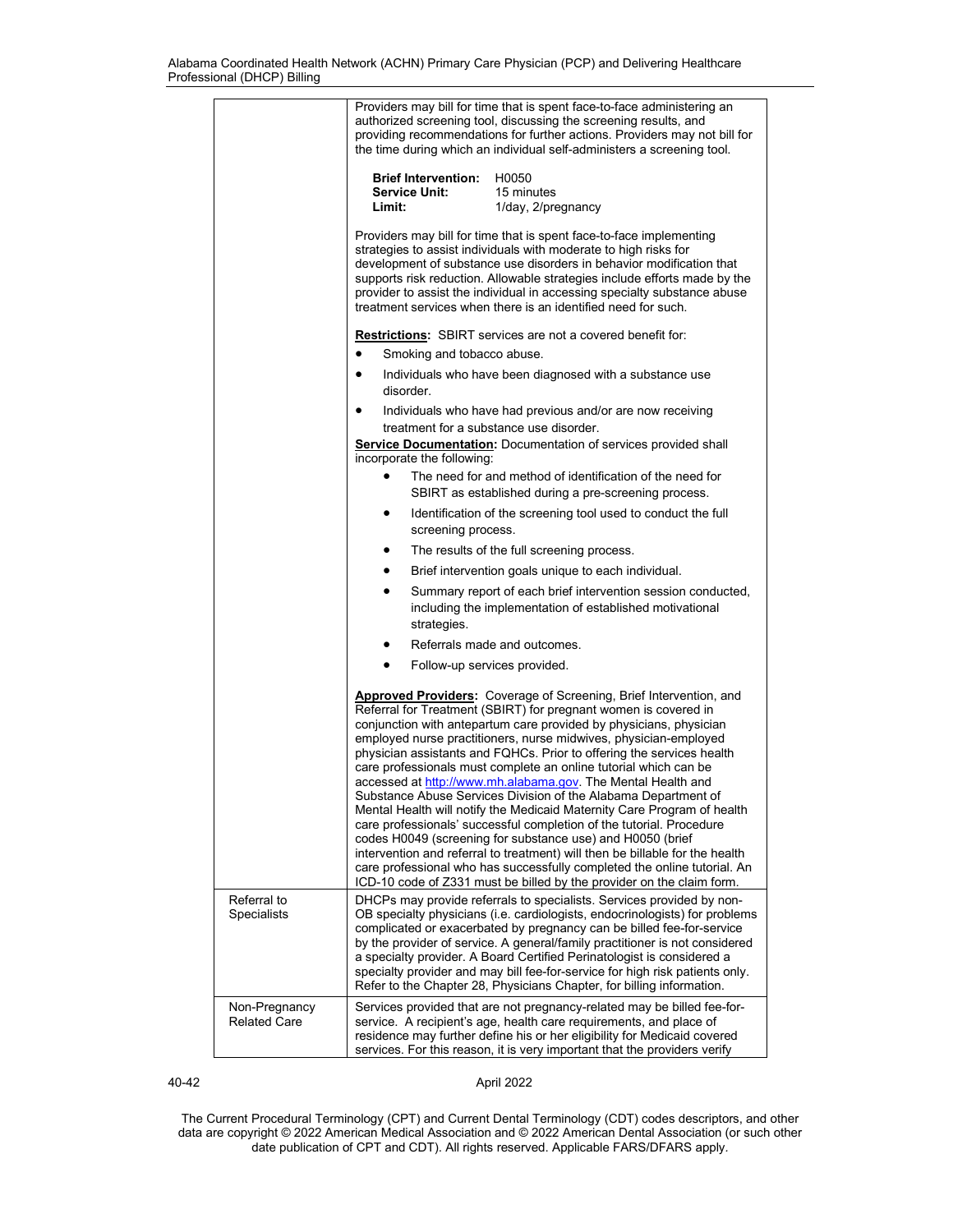|                                      | Providers may bill for time that is spent face-to-face administering an<br>authorized screening tool, discussing the screening results, and<br>providing recommendations for further actions. Providers may not bill for<br>the time during which an individual self-administers a screening tool.                                                                                                                                                                                                                                                                                                                                                                                                                                                                                                                                                                                                                                                                                                                          |
|--------------------------------------|-----------------------------------------------------------------------------------------------------------------------------------------------------------------------------------------------------------------------------------------------------------------------------------------------------------------------------------------------------------------------------------------------------------------------------------------------------------------------------------------------------------------------------------------------------------------------------------------------------------------------------------------------------------------------------------------------------------------------------------------------------------------------------------------------------------------------------------------------------------------------------------------------------------------------------------------------------------------------------------------------------------------------------|
|                                      | <b>Brief Intervention:</b><br>H0050<br><b>Service Unit:</b><br>15 minutes<br>Limit:<br>1/day, 2/pregnancy                                                                                                                                                                                                                                                                                                                                                                                                                                                                                                                                                                                                                                                                                                                                                                                                                                                                                                                   |
|                                      | Providers may bill for time that is spent face-to-face implementing<br>strategies to assist individuals with moderate to high risks for<br>development of substance use disorders in behavior modification that<br>supports risk reduction. Allowable strategies include efforts made by the<br>provider to assist the individual in accessing specialty substance abuse<br>treatment services when there is an identified need for such.                                                                                                                                                                                                                                                                                                                                                                                                                                                                                                                                                                                   |
|                                      | <b>Restrictions:</b> SBIRT services are not a covered benefit for:<br>Smoking and tobacco abuse.<br>$\bullet$                                                                                                                                                                                                                                                                                                                                                                                                                                                                                                                                                                                                                                                                                                                                                                                                                                                                                                               |
|                                      | Individuals who have been diagnosed with a substance use<br>$\bullet$<br>disorder.                                                                                                                                                                                                                                                                                                                                                                                                                                                                                                                                                                                                                                                                                                                                                                                                                                                                                                                                          |
|                                      | Individuals who have had previous and/or are now receiving<br>treatment for a substance use disorder.                                                                                                                                                                                                                                                                                                                                                                                                                                                                                                                                                                                                                                                                                                                                                                                                                                                                                                                       |
|                                      | <b>Service Documentation:</b> Documentation of services provided shall<br>incorporate the following:                                                                                                                                                                                                                                                                                                                                                                                                                                                                                                                                                                                                                                                                                                                                                                                                                                                                                                                        |
|                                      | The need for and method of identification of the need for<br>$\bullet$<br>SBIRT as established during a pre-screening process.                                                                                                                                                                                                                                                                                                                                                                                                                                                                                                                                                                                                                                                                                                                                                                                                                                                                                              |
|                                      | Identification of the screening tool used to conduct the full<br>$\bullet$<br>screening process.                                                                                                                                                                                                                                                                                                                                                                                                                                                                                                                                                                                                                                                                                                                                                                                                                                                                                                                            |
|                                      | The results of the full screening process.                                                                                                                                                                                                                                                                                                                                                                                                                                                                                                                                                                                                                                                                                                                                                                                                                                                                                                                                                                                  |
|                                      | Brief intervention goals unique to each individual.<br>$\bullet$                                                                                                                                                                                                                                                                                                                                                                                                                                                                                                                                                                                                                                                                                                                                                                                                                                                                                                                                                            |
|                                      | Summary report of each brief intervention session conducted,<br>$\bullet$<br>including the implementation of established motivational<br>strategies.                                                                                                                                                                                                                                                                                                                                                                                                                                                                                                                                                                                                                                                                                                                                                                                                                                                                        |
|                                      | Referrals made and outcomes.                                                                                                                                                                                                                                                                                                                                                                                                                                                                                                                                                                                                                                                                                                                                                                                                                                                                                                                                                                                                |
|                                      | $\bullet$<br>Follow-up services provided.                                                                                                                                                                                                                                                                                                                                                                                                                                                                                                                                                                                                                                                                                                                                                                                                                                                                                                                                                                                   |
|                                      | <b>Approved Providers:</b> Coverage of Screening, Brief Intervention, and<br>Referral for Treatment (SBIRT) for pregnant women is covered in<br>conjunction with antepartum care provided by physicians, physician<br>employed nurse practitioners, nurse midwives, physician-employed<br>physician assistants and FQHCs. Prior to offering the services health<br>care professionals must complete an online tutorial which can be<br>accessed at http://www.mh.alabama.gov. The Mental Health and<br>Substance Abuse Services Division of the Alabama Department of<br>Mental Health will notify the Medicaid Maternity Care Program of health<br>care professionals' successful completion of the tutorial. Procedure<br>codes H0049 (screening for substance use) and H0050 (brief<br>intervention and referral to treatment) will then be billable for the health<br>care professional who has successfully completed the online tutorial. An<br>ICD-10 code of Z331 must be billed by the provider on the claim form. |
| Referral to<br>Specialists           | DHCPs may provide referrals to specialists. Services provided by non-<br>OB specialty physicians (i.e. cardiologists, endocrinologists) for problems<br>complicated or exacerbated by pregnancy can be billed fee-for-service<br>by the provider of service. A general/family practitioner is not considered<br>a specialty provider. A Board Certified Perinatologist is considered a<br>specialty provider and may bill fee-for-service for high risk patients only.<br>Refer to the Chapter 28, Physicians Chapter, for billing information.                                                                                                                                                                                                                                                                                                                                                                                                                                                                             |
| Non-Pregnancy<br><b>Related Care</b> | Services provided that are not pregnancy-related may be billed fee-for-<br>service. A recipient's age, health care requirements, and place of<br>residence may further define his or her eligibility for Medicaid covered<br>services. For this reason, it is very important that the providers verify                                                                                                                                                                                                                                                                                                                                                                                                                                                                                                                                                                                                                                                                                                                      |

40-42 April 2022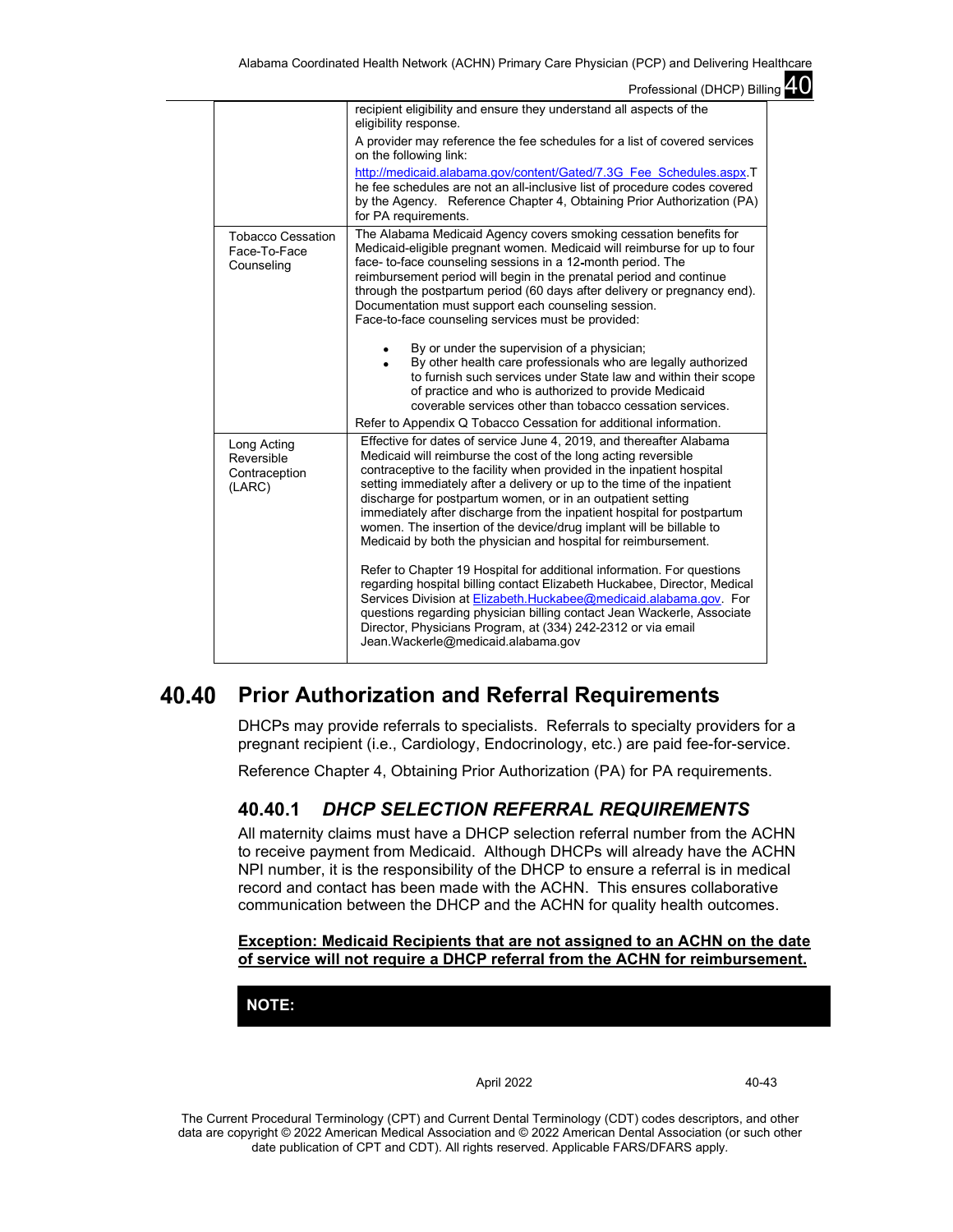|                                                        | Professional (DHCP) Billing 4.0                                                                                                                                                                                                                                                                                                                                                                                                                                                                                                                                             |  |
|--------------------------------------------------------|-----------------------------------------------------------------------------------------------------------------------------------------------------------------------------------------------------------------------------------------------------------------------------------------------------------------------------------------------------------------------------------------------------------------------------------------------------------------------------------------------------------------------------------------------------------------------------|--|
|                                                        | recipient eligibility and ensure they understand all aspects of the<br>eligibility response.                                                                                                                                                                                                                                                                                                                                                                                                                                                                                |  |
|                                                        | A provider may reference the fee schedules for a list of covered services<br>on the following link:                                                                                                                                                                                                                                                                                                                                                                                                                                                                         |  |
|                                                        | http://medicaid.alabama.gov/content/Gated/7.3G Fee Schedules.aspx.T<br>he fee schedules are not an all-inclusive list of procedure codes covered<br>by the Agency. Reference Chapter 4, Obtaining Prior Authorization (PA)<br>for PA requirements.                                                                                                                                                                                                                                                                                                                          |  |
| <b>Tobacco Cessation</b><br>Face-To-Face<br>Counseling | The Alabama Medicaid Agency covers smoking cessation benefits for<br>Medicaid-eligible pregnant women. Medicaid will reimburse for up to four<br>face- to-face counseling sessions in a 12-month period. The<br>reimbursement period will begin in the prenatal period and continue<br>through the postpartum period (60 days after delivery or pregnancy end).<br>Documentation must support each counseling session.<br>Face-to-face counseling services must be provided:                                                                                                |  |
|                                                        | By or under the supervision of a physician;<br>By other health care professionals who are legally authorized<br>to furnish such services under State law and within their scope<br>of practice and who is authorized to provide Medicaid<br>coverable services other than tobacco cessation services.<br>Refer to Appendix Q Tobacco Cessation for additional information.                                                                                                                                                                                                  |  |
| Long Acting<br>Reversible<br>Contraception<br>(LARC)   | Effective for dates of service June 4, 2019, and thereafter Alabama<br>Medicaid will reimburse the cost of the long acting reversible<br>contraceptive to the facility when provided in the inpatient hospital<br>setting immediately after a delivery or up to the time of the inpatient<br>discharge for postpartum women, or in an outpatient setting<br>immediately after discharge from the inpatient hospital for postpartum<br>women. The insertion of the device/drug implant will be billable to<br>Medicaid by both the physician and hospital for reimbursement. |  |
|                                                        | Refer to Chapter 19 Hospital for additional information. For questions<br>regarding hospital billing contact Elizabeth Huckabee, Director, Medical<br>Services Division at Elizabeth.Huckabee@medicaid.alabama.gov. For<br>questions regarding physician billing contact Jean Wackerle, Associate<br>Director, Physicians Program, at (334) 242-2312 or via email<br>Jean. Wackerle@medicaid.alabama.gov                                                                                                                                                                    |  |

#### 40.40 **Prior Authorization and Referral Requirements**

DHCPs may provide referrals to specialists. Referrals to specialty providers for a pregnant recipient (i.e., Cardiology, Endocrinology, etc.) are paid fee-for-service.

Reference Chapter 4, Obtaining Prior Authorization (PA) for PA requirements.

## **40.40.1** *DHCP SELECTION REFERRAL REQUIREMENTS*

All maternity claims must have a DHCP selection referral number from the ACHN to receive payment from Medicaid. Although DHCPs will already have the ACHN NPI number, it is the responsibility of the DHCP to ensure a referral is in medical record and contact has been made with the ACHN. This ensures collaborative communication between the DHCP and the ACHN for quality health outcomes.

## **Exception: Medicaid Recipients that are not assigned to an ACHN on the date of service will not require a DHCP referral from the ACHN for reimbursement.**

**NOTE:**

April 2022 40-43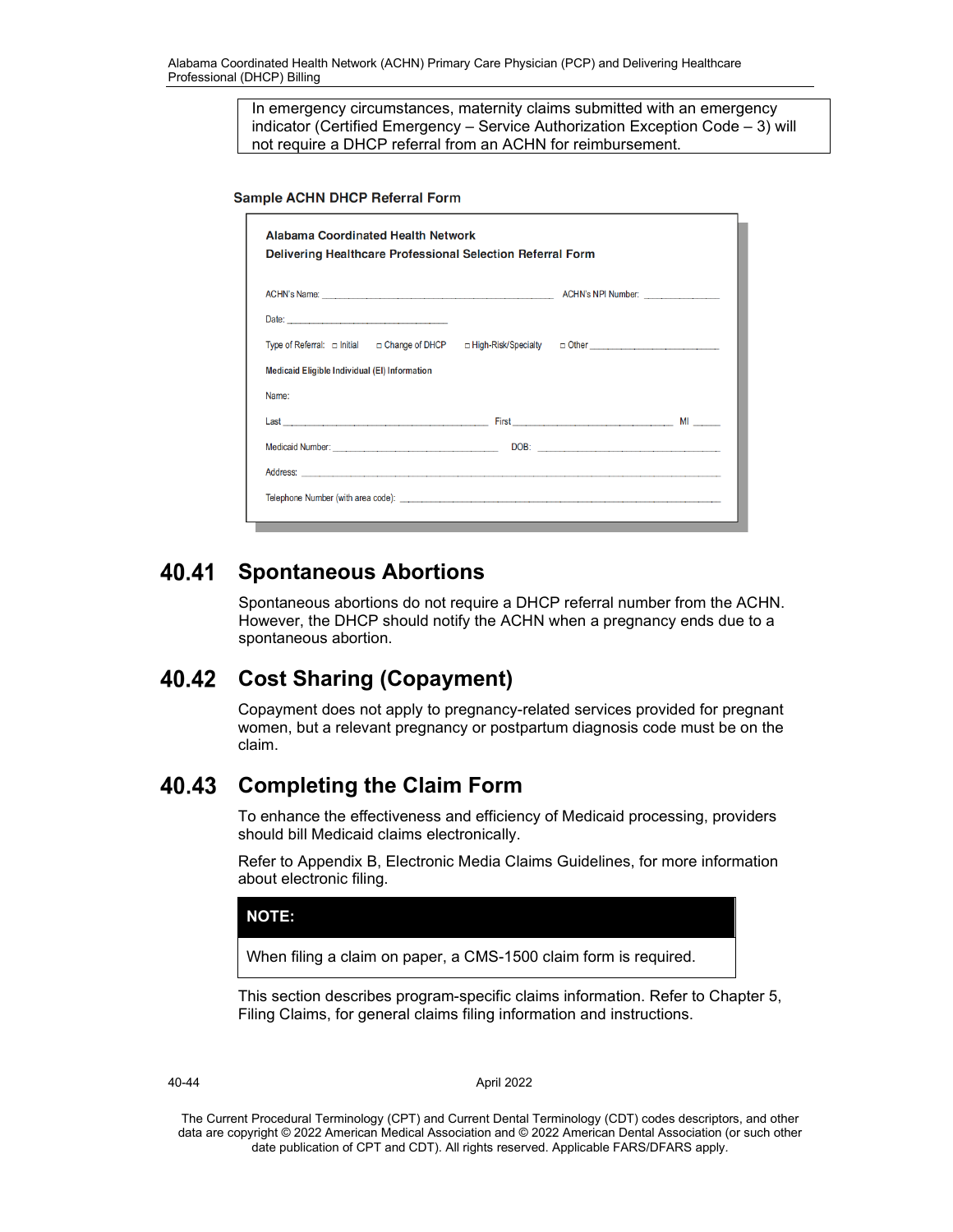In emergency circumstances, maternity claims submitted with an emergency indicator (Certified Emergency – Service Authorization Exception Code – 3) will not require a DHCP referral from an ACHN for reimbursement.

**Sample ACHN DHCP Referral Form** 

| <b>Alabama Coordinated Health Network</b><br>Delivering Healthcare Professional Selection Referral Form                                                                                                                       |  |      |  |  |  |  |  |  |
|-------------------------------------------------------------------------------------------------------------------------------------------------------------------------------------------------------------------------------|--|------|--|--|--|--|--|--|
|                                                                                                                                                                                                                               |  |      |  |  |  |  |  |  |
| Date:                                                                                                                                                                                                                         |  |      |  |  |  |  |  |  |
| Type of Referral: □ Initial □ Change of DHCP □ High-Risk/Specialty □ Other ________________________                                                                                                                           |  |      |  |  |  |  |  |  |
| Medicaid Eligible Individual (EI) Information                                                                                                                                                                                 |  |      |  |  |  |  |  |  |
| Name:                                                                                                                                                                                                                         |  |      |  |  |  |  |  |  |
|                                                                                                                                                                                                                               |  |      |  |  |  |  |  |  |
| Medicaid Number: Maria Maria Maria Maria Maria Maria Maria Maria Maria Maria Maria Maria Maria Maria Maria Mar                                                                                                                |  | DOB: |  |  |  |  |  |  |
|                                                                                                                                                                                                                               |  |      |  |  |  |  |  |  |
| Telephone Number (with area code): entertainment and the control of the control of the control of the control of the control of the control of the control of the control of the control of the control of the control of the |  |      |  |  |  |  |  |  |
|                                                                                                                                                                                                                               |  |      |  |  |  |  |  |  |

#### 40.41 **Spontaneous Abortions**

Spontaneous abortions do not require a DHCP referral number from the ACHN. However, the DHCP should notify the ACHN when a pregnancy ends due to a spontaneous abortion.

#### **Cost Sharing (Copayment)** 40.42

Copayment does not apply to pregnancy-related services provided for pregnant women, but a relevant pregnancy or postpartum diagnosis code must be on the claim.

#### 40.43 **Completing the Claim Form**

To enhance the effectiveness and efficiency of Medicaid processing, providers should bill Medicaid claims electronically.

Refer to Appendix B, Electronic Media Claims Guidelines, for more information about electronic filing.

## **NOTE:**

When filing a claim on paper, a CMS-1500 claim form is required.

This section describes program-specific claims information. Refer to Chapter 5, Filing Claims, for general claims filing information and instructions.

40-44 April 2022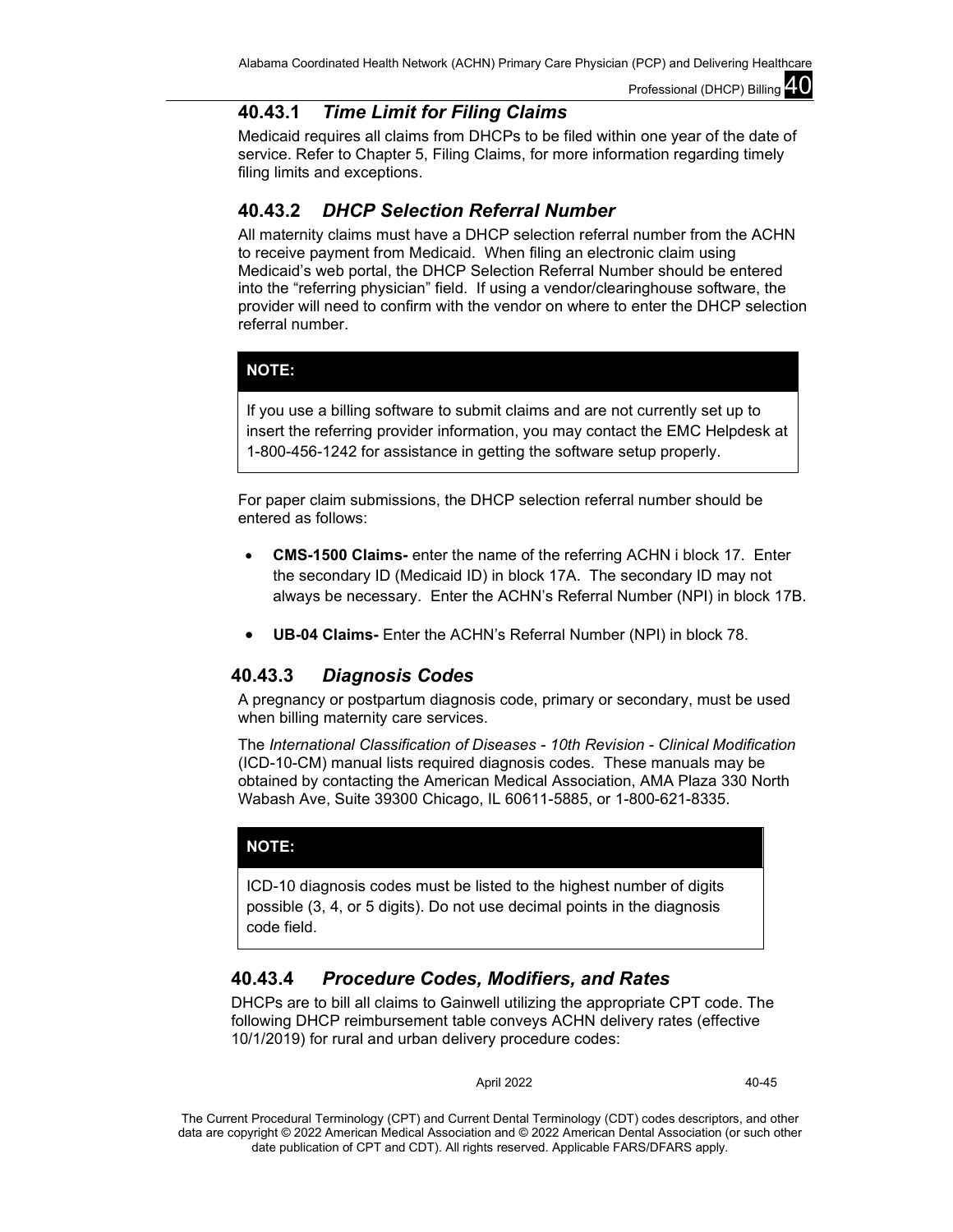# **40.43.1** *Time Limit for Filing Claims*

Medicaid requires all claims from DHCPs to be filed within one year of the date of service. Refer to Chapter 5, Filing Claims, for more information regarding timely filing limits and exceptions.

# **40.43.2** *DHCP Selection Referral Number*

All maternity claims must have a DHCP selection referral number from the ACHN to receive payment from Medicaid. When filing an electronic claim using Medicaid's web portal, the DHCP Selection Referral Number should be entered into the "referring physician" field. If using a vendor/clearinghouse software, the provider will need to confirm with the vendor on where to enter the DHCP selection referral number.

## **NOTE:**

If you use a billing software to submit claims and are not currently set up to insert the referring provider information, you may contact the EMC Helpdesk at 1-800-456-1242 for assistance in getting the software setup properly.

For paper claim submissions, the DHCP selection referral number should be entered as follows:

- **CMS-1500 Claims-** enter the name of the referring ACHN i block 17. Enter the secondary ID (Medicaid ID) in block 17A. The secondary ID may not always be necessary. Enter the ACHN's Referral Number (NPI) in block 17B.
- **UB-04 Claims-** Enter the ACHN's Referral Number (NPI) in block 78.

# **40.43.3** *Diagnosis Codes*

A pregnancy or postpartum diagnosis code, primary or secondary, must be used when billing maternity care services.

The *International Classification of Diseases - 10th Revision - Clinical Modification*  (ICD-10-CM) manual lists required diagnosis codes. These manuals may be obtained by contacting the American Medical Association, AMA Plaza 330 North Wabash Ave, Suite 39300 Chicago, IL 60611-5885, or 1-800-621-8335.

## **NOTE:**

ICD-10 diagnosis codes must be listed to the highest number of digits possible (3, 4, or 5 digits). Do not use decimal points in the diagnosis code field.

# **40.43.4** *Procedure Codes, Modifiers, and Rates*

DHCPs are to bill all claims to Gainwell utilizing the appropriate CPT code. The following DHCP reimbursement table conveys ACHN delivery rates (effective 10/1/2019) for rural and urban delivery procedure codes:

April 2022 40-45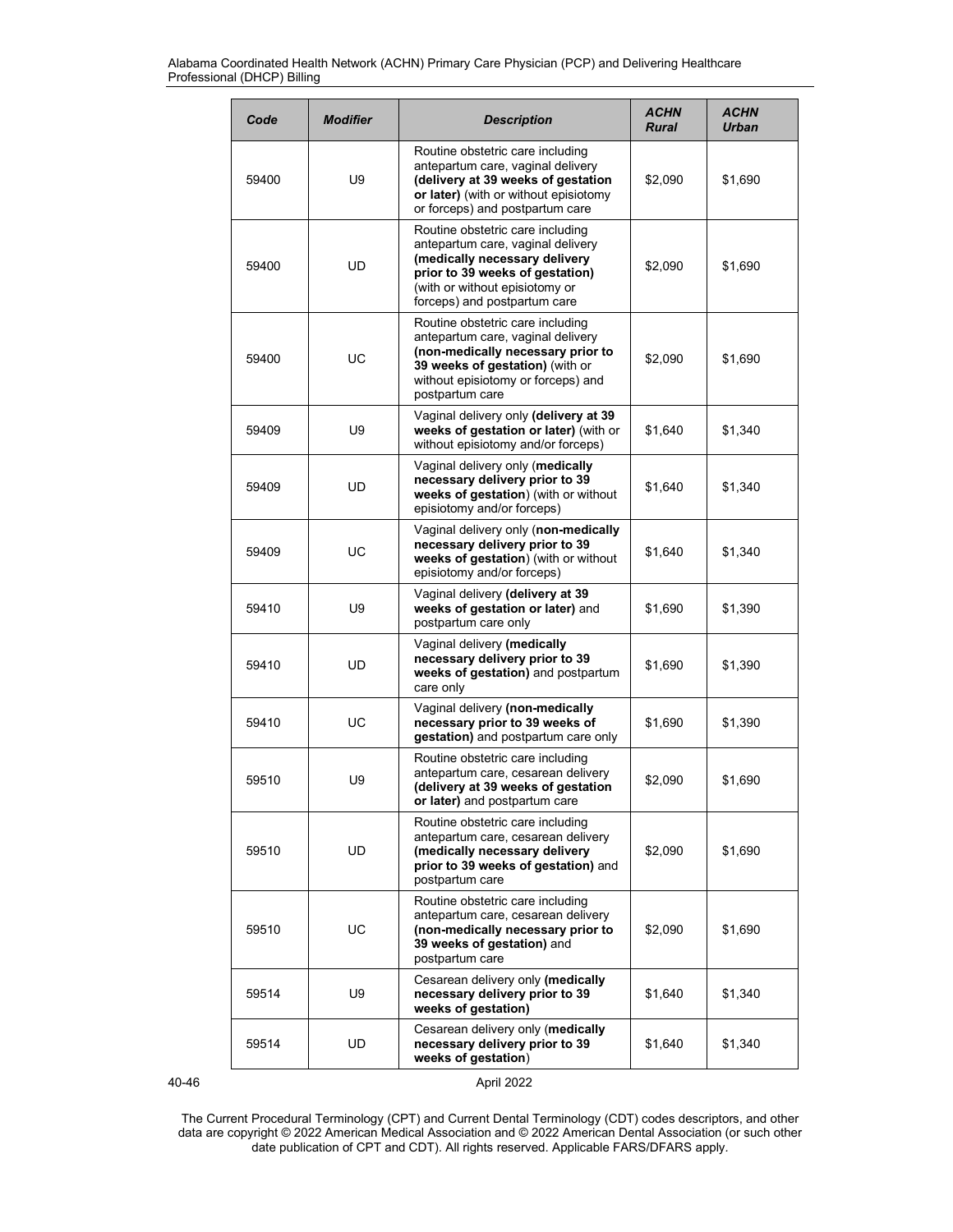| Code  | <b>Modifier</b> | <b>Description</b>                                                                                                                                                                                          | <b>ACHN</b><br><b>Rural</b> | ACHN<br><b>Urban</b> |
|-------|-----------------|-------------------------------------------------------------------------------------------------------------------------------------------------------------------------------------------------------------|-----------------------------|----------------------|
| 59400 | U9              | Routine obstetric care including<br>antepartum care, vaginal delivery<br>(delivery at 39 weeks of gestation<br>or later) (with or without episiotomy<br>or forceps) and postpartum care                     | \$2,090                     | \$1,690              |
| 59400 | UD              | Routine obstetric care including<br>antepartum care, vaginal delivery<br>(medically necessary delivery<br>prior to 39 weeks of gestation)<br>(with or without episiotomy or<br>forceps) and postpartum care | \$2,090                     | \$1,690              |
| 59400 | UC              | Routine obstetric care including<br>antepartum care, vaginal delivery<br>(non-medically necessary prior to<br>39 weeks of gestation) (with or<br>without episiotomy or forceps) and<br>postpartum care      | \$2,090                     | \$1,690              |
| 59409 | U9              | Vaginal delivery only (delivery at 39<br>weeks of gestation or later) (with or<br>without episiotomy and/or forceps)                                                                                        | \$1.640                     | \$1,340              |
| 59409 | UD              | Vaginal delivery only (medically<br>necessary delivery prior to 39<br>weeks of gestation) (with or without<br>episiotomy and/or forceps)                                                                    | \$1,640                     | \$1,340              |
| 59409 | UC              | Vaginal delivery only (non-medically<br>necessary delivery prior to 39<br>weeks of gestation) (with or without<br>episiotomy and/or forceps)                                                                | \$1,640                     | \$1,340              |
| 59410 | U9              | Vaginal delivery (delivery at 39<br>weeks of gestation or later) and<br>postpartum care only                                                                                                                | \$1,690                     | \$1,390              |
| 59410 | <b>UD</b>       | Vaginal delivery (medically<br>necessary delivery prior to 39<br>weeks of gestation) and postpartum<br>care only                                                                                            | \$1,690                     | \$1,390              |
| 59410 | UC              | Vaginal delivery (non-medically<br>necessary prior to 39 weeks of<br>gestation) and postpartum care only                                                                                                    | \$1,690                     | \$1,390              |
| 59510 | U9              | Routine obstetric care including<br>antepartum care, cesarean delivery<br>(delivery at 39 weeks of gestation<br>or later) and postpartum care                                                               | \$2,090                     | \$1,690              |
| 59510 | UD.             | Routine obstetric care including<br>antepartum care, cesarean delivery<br>(medically necessary delivery<br>prior to 39 weeks of gestation) and<br>postpartum care                                           | \$2,090                     | \$1,690              |
| 59510 | UC              | Routine obstetric care including<br>antepartum care, cesarean delivery<br>(non-medically necessary prior to<br>39 weeks of gestation) and<br>postpartum care                                                | \$2,090                     | \$1,690              |
| 59514 | U9              | Cesarean delivery only (medically<br>necessary delivery prior to 39<br>weeks of gestation)                                                                                                                  | \$1,640                     | \$1,340              |
| 59514 | UD              | Cesarean delivery only (medically<br>necessary delivery prior to 39<br>weeks of gestation)                                                                                                                  | \$1,640                     | \$1,340              |

40-46 April 2022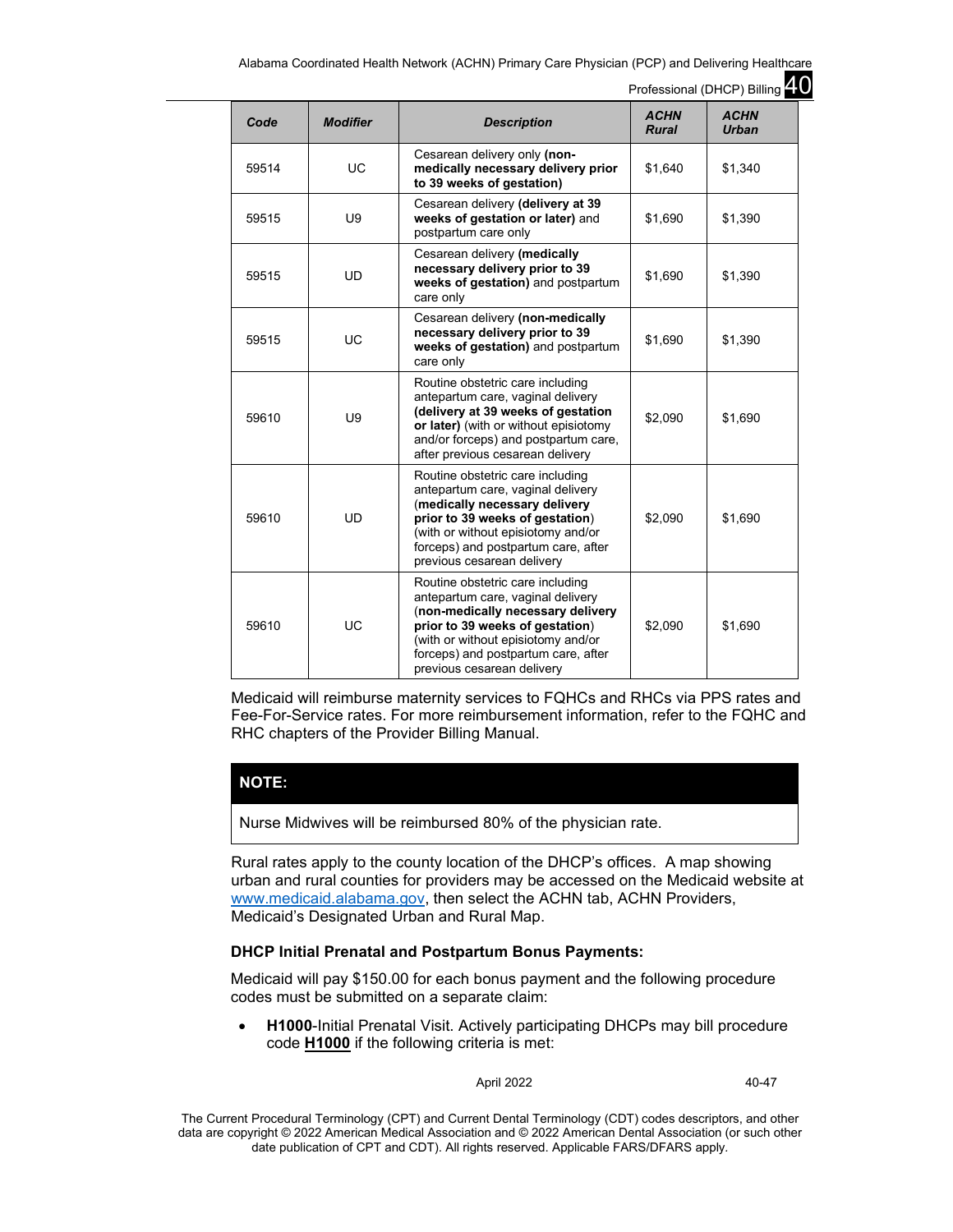Alabama Coordinated Health Network (ACHN) Primary Care Physician (PCP) and Delivering Healthcare

Professional (DHCP) Billing 40 *Code Modifier Description ACHN Rural ACHN Urban* 59514 UC Cesarean delivery only **(nonmedically necessary delivery prior to 39 weeks of gestation)** \$1,640 | \$1,340 Cesarean delivery **(delivery at 39 weeks of gestation or later)** and postpartum care only  $$1,690$   $$1,200$ Cesarean delivery **(medically necessary delivery prior to 39 weeks of gestation)** and postpartum care only \$1,690 | \$1,390

| ນອວ ເວ | ບອ        | weeks of gestation of fater) and<br>postpartum care only                                                                                                                                                                                                 | ຈ ၊ ,ບອບ | 91,JYU  |
|--------|-----------|----------------------------------------------------------------------------------------------------------------------------------------------------------------------------------------------------------------------------------------------------------|----------|---------|
| 59515  | <b>UD</b> | Cesarean delivery (medically<br>necessary delivery prior to 39<br>weeks of gestation) and postpartum<br>care only                                                                                                                                        | \$1,690  | \$1,390 |
| 59515  | <b>UC</b> | Cesarean delivery (non-medically<br>necessary delivery prior to 39<br>weeks of gestation) and postpartum<br>care only                                                                                                                                    | \$1,690  | \$1,390 |
| 59610  | U9        | Routine obstetric care including<br>antepartum care, vaginal delivery<br>(delivery at 39 weeks of gestation<br>or later) (with or without episiotomy<br>and/or forceps) and postpartum care,<br>after previous cesarean delivery                         | \$2,090  | \$1,690 |
| 59610  | <b>UD</b> | Routine obstetric care including<br>antepartum care, vaginal delivery<br>(medically necessary delivery<br>prior to 39 weeks of gestation)<br>(with or without episiotomy and/or<br>forceps) and postpartum care, after<br>previous cesarean delivery     | \$2,090  | \$1,690 |
| 59610  | UC        | Routine obstetric care including<br>antepartum care, vaginal delivery<br>(non-medically necessary delivery<br>prior to 39 weeks of gestation)<br>(with or without episiotomy and/or<br>forceps) and postpartum care, after<br>previous cesarean delivery | \$2,090  | \$1,690 |

Medicaid will reimburse maternity services to FQHCs and RHCs via PPS rates and Fee-For-Service rates. For more reimbursement information, refer to the FQHC and RHC chapters of the Provider Billing Manual.

## **NOTE:**

59515 U9

Nurse Midwives will be reimbursed 80% of the physician rate.

Rural rates apply to the county location of the DHCP's offices. A map showing urban and rural counties for providers may be accessed on the Medicaid website at [www.medicaid.alabama.gov,](http://www.medicaid.alabama.gov/) then select the ACHN tab, ACHN Providers, Medicaid's Designated Urban and Rural Map.

## **DHCP Initial Prenatal and Postpartum Bonus Payments:**

Medicaid will pay \$150.00 for each bonus payment and the following procedure codes must be submitted on a separate claim:

• **H1000**-Initial Prenatal Visit. Actively participating DHCPs may bill procedure code **H1000** if the following criteria is met:

April 2022 40-47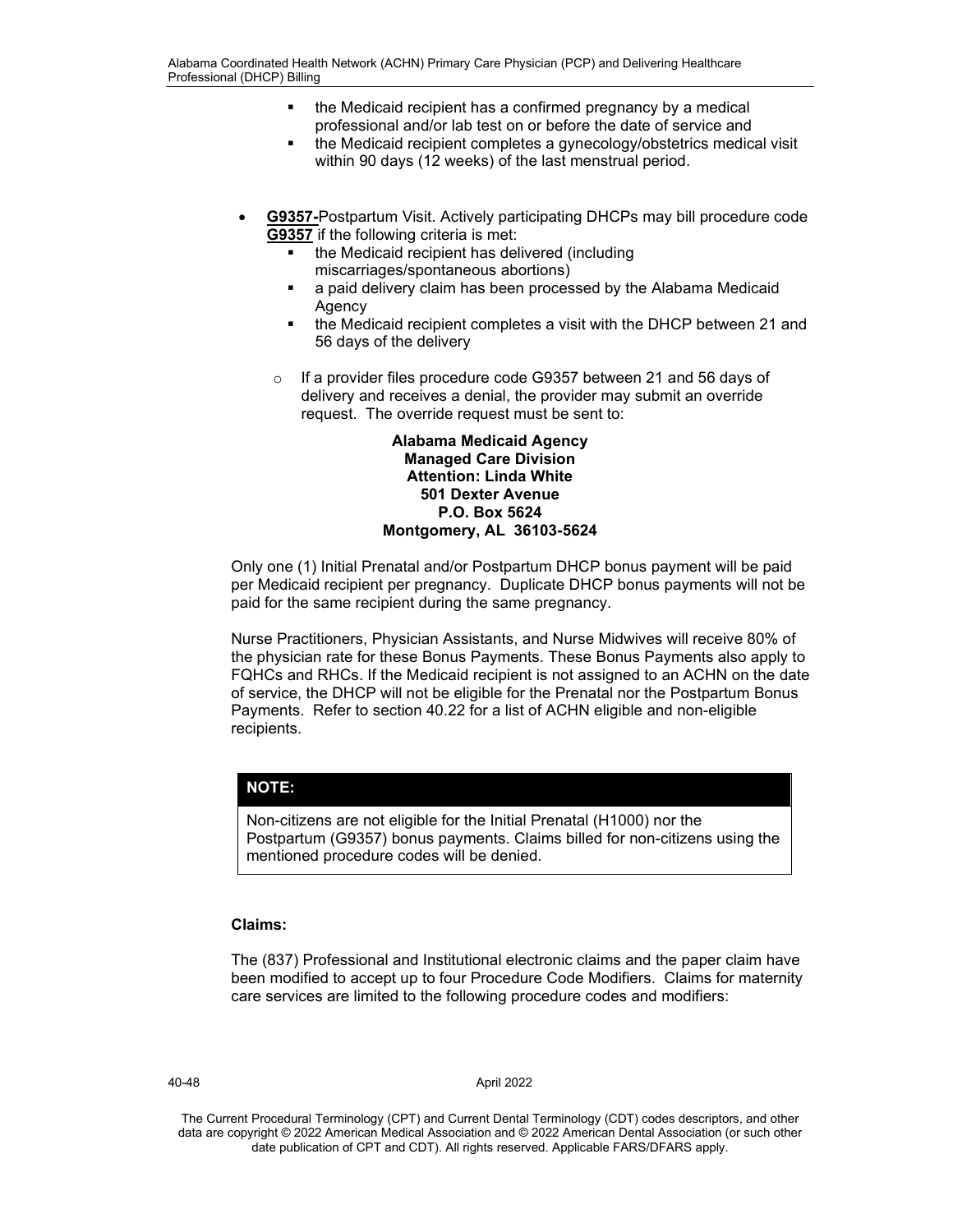- the Medicaid recipient has a confirmed pregnancy by a medical professional and/or lab test on or before the date of service and
- the Medicaid recipient completes a gynecology/obstetrics medical visit within 90 days (12 weeks) of the last menstrual period.
- **G9357-**Postpartum Visit. Actively participating DHCPs may bill procedure code **G9357** if the following criteria is met:
	- the Medicaid recipient has delivered (including miscarriages/spontaneous abortions)
	- a paid delivery claim has been processed by the Alabama Medicaid Agency
	- the Medicaid recipient completes a visit with the DHCP between 21 and 56 days of the delivery
	- o If a provider files procedure code G9357 between 21 and 56 days of delivery and receives a denial, the provider may submit an override request. The override request must be sent to:

## **Alabama Medicaid Agency Managed Care Division Attention: Linda White 501 Dexter Avenue P.O. Box 5624 Montgomery, AL 36103-5624**

Only one (1) Initial Prenatal and/or Postpartum DHCP bonus payment will be paid per Medicaid recipient per pregnancy. Duplicate DHCP bonus payments will not be paid for the same recipient during the same pregnancy.

Nurse Practitioners, Physician Assistants, and Nurse Midwives will receive 80% of the physician rate for these Bonus Payments. These Bonus Payments also apply to FQHCs and RHCs. If the Medicaid recipient is not assigned to an ACHN on the date of service, the DHCP will not be eligible for the Prenatal nor the Postpartum Bonus Payments. Refer to section 40.22 for a list of ACHN eligible and non-eligible recipients.

# **NOTE:**

Non-citizens are not eligible for the Initial Prenatal (H1000) nor the Postpartum (G9357) bonus payments. Claims billed for non-citizens using the mentioned procedure codes will be denied.

## **Claims:**

The (837) Professional and Institutional electronic claims and the paper claim have been modified to accept up to four Procedure Code Modifiers. Claims for maternity care services are limited to the following procedure codes and modifiers:

40-48 April 2022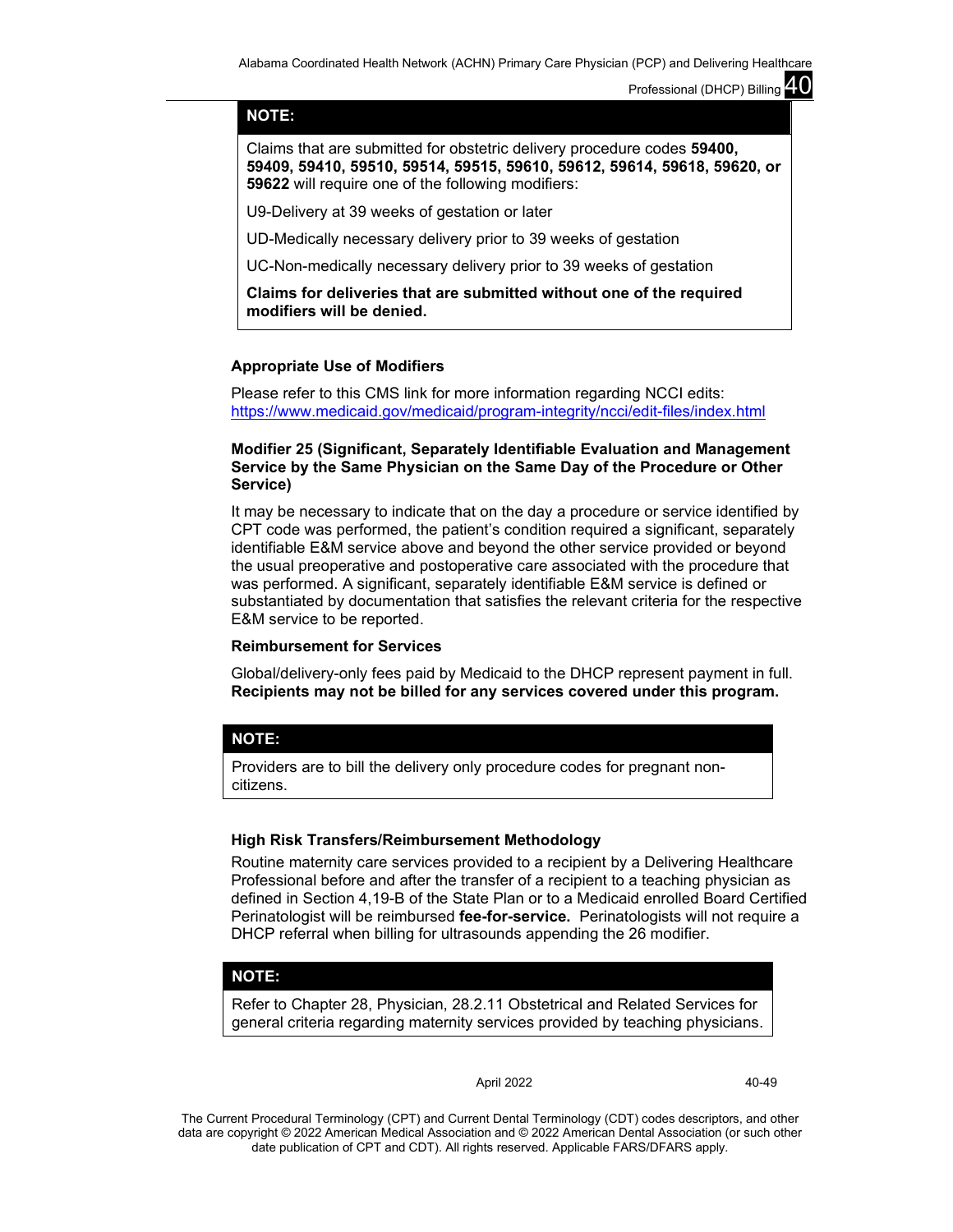## **NOTE:**

Claims that are submitted for obstetric delivery procedure codes **59400, 59409, 59410, 59510, 59514, 59515, 59610, 59612, 59614, 59618, 59620, or 59622** will require one of the following modifiers:

U9-Delivery at 39 weeks of gestation or later

UD-Medically necessary delivery prior to 39 weeks of gestation

UC-Non-medically necessary delivery prior to 39 weeks of gestation

**Claims for deliveries that are submitted without one of the required modifiers will be denied.**

## **Appropriate Use of Modifiers**

Please refer to this CMS link for more information regarding NCCI edits: <https://www.medicaid.gov/medicaid/program-integrity/ncci/edit-files/index.html>

## **Modifier 25 (Significant, Separately Identifiable Evaluation and Management Service by the Same Physician on the Same Day of the Procedure or Other Service)**

It may be necessary to indicate that on the day a procedure or service identified by CPT code was performed, the patient's condition required a significant, separately identifiable E&M service above and beyond the other service provided or beyond the usual preoperative and postoperative care associated with the procedure that was performed. A significant, separately identifiable E&M service is defined or substantiated by documentation that satisfies the relevant criteria for the respective E&M service to be reported.

### **Reimbursement for Services**

Global/delivery-only fees paid by Medicaid to the DHCP represent payment in full. **Recipients may not be billed for any services covered under this program.**

## **NOTE:**

Providers are to bill the delivery only procedure codes for pregnant noncitizens.

### **High Risk Transfers/Reimbursement Methodology**

Routine maternity care services provided to a recipient by a Delivering Healthcare Professional before and after the transfer of a recipient to a teaching physician as defined in Section 4,19-B of the State Plan or to a Medicaid enrolled Board Certified Perinatologist will be reimbursed **fee-for-service.** Perinatologists will not require a DHCP referral when billing for ultrasounds appending the 26 modifier.

### **NOTE:**

Refer to Chapter 28, Physician, 28.2.11 Obstetrical and Related Services for general criteria regarding maternity services provided by teaching physicians.

April 2022 40-49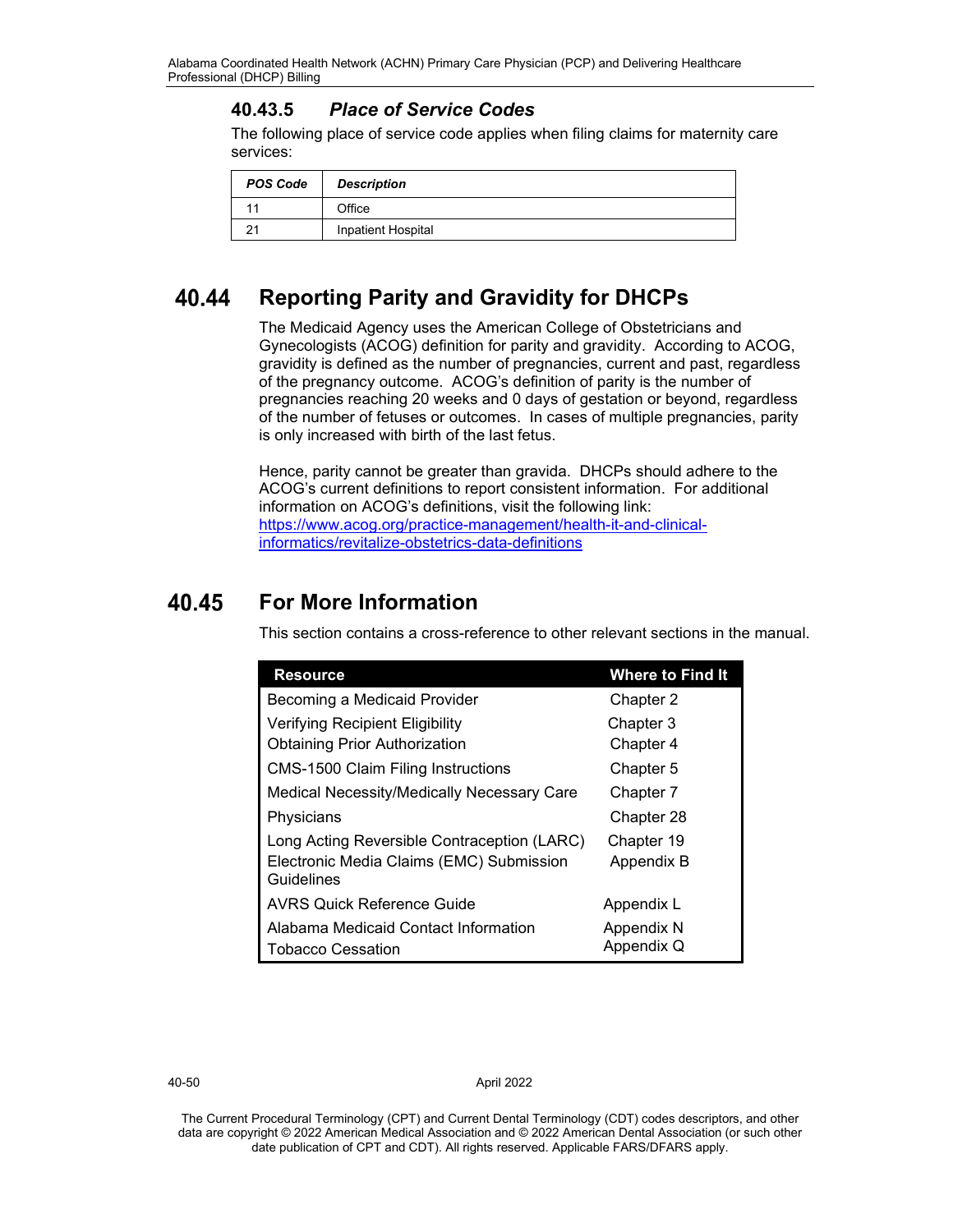# **40.43.5** *Place of Service Codes*

The following place of service code applies when filing claims for maternity care services:

| <b>POS Code</b> | <b>Description</b> |
|-----------------|--------------------|
|                 | Office             |
|                 | Inpatient Hospital |

#### 40.44 **Reporting Parity and Gravidity for DHCPs**

The Medicaid Agency uses the American College of Obstetricians and Gynecologists (ACOG) definition for parity and gravidity. According to ACOG, gravidity is defined as the number of pregnancies, current and past, regardless of the pregnancy outcome. ACOG's definition of parity is the number of pregnancies reaching 20 weeks and 0 days of gestation or beyond, regardless of the number of fetuses or outcomes. In cases of multiple pregnancies, parity is only increased with birth of the last fetus.

Hence, parity cannot be greater than gravida. DHCPs should adhere to the ACOG's current definitions to report consistent information. For additional information on ACOG's definitions, visit the following link: [https://www.acog.org/practice-management/health-it-and-clinical](https://www.acog.org/practice-management/health-it-and-clinical-informatics/revitalize-obstetrics-data-definitions)[informatics/revitalize-obstetrics-data-definitions](https://www.acog.org/practice-management/health-it-and-clinical-informatics/revitalize-obstetrics-data-definitions)

#### 40.45 **For More Information**

This section contains a cross-reference to other relevant sections in the manual.

| <b>Resource</b>                                        | <b>Where to Find It</b> |
|--------------------------------------------------------|-------------------------|
| Becoming a Medicaid Provider                           | Chapter 2               |
| Verifying Recipient Eligibility                        | Chapter 3               |
| <b>Obtaining Prior Authorization</b>                   | Chapter 4               |
| <b>CMS-1500 Claim Filing Instructions</b>              | Chapter 5               |
| Medical Necessity/Medically Necessary Care             | Chapter 7               |
| Physicians                                             | Chapter 28              |
| Long Acting Reversible Contraception (LARC)            | Chapter 19              |
| Electronic Media Claims (EMC) Submission<br>Guidelines | Appendix B              |
| <b>AVRS Quick Reference Guide</b>                      | Appendix L              |
| Alabama Medicaid Contact Information                   | Appendix N              |
| Tobacco Cessation                                      | Appendix Q              |

40-50 April 2022